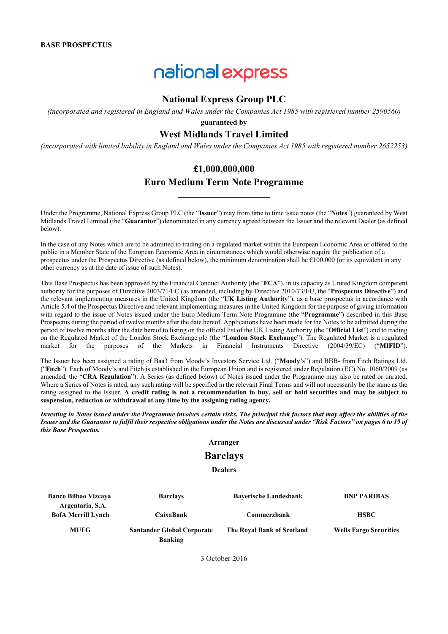# national express

# **National Express Group PLC**

*(incorporated and registered in England and Wales under the Companies Act 1985 with registered number 2590560)*

**guaranteed by** 

# **West Midlands Travel Limited**

*(incorporated with limited liability in England and Wales under the Companies Act 1985 with registered number 2652253)*

# **£1,000,000,000**

# **Euro Medium Term Note Programme**

Under the Programme, National Express Group PLC (the "**Issuer**") may from time to time issue notes (the "**Notes**") guaranteed by West Midlands Travel Limited (the "**Guarantor**") denominated in any currency agreed between the Issuer and the relevant Dealer (as defined below).

In the case of any Notes which are to be admitted to trading on a regulated market within the European Economic Area or offered to the public in a Member State of the European Economic Area in circumstances which would otherwise require the publication of a prospectus under the Prospectus Directive (as defined below), the minimum denomination shall be  $\epsilon$ 100,000 (or its equivalent in any other currency as at the date of issue of such Notes).

This Base Prospectus has been approved by the Financial Conduct Authority (the "**FCA**"), in its capacity as United Kingdom competent authority for the purposes of Directive 2003/71/EC (as amended, including by Directive 2010/73/EU, the "**Prospectus Directive**") and the relevant implementing measures in the United Kingdom (the "**UK Listing Authority**"), as a base prospectus in accordance with Article 5.4 of the Prospectus Directive and relevant implementing measures in the United Kingdom for the purpose of giving information with regard to the issue of Notes issued under the Euro Medium Term Note Programme (the "**Programme**") described in this Base Prospectus during the period of twelve months after the date hereof. Applications have been made for the Notes to be admitted during the period of twelve months after the date hereof to listing on the official list of the UK Listing Authority (the "**Official List**") and to trading on the Regulated Market of the London Stock Exchange plc (the "**London Stock Exchange**"). The Regulated Market is a regulated in Financial Instruments Directive (2004/39/EC) ("**MIFID**").

The Issuer has been assigned a rating of Baa3 from Moody's Investors Service Ltd. ("**Moody's**") and BBB- from Fitch Ratings Ltd. ("**Fitch**"). Each of Moody's and Fitch is established in the European Union and is registered under Regulation (EC) No. 1060/2009 (as amended, the "**CRA Regulation**"). A Series (as defined below) of Notes issued under the Programme may also be rated or unrated. Where a Series of Notes is rated, any such rating will be specified in the relevant Final Terms and will not necessarily be the same as the rating assigned to the Issuer. **A credit rating is not a recommendation to buy, sell or hold securities and may be subject to suspension, reduction or withdrawal at any time by the assigning rating agency.**

*Investing in Notes issued under the Programme involves certain risks. The principal risk factors that may affect the abilities of the Issuer and the Guarantor to fulfil their respective obligations under the Notes are discussed under "Risk Factors" on pages 6 to 19 of this Base Prospectus.*

#### **Arranger**

# **Barclays**

**Dealers**

| <b>Banco Bilbao Vizcaya</b>                   | <b>Barclays</b>                                     | <b>Bayerische Landesbank</b> | <b>BNP PARIBAS</b>            |
|-----------------------------------------------|-----------------------------------------------------|------------------------------|-------------------------------|
| Argentaria, S.A.<br><b>BofA Merrill Lynch</b> | CaixaBank                                           | Commerzbank                  | <b>HSBC</b>                   |
| <b>MUFG</b>                                   | <b>Santander Global Corporate</b><br><b>Banking</b> | The Roval Bank of Scotland   | <b>Wells Fargo Securities</b> |

3 October 2016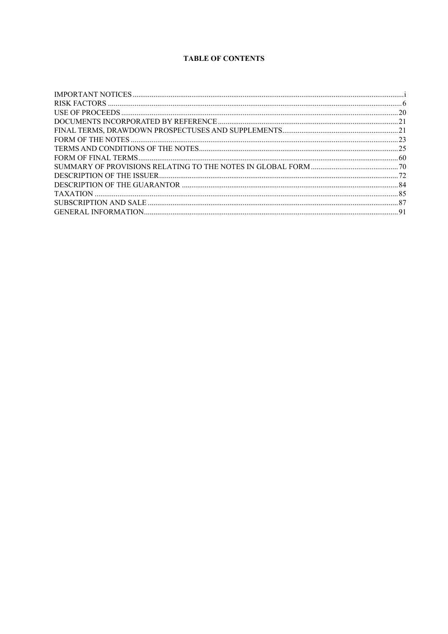# **TABLE OF CONTENTS**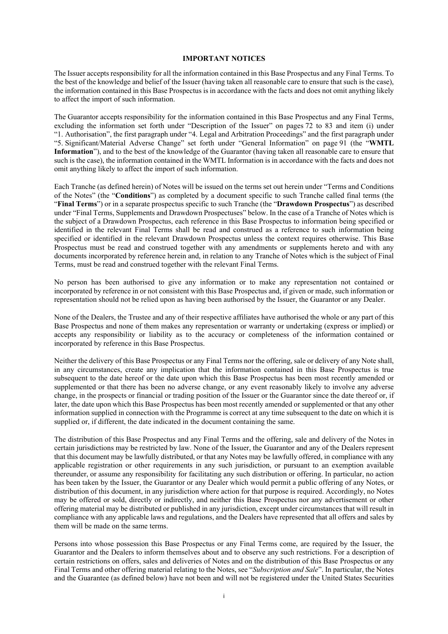#### **IMPORTANT NOTICES**

The Issuer accepts responsibility for all the information contained in this Base Prospectus and any Final Terms. To the best of the knowledge and belief of the Issuer (having taken all reasonable care to ensure that such is the case), the information contained in this Base Prospectus is in accordance with the facts and does not omit anything likely to affect the import of such information.

The Guarantor accepts responsibility for the information contained in this Base Prospectus and any Final Terms, excluding the information set forth under "Description of the Issuer" on pages 72 to 83 and item (i) under "1. Authorisation", the first paragraph under "4. Legal and Arbitration Proceedings" and the first paragraph under "5. Significant/Material Adverse Change" set forth under "General Information" on page 91 (the "**WMTL Information**"), and to the best of the knowledge of the Guarantor (having taken all reasonable care to ensure that such is the case), the information contained in the WMTL Information is in accordance with the facts and does not omit anything likely to affect the import of such information.

Each Tranche (as defined herein) of Notes will be issued on the terms set out herein under "Terms and Conditions of the Notes" (the "**Conditions**") as completed by a document specific to such Tranche called final terms (the "**Final Terms**") or in a separate prospectus specific to such Tranche (the "**Drawdown Prospectus**") as described under "Final Terms, Supplements and Drawdown Prospectuses" below. In the case of a Tranche of Notes which is the subject of a Drawdown Prospectus, each reference in this Base Prospectus to information being specified or identified in the relevant Final Terms shall be read and construed as a reference to such information being specified or identified in the relevant Drawdown Prospectus unless the context requires otherwise. This Base Prospectus must be read and construed together with any amendments or supplements hereto and with any documents incorporated by reference herein and, in relation to any Tranche of Notes which is the subject of Final Terms, must be read and construed together with the relevant Final Terms.

No person has been authorised to give any information or to make any representation not contained or incorporated by reference in or not consistent with this Base Prospectus and, if given or made, such information or representation should not be relied upon as having been authorised by the Issuer, the Guarantor or any Dealer.

None of the Dealers, the Trustee and any of their respective affiliates have authorised the whole or any part of this Base Prospectus and none of them makes any representation or warranty or undertaking (express or implied) or accepts any responsibility or liability as to the accuracy or completeness of the information contained or incorporated by reference in this Base Prospectus.

Neither the delivery of this Base Prospectus or any Final Terms nor the offering, sale or delivery of any Note shall, in any circumstances, create any implication that the information contained in this Base Prospectus is true subsequent to the date hereof or the date upon which this Base Prospectus has been most recently amended or supplemented or that there has been no adverse change, or any event reasonably likely to involve any adverse change, in the prospects or financial or trading position of the Issuer or the Guarantor since the date thereof or, if later, the date upon which this Base Prospectus has been most recently amended or supplemented or that any other information supplied in connection with the Programme is correct at any time subsequent to the date on which it is supplied or, if different, the date indicated in the document containing the same.

The distribution of this Base Prospectus and any Final Terms and the offering, sale and delivery of the Notes in certain jurisdictions may be restricted by law. None of the Issuer, the Guarantor and any of the Dealers represent that this document may be lawfully distributed, or that any Notes may be lawfully offered, in compliance with any applicable registration or other requirements in any such jurisdiction, or pursuant to an exemption available thereunder, or assume any responsibility for facilitating any such distribution or offering. In particular, no action has been taken by the Issuer, the Guarantor or any Dealer which would permit a public offering of any Notes, or distribution of this document, in any jurisdiction where action for that purpose is required. Accordingly, no Notes may be offered or sold, directly or indirectly, and neither this Base Prospectus nor any advertisement or other offering material may be distributed or published in any jurisdiction, except under circumstances that will result in compliance with any applicable laws and regulations, and the Dealers have represented that all offers and sales by them will be made on the same terms.

Persons into whose possession this Base Prospectus or any Final Terms come, are required by the Issuer, the Guarantor and the Dealers to inform themselves about and to observe any such restrictions. For a description of certain restrictions on offers, sales and deliveries of Notes and on the distribution of this Base Prospectus or any Final Terms and other offering material relating to the Notes, see "*Subscription and Sale*". In particular, the Notes and the Guarantee (as defined below) have not been and will not be registered under the United States Securities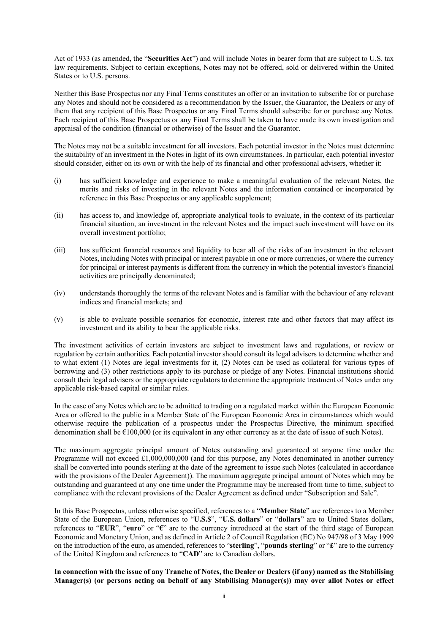Act of 1933 (as amended, the "**Securities Act**") and will include Notes in bearer form that are subject to U.S. tax law requirements. Subject to certain exceptions, Notes may not be offered, sold or delivered within the United States or to U.S. persons.

Neither this Base Prospectus nor any Final Terms constitutes an offer or an invitation to subscribe for or purchase any Notes and should not be considered as a recommendation by the Issuer, the Guarantor, the Dealers or any of them that any recipient of this Base Prospectus or any Final Terms should subscribe for or purchase any Notes. Each recipient of this Base Prospectus or any Final Terms shall be taken to have made its own investigation and appraisal of the condition (financial or otherwise) of the Issuer and the Guarantor.

The Notes may not be a suitable investment for all investors. Each potential investor in the Notes must determine the suitability of an investment in the Notes in light of its own circumstances. In particular, each potential investor should consider, either on its own or with the help of its financial and other professional advisers, whether it:

- (i) has sufficient knowledge and experience to make a meaningful evaluation of the relevant Notes, the merits and risks of investing in the relevant Notes and the information contained or incorporated by reference in this Base Prospectus or any applicable supplement;
- (ii) has access to, and knowledge of, appropriate analytical tools to evaluate, in the context of its particular financial situation, an investment in the relevant Notes and the impact such investment will have on its overall investment portfolio;
- (iii) has sufficient financial resources and liquidity to bear all of the risks of an investment in the relevant Notes, including Notes with principal or interest payable in one or more currencies, or where the currency for principal or interest payments is different from the currency in which the potential investor's financial activities are principally denominated;
- (iv) understands thoroughly the terms of the relevant Notes and is familiar with the behaviour of any relevant indices and financial markets; and
- (v) is able to evaluate possible scenarios for economic, interest rate and other factors that may affect its investment and its ability to bear the applicable risks.

The investment activities of certain investors are subject to investment laws and regulations, or review or regulation by certain authorities. Each potential investor should consult its legal advisers to determine whether and to what extent (1) Notes are legal investments for it, (2) Notes can be used as collateral for various types of borrowing and (3) other restrictions apply to its purchase or pledge of any Notes. Financial institutions should consult their legal advisers or the appropriate regulators to determine the appropriate treatment of Notes under any applicable risk-based capital or similar rules.

In the case of any Notes which are to be admitted to trading on a regulated market within the European Economic Area or offered to the public in a Member State of the European Economic Area in circumstances which would otherwise require the publication of a prospectus under the Prospectus Directive, the minimum specified denomination shall be €100,000 (or its equivalent in any other currency as at the date of issue of such Notes).

The maximum aggregate principal amount of Notes outstanding and guaranteed at anyone time under the Programme will not exceed £1,000,000,000 (and for this purpose, any Notes denominated in another currency shall be converted into pounds sterling at the date of the agreement to issue such Notes (calculated in accordance with the provisions of the Dealer Agreement). The maximum aggregate principal amount of Notes which may be outstanding and guaranteed at any one time under the Programme may be increased from time to time, subject to compliance with the relevant provisions of the Dealer Agreement as defined under "Subscription and Sale".

In this Base Prospectus, unless otherwise specified, references to a "**Member State**" are references to a Member State of the European Union, references to "**U.S.\$**", "**U.S. dollars**" or "**dollars**" are to United States dollars, references to "**EUR**", "**euro**" or "**€**" are to the currency introduced at the start of the third stage of European Economic and Monetary Union, and as defined in Article 2 of Council Regulation (EC) No 947/98 of 3 May 1999 on the introduction of the euro, as amended, references to "**sterling**", "**pounds sterling**" or "**£**" are to the currency of the United Kingdom and references to "**CAD**" are to Canadian dollars.

**In connection with the issue of any Tranche of Notes, the Dealer or Dealers (if any) named as the Stabilising Manager(s) (or persons acting on behalf of any Stabilising Manager(s)) may over allot Notes or effect**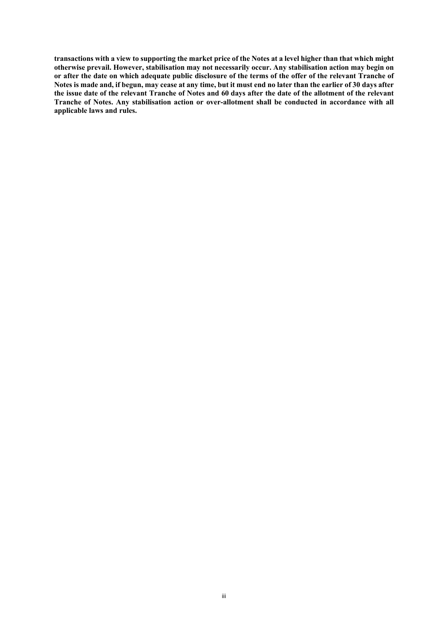**transactions with a view to supporting the market price of the Notes at a level higher than that which might otherwise prevail. However, stabilisation may not necessarily occur. Any stabilisation action may begin on or after the date on which adequate public disclosure of the terms of the offer of the relevant Tranche of Notes is made and, if begun, may cease at any time, but it must end no later than the earlier of 30 days after the issue date of the relevant Tranche of Notes and 60 days after the date of the allotment of the relevant Tranche of Notes. Any stabilisation action or over-allotment shall be conducted in accordance with all applicable laws and rules.**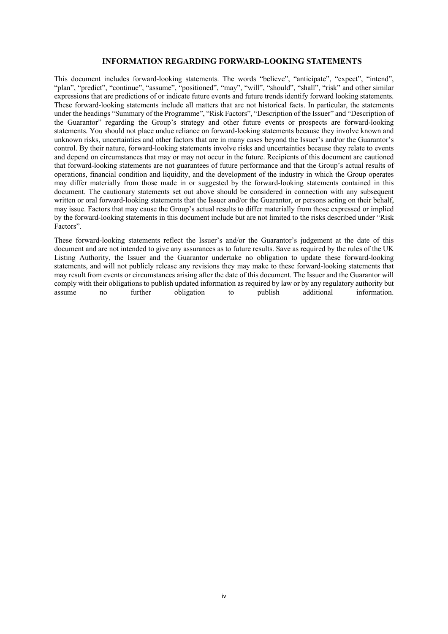#### **INFORMATION REGARDING FORWARD-LOOKING STATEMENTS**

This document includes forward-looking statements. The words "believe", "anticipate", "expect", "intend", "plan", "predict", "continue", "assume", "positioned", "may", "will", "should", "shall", "risk" and other similar expressions that are predictions of or indicate future events and future trends identify forward looking statements. These forward-looking statements include all matters that are not historical facts. In particular, the statements under the headings "Summary of the Programme", "Risk Factors", "Description of the Issuer" and "Description of the Guarantor" regarding the Group's strategy and other future events or prospects are forward-looking statements. You should not place undue reliance on forward-looking statements because they involve known and unknown risks, uncertainties and other factors that are in many cases beyond the Issuer's and/or the Guarantor's control. By their nature, forward-looking statements involve risks and uncertainties because they relate to events and depend on circumstances that may or may not occur in the future. Recipients of this document are cautioned that forward-looking statements are not guarantees of future performance and that the Group's actual results of operations, financial condition and liquidity, and the development of the industry in which the Group operates may differ materially from those made in or suggested by the forward-looking statements contained in this document. The cautionary statements set out above should be considered in connection with any subsequent written or oral forward-looking statements that the Issuer and/or the Guarantor, or persons acting on their behalf, may issue. Factors that may cause the Group's actual results to differ materially from those expressed or implied by the forward-looking statements in this document include but are not limited to the risks described under "Risk Factors".

These forward-looking statements reflect the Issuer's and/or the Guarantor's judgement at the date of this document and are not intended to give any assurances as to future results. Save as required by the rules of the UK Listing Authority, the Issuer and the Guarantor undertake no obligation to update these forward-looking statements, and will not publicly release any revisions they may make to these forward-looking statements that may result from events or circumstances arising after the date of this document. The Issuer and the Guarantor will comply with their obligations to publish updated information as required by law or by any regulatory authority but assume to the publish additional information. assume no further obligation to publish additional information.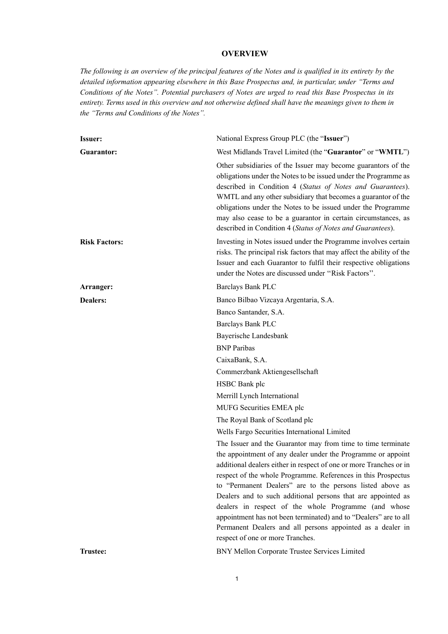# **OVERVIEW**

*The following is an overview of the principal features of the Notes and is qualified in its entirety by the detailed information appearing elsewhere in this Base Prospectus and, in particular, under ''Terms and Conditions of the Notes''. Potential purchasers of Notes are urged to read this Base Prospectus in its entirety. Terms used in this overview and not otherwise defined shall have the meanings given to them in the ''Terms and Conditions of the Notes''.*

| <b>Issuer:</b>       | National Express Group PLC (the "Issuer")                                                                                                                                                                                                                                                                                                                                                                                                                                                                                                                                                                                      |  |
|----------------------|--------------------------------------------------------------------------------------------------------------------------------------------------------------------------------------------------------------------------------------------------------------------------------------------------------------------------------------------------------------------------------------------------------------------------------------------------------------------------------------------------------------------------------------------------------------------------------------------------------------------------------|--|
| <b>Guarantor:</b>    | West Midlands Travel Limited (the "Guarantor" or "WMTL")                                                                                                                                                                                                                                                                                                                                                                                                                                                                                                                                                                       |  |
|                      | Other subsidiaries of the Issuer may become guarantors of the<br>obligations under the Notes to be issued under the Programme as<br>described in Condition 4 (Status of Notes and Guarantees).<br>WMTL and any other subsidiary that becomes a guarantor of the<br>obligations under the Notes to be issued under the Programme<br>may also cease to be a guarantor in certain circumstances, as<br>described in Condition 4 (Status of Notes and Guarantees).                                                                                                                                                                 |  |
| <b>Risk Factors:</b> | Investing in Notes issued under the Programme involves certain<br>risks. The principal risk factors that may affect the ability of the<br>Issuer and each Guarantor to fulfil their respective obligations<br>under the Notes are discussed under "Risk Factors".                                                                                                                                                                                                                                                                                                                                                              |  |
| Arranger:            | Barclays Bank PLC                                                                                                                                                                                                                                                                                                                                                                                                                                                                                                                                                                                                              |  |
| <b>Dealers:</b>      | Banco Bilbao Vizcaya Argentaria, S.A.                                                                                                                                                                                                                                                                                                                                                                                                                                                                                                                                                                                          |  |
|                      | Banco Santander, S.A.                                                                                                                                                                                                                                                                                                                                                                                                                                                                                                                                                                                                          |  |
|                      | Barclays Bank PLC                                                                                                                                                                                                                                                                                                                                                                                                                                                                                                                                                                                                              |  |
|                      | Bayerische Landesbank                                                                                                                                                                                                                                                                                                                                                                                                                                                                                                                                                                                                          |  |
|                      | <b>BNP</b> Paribas                                                                                                                                                                                                                                                                                                                                                                                                                                                                                                                                                                                                             |  |
|                      | CaixaBank, S.A.                                                                                                                                                                                                                                                                                                                                                                                                                                                                                                                                                                                                                |  |
|                      | Commerzbank Aktiengesellschaft                                                                                                                                                                                                                                                                                                                                                                                                                                                                                                                                                                                                 |  |
|                      | HSBC Bank plc                                                                                                                                                                                                                                                                                                                                                                                                                                                                                                                                                                                                                  |  |
|                      | Merrill Lynch International                                                                                                                                                                                                                                                                                                                                                                                                                                                                                                                                                                                                    |  |
|                      | MUFG Securities EMEA plc                                                                                                                                                                                                                                                                                                                                                                                                                                                                                                                                                                                                       |  |
|                      | The Royal Bank of Scotland plc                                                                                                                                                                                                                                                                                                                                                                                                                                                                                                                                                                                                 |  |
|                      | Wells Fargo Securities International Limited                                                                                                                                                                                                                                                                                                                                                                                                                                                                                                                                                                                   |  |
|                      | The Issuer and the Guarantor may from time to time terminate<br>the appointment of any dealer under the Programme or appoint<br>additional dealers either in respect of one or more Tranches or in<br>respect of the whole Programme. References in this Prospectus<br>to "Permanent Dealers" are to the persons listed above as<br>Dealers and to such additional persons that are appointed as<br>dealers in respect of the whole Programme (and whose<br>appointment has not been terminated) and to "Dealers" are to all<br>Permanent Dealers and all persons appointed as a dealer in<br>respect of one or more Tranches. |  |
| <b>Trustee:</b>      | BNY Mellon Corporate Trustee Services Limited                                                                                                                                                                                                                                                                                                                                                                                                                                                                                                                                                                                  |  |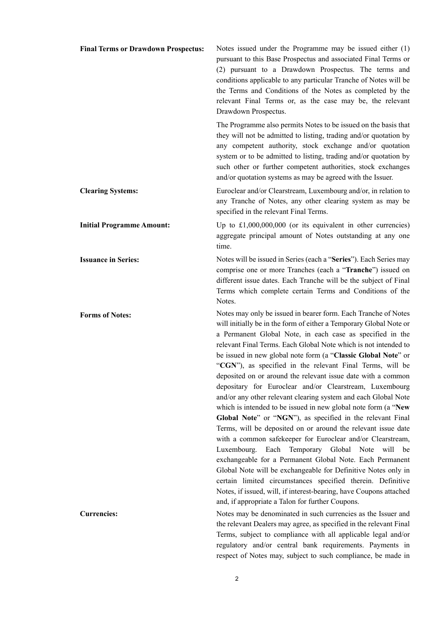| <b>Final Terms or Drawdown Prospectus:</b> | Notes issued under the Programme may be issued either $(1)$<br>pursuant to this Base Prospectus and associated Final Terms or<br>(2) pursuant to a Drawdown Prospectus. The terms and<br>conditions applicable to any particular Tranche of Notes will be<br>the Terms and Conditions of the Notes as completed by the<br>relevant Final Terms or, as the case may be, the relevant<br>Drawdown Prospectus.                                                                                                                                                                                                                                                                                                                                                                                                                                                                                                                                                                                                                                                                                                                                                                                                                                     |
|--------------------------------------------|-------------------------------------------------------------------------------------------------------------------------------------------------------------------------------------------------------------------------------------------------------------------------------------------------------------------------------------------------------------------------------------------------------------------------------------------------------------------------------------------------------------------------------------------------------------------------------------------------------------------------------------------------------------------------------------------------------------------------------------------------------------------------------------------------------------------------------------------------------------------------------------------------------------------------------------------------------------------------------------------------------------------------------------------------------------------------------------------------------------------------------------------------------------------------------------------------------------------------------------------------|
|                                            | The Programme also permits Notes to be issued on the basis that<br>they will not be admitted to listing, trading and/or quotation by<br>any competent authority, stock exchange and/or quotation<br>system or to be admitted to listing, trading and/or quotation by<br>such other or further competent authorities, stock exchanges<br>and/or quotation systems as may be agreed with the Issuer.                                                                                                                                                                                                                                                                                                                                                                                                                                                                                                                                                                                                                                                                                                                                                                                                                                              |
| <b>Clearing Systems:</b>                   | Euroclear and/or Clearstream, Luxembourg and/or, in relation to<br>any Tranche of Notes, any other clearing system as may be<br>specified in the relevant Final Terms.                                                                                                                                                                                                                                                                                                                                                                                                                                                                                                                                                                                                                                                                                                                                                                                                                                                                                                                                                                                                                                                                          |
| <b>Initial Programme Amount:</b>           | Up to $£1,000,000,000$ (or its equivalent in other currencies)<br>aggregate principal amount of Notes outstanding at any one<br>time.                                                                                                                                                                                                                                                                                                                                                                                                                                                                                                                                                                                                                                                                                                                                                                                                                                                                                                                                                                                                                                                                                                           |
| <b>Issuance in Series:</b>                 | Notes will be issued in Series (each a "Series"). Each Series may<br>comprise one or more Tranches (each a "Tranche") issued on<br>different issue dates. Each Tranche will be the subject of Final<br>Terms which complete certain Terms and Conditions of the<br>Notes.                                                                                                                                                                                                                                                                                                                                                                                                                                                                                                                                                                                                                                                                                                                                                                                                                                                                                                                                                                       |
| <b>Forms of Notes:</b>                     | Notes may only be issued in bearer form. Each Tranche of Notes<br>will initially be in the form of either a Temporary Global Note or<br>a Permanent Global Note, in each case as specified in the<br>relevant Final Terms. Each Global Note which is not intended to<br>be issued in new global note form (a "Classic Global Note" or<br>"CGN"), as specified in the relevant Final Terms, will be<br>deposited on or around the relevant issue date with a common<br>depositary for Euroclear and/or Clearstream, Luxembourg<br>and/or any other relevant clearing system and each Global Note<br>which is intended to be issued in new global note form (a "New<br>Global Note" or "NGN"), as specified in the relevant Final<br>Terms, will be deposited on or around the relevant issue date<br>with a common safekeeper for Euroclear and/or Clearstream,<br>Luxembourg.<br>Each<br>Temporary Global Note will<br>be<br>exchangeable for a Permanent Global Note. Each Permanent<br>Global Note will be exchangeable for Definitive Notes only in<br>certain limited circumstances specified therein. Definitive<br>Notes, if issued, will, if interest-bearing, have Coupons attached<br>and, if appropriate a Talon for further Coupons. |
| <b>Currencies:</b>                         | Notes may be denominated in such currencies as the Issuer and<br>the relevant Dealers may agree, as specified in the relevant Final<br>Terms, subject to compliance with all applicable legal and/or<br>regulatory and/or central bank requirements. Payments in<br>respect of Notes may, subject to such compliance, be made in                                                                                                                                                                                                                                                                                                                                                                                                                                                                                                                                                                                                                                                                                                                                                                                                                                                                                                                |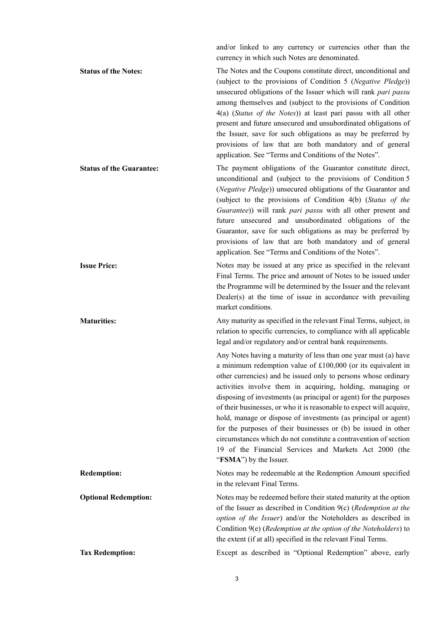and/or linked to any currency or currencies other than the currency in which such Notes are denominated.

**Status of the Notes:** The Notes and the Coupons constitute direct, unconditional and (subject to the provisions of Condition 5 (*Negative Pledge*)) unsecured obligations of the Issuer which will rank *pari passu* among themselves and (subject to the provisions of Condition 4(a) (*Status of the Notes*)) at least pari passu with all other present and future unsecured and unsubordinated obligations of the Issuer, save for such obligations as may be preferred by provisions of law that are both mandatory and of general application. See "Terms and Conditions of the Notes". **Status of the Guarantee:** The payment obligations of the Guarantor constitute direct,

unconditional and (subject to the provisions of Condition 5 (*Negative Pledge*)) unsecured obligations of the Guarantor and (subject to the provisions of Condition 4(b) (*Status of the Guarantee*)) will rank *pari passu* with all other present and future unsecured and unsubordinated obligations of the Guarantor, save for such obligations as may be preferred by provisions of law that are both mandatory and of general application. See "Terms and Conditions of the Notes".

**Issue Price:** Notes may be issued at any price as specified in the relevant Final Terms. The price and amount of Notes to be issued under the Programme will be determined by the Issuer and the relevant Dealer(s) at the time of issue in accordance with prevailing market conditions.

**Maturities:** Any maturity as specified in the relevant Final Terms, subject, in relation to specific currencies, to compliance with all applicable legal and/or regulatory and/or central bank requirements.

> Any Notes having a maturity of less than one year must (a) have a minimum redemption value of £100,000 (or its equivalent in other currencies) and be issued only to persons whose ordinary activities involve them in acquiring, holding, managing or disposing of investments (as principal or agent) for the purposes of their businesses, or who it is reasonable to expect will acquire, hold, manage or dispose of investments (as principal or agent) for the purposes of their businesses or (b) be issued in other circumstances which do not constitute a contravention of section 19 of the Financial Services and Markets Act 2000 (the "**FSMA**") by the Issuer.

**Redemption:** Notes may be redeemable at the Redemption Amount specified in the relevant Final Terms.

**Optional Redemption:** Notes may be redeemed before their stated maturity at the option of the Issuer as described in Condition 9(c) (*Redemption at the option of the Issuer*) and/or the Noteholders as described in Condition 9(e) (*Redemption at the option of the Noteholders*) to the extent (if at all) specified in the relevant Final Terms.

**Tax Redemption:** Except as described in "Optional Redemption" above, early

3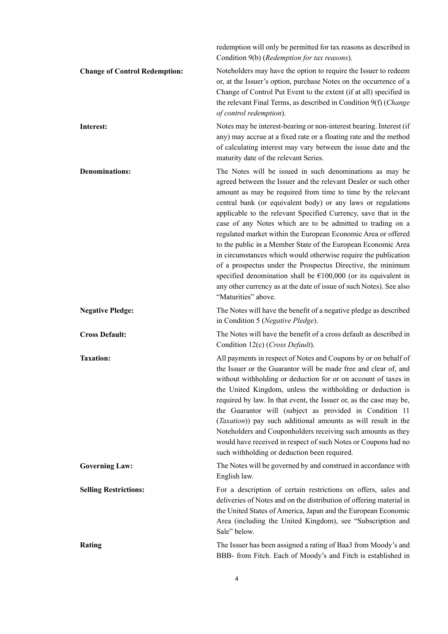|                                      | redemption will only be permitted for tax reasons as described in<br>Condition 9(b) (Redemption for tax reasons).                                                                                                                                                                                                                                                                                                                                                                                                                                                                                                                                                                                                                                                                                                                |
|--------------------------------------|----------------------------------------------------------------------------------------------------------------------------------------------------------------------------------------------------------------------------------------------------------------------------------------------------------------------------------------------------------------------------------------------------------------------------------------------------------------------------------------------------------------------------------------------------------------------------------------------------------------------------------------------------------------------------------------------------------------------------------------------------------------------------------------------------------------------------------|
| <b>Change of Control Redemption:</b> | Noteholders may have the option to require the Issuer to redeem<br>or, at the Issuer's option, purchase Notes on the occurrence of a<br>Change of Control Put Event to the extent (if at all) specified in<br>the relevant Final Terms, as described in Condition 9(f) (Change<br>of control redemption).                                                                                                                                                                                                                                                                                                                                                                                                                                                                                                                        |
| Interest:                            | Notes may be interest-bearing or non-interest bearing. Interest (if<br>any) may accrue at a fixed rate or a floating rate and the method<br>of calculating interest may vary between the issue date and the<br>maturity date of the relevant Series.                                                                                                                                                                                                                                                                                                                                                                                                                                                                                                                                                                             |
| <b>Denominations:</b>                | The Notes will be issued in such denominations as may be<br>agreed between the Issuer and the relevant Dealer or such other<br>amount as may be required from time to time by the relevant<br>central bank (or equivalent body) or any laws or regulations<br>applicable to the relevant Specified Currency, save that in the<br>case of any Notes which are to be admitted to trading on a<br>regulated market within the European Economic Area or offered<br>to the public in a Member State of the European Economic Area<br>in circumstances which would otherwise require the publication<br>of a prospectus under the Prospectus Directive, the minimum<br>specified denomination shall be $£100,000$ (or its equivalent in<br>any other currency as at the date of issue of such Notes). See also<br>"Maturities" above. |
| <b>Negative Pledge:</b>              | The Notes will have the benefit of a negative pledge as described<br>in Condition 5 (Negative Pledge).                                                                                                                                                                                                                                                                                                                                                                                                                                                                                                                                                                                                                                                                                                                           |
| <b>Cross Default:</b>                | The Notes will have the benefit of a cross default as described in<br>Condition 12(c) (Cross Default).                                                                                                                                                                                                                                                                                                                                                                                                                                                                                                                                                                                                                                                                                                                           |
| <b>Taxation:</b>                     | All payments in respect of Notes and Coupons by or on behalf of<br>the Issuer or the Guarantor will be made free and clear of, and<br>without withholding or deduction for or on account of taxes in<br>the United Kingdom, unless the withholding or deduction is<br>required by law. In that event, the Issuer or, as the case may be,<br>the Guarantor will (subject as provided in Condition 11<br>(Taxation)) pay such additional amounts as will result in the<br>Noteholders and Couponholders receiving such amounts as they<br>would have received in respect of such Notes or Coupons had no<br>such withholding or deduction been required.                                                                                                                                                                           |
| <b>Governing Law:</b>                | The Notes will be governed by and construed in accordance with<br>English law.                                                                                                                                                                                                                                                                                                                                                                                                                                                                                                                                                                                                                                                                                                                                                   |
| <b>Selling Restrictions:</b>         | For a description of certain restrictions on offers, sales and<br>deliveries of Notes and on the distribution of offering material in<br>the United States of America, Japan and the European Economic<br>Area (including the United Kingdom), see "Subscription and<br>Sale" below.                                                                                                                                                                                                                                                                                                                                                                                                                                                                                                                                             |
| Rating                               | The Issuer has been assigned a rating of Baa3 from Moody's and<br>BBB- from Fitch. Each of Moody's and Fitch is established in                                                                                                                                                                                                                                                                                                                                                                                                                                                                                                                                                                                                                                                                                                   |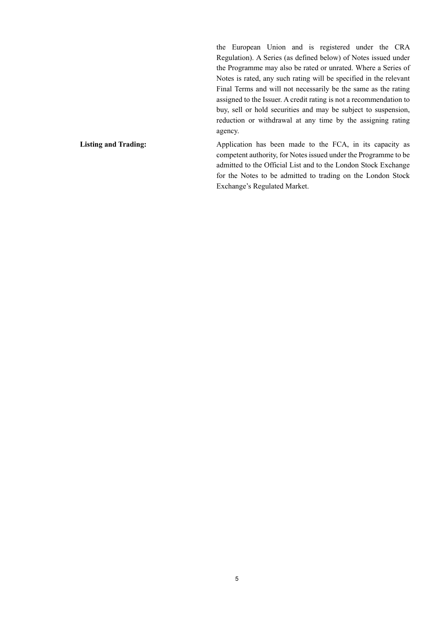the European Union and is registered under the CRA Regulation). A Series (as defined below) of Notes issued under the Programme may also be rated or unrated. Where a Series of Notes is rated, any such rating will be specified in the relevant Final Terms and will not necessarily be the same as the rating assigned to the Issuer. A credit rating is not a recommendation to buy, sell or hold securities and may be subject to suspension, reduction or withdrawal at any time by the assigning rating agency.

Listing and Trading: Application has been made to the FCA, in its capacity as competent authority, for Notes issued under the Programme to be admitted to the Official List and to the London Stock Exchange for the Notes to be admitted to trading on the London Stock Exchange's Regulated Market.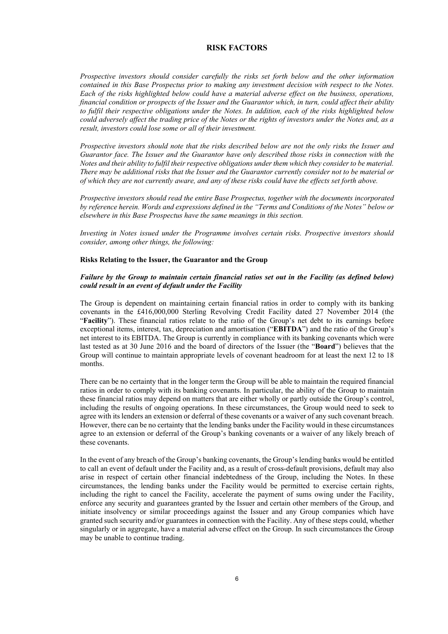# **RISK FACTORS**

*Prospective investors should consider carefully the risks set forth below and the other information contained in this Base Prospectus prior to making any investment decision with respect to the Notes. Each of the risks highlighted below could have a material adverse effect on the business, operations, financial condition or prospects of the Issuer and the Guarantor which, in turn, could affect their ability to fulfil their respective obligations under the Notes. In addition, each of the risks highlighted below could adversely affect the trading price of the Notes or the rights of investors under the Notes and, as a result, investors could lose some or all of their investment.*

*Prospective investors should note that the risks described below are not the only risks the Issuer and Guarantor face. The Issuer and the Guarantor have only described those risks in connection with the Notes and their ability to fulfil their respective obligations under them which they consider to be material. There may be additional risks that the Issuer and the Guarantor currently consider not to be material or of which they are not currently aware, and any of these risks could have the effects set forth above.*

*Prospective investors should read the entire Base Prospectus, together with the documents incorporated by reference herein. Words and expressions defined in the "Terms and Conditions of the Notes" below or elsewhere in this Base Prospectus have the same meanings in this section.*

*Investing in Notes issued under the Programme involves certain risks. Prospective investors should consider, among other things, the following:*

#### **Risks Relating to the Issuer, the Guarantor and the Group**

#### *Failure by the Group to maintain certain financial ratios set out in the Facility (as defined below) could result in an event of default under the Facility*

The Group is dependent on maintaining certain financial ratios in order to comply with its banking covenants in the £416,000,000 Sterling Revolving Credit Facility dated 27 November 2014 (the "**Facility**"). These financial ratios relate to the ratio of the Group's net debt to its earnings before exceptional items, interest, tax, depreciation and amortisation ("**EBITDA**") and the ratio of the Group's net interest to its EBITDA. The Group is currently in compliance with its banking covenants which were last tested as at 30 June 2016 and the board of directors of the Issuer (the "**Board**") believes that the Group will continue to maintain appropriate levels of covenant headroom for at least the next 12 to 18 months.

There can be no certainty that in the longer term the Group will be able to maintain the required financial ratios in order to comply with its banking covenants. In particular, the ability of the Group to maintain these financial ratios may depend on matters that are either wholly or partly outside the Group's control, including the results of ongoing operations. In these circumstances, the Group would need to seek to agree with its lenders an extension or deferral of these covenants or a waiver of any such covenant breach. However, there can be no certainty that the lending banks under the Facility would in these circumstances agree to an extension or deferral of the Group's banking covenants or a waiver of any likely breach of these covenants.

In the event of any breach of the Group's banking covenants, the Group's lending banks would be entitled to call an event of default under the Facility and, as a result of cross-default provisions, default may also arise in respect of certain other financial indebtedness of the Group, including the Notes. In these circumstances, the lending banks under the Facility would be permitted to exercise certain rights, including the right to cancel the Facility, accelerate the payment of sums owing under the Facility, enforce any security and guarantees granted by the Issuer and certain other members of the Group, and initiate insolvency or similar proceedings against the Issuer and any Group companies which have granted such security and/or guarantees in connection with the Facility. Any of these steps could, whether singularly or in aggregate, have a material adverse effect on the Group. In such circumstances the Group may be unable to continue trading.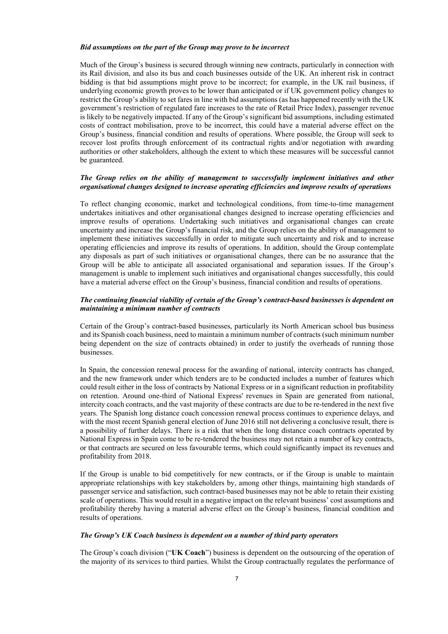#### *Bid assumptions on the part of the Group may prove to be incorrect*

Much of the Group's business is secured through winning new contracts, particularly in connection with its Rail division, and also its bus and coach businesses outside of the UK. An inherent risk in contract bidding is that bid assumptions might prove to be incorrect; for example, in the UK rail business, if underlying economic growth proves to be lower than anticipated or if UK government policy changes to restrict the Group's ability to set fares in line with bid assumptions (as has happened recently with the UK government's restriction of regulated fare increases to the rate of Retail Price Index), passenger revenue is likely to be negatively impacted. If any of the Group's significant bid assumptions, including estimated costs of contract mobilisation, prove to be incorrect, this could have a material adverse effect on the Group's business, financial condition and results of operations. Where possible, the Group will seek to recover lost profits through enforcement of its contractual rights and/or negotiation with awarding authorities or other stakeholders, although the extent to which these measures will be successful cannot be guaranteed.

# *The Group relies on the ability of management to successfully implement initiatives and other organisational changes designed to increase operating efficiencies and improve results of operations*

To reflect changing economic, market and technological conditions, from time-to-time management undertakes initiatives and other organisational changes designed to increase operating efficiencies and improve results of operations. Undertaking such initiatives and organisational changes can create uncertainty and increase the Group's financial risk, and the Group relies on the ability of management to implement these initiatives successfully in order to mitigate such uncertainty and risk and to increase operating efficiencies and improve its results of operations. In addition, should the Group contemplate any disposals as part of such initiatives or organisational changes, there can be no assurance that the Group will be able to anticipate all associated organisational and separation issues. If the Group's management is unable to implement such initiatives and organisational changes successfully, this could have a material adverse effect on the Group's business, financial condition and results of operations.

#### *The continuing financial viability of certain of the Group's contract-based businesses is dependent on maintaining a minimum number of contracts*

Certain of the Group's contract-based businesses, particularly its North American school bus business and its Spanish coach business, need to maintain a minimum number of contracts (such minimum number being dependent on the size of contracts obtained) in order to justify the overheads of running those businesses.

In Spain, the concession renewal process for the awarding of national, intercity contracts has changed, and the new framework under which tenders are to be conducted includes a number of features which could result either in the loss of contracts by National Express or in a significant reduction in profitability on retention. Around one-third of National Express' revenues in Spain are generated from national, intercity coach contracts, and the vast majority of these contracts are due to be re-tendered in the next five years. The Spanish long distance coach concession renewal process continues to experience delays, and with the most recent Spanish general election of June 2016 still not delivering a conclusive result, there is a possibility of further delays. There is a risk that when the long distance coach contracts operated by National Express in Spain come to be re-tendered the business may not retain a number of key contracts, or that contracts are secured on less favourable terms, which could significantly impact its revenues and profitability from 2018.

If the Group is unable to bid competitively for new contracts, or if the Group is unable to maintain appropriate relationships with key stakeholders by, among other things, maintaining high standards of passenger service and satisfaction, such contract-based businesses may not be able to retain their existing scale of operations. This would result in a negative impact on the relevant business' cost assumptions and profitability thereby having a material adverse effect on the Group's business, financial condition and results of operations.

#### *The Group's UK Coach business is dependent on a number of third party operators*

The Group's coach division ("**UK Coach**") business is dependent on the outsourcing of the operation of the majority of its services to third parties. Whilst the Group contractually regulates the performance of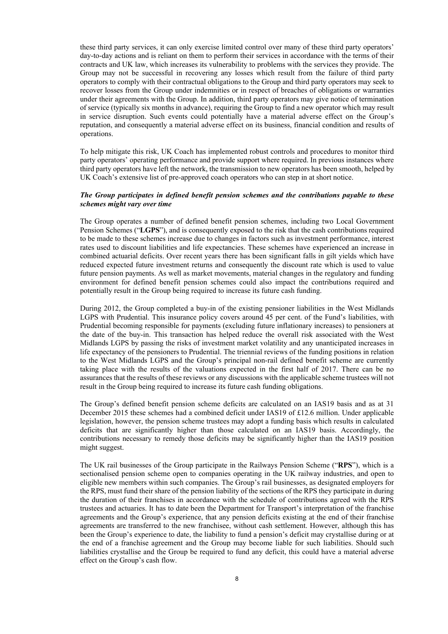these third party services, it can only exercise limited control over many of these third party operators' day-to-day actions and is reliant on them to perform their services in accordance with the terms of their contracts and UK law, which increases its vulnerability to problems with the services they provide. The Group may not be successful in recovering any losses which result from the failure of third party operators to comply with their contractual obligations to the Group and third party operators may seek to recover losses from the Group under indemnities or in respect of breaches of obligations or warranties under their agreements with the Group. In addition, third party operators may give notice of termination of service (typically six months in advance), requiring the Group to find a new operator which may result in service disruption. Such events could potentially have a material adverse effect on the Group's reputation, and consequently a material adverse effect on its business, financial condition and results of operations.

To help mitigate this risk, UK Coach has implemented robust controls and procedures to monitor third party operators' operating performance and provide support where required. In previous instances where third party operators have left the network, the transmission to new operators has been smooth, helped by UK Coach's extensive list of pre-approved coach operators who can step in at short notice.

#### *The Group participates in defined benefit pension schemes and the contributions payable to these schemes might vary over time*

The Group operates a number of defined benefit pension schemes, including two Local Government Pension Schemes ("**LGPS**"), and is consequently exposed to the risk that the cash contributions required to be made to these schemes increase due to changes in factors such as investment performance, interest rates used to discount liabilities and life expectancies. These schemes have experienced an increase in combined actuarial deficits. Over recent years there has been significant falls in gilt yields which have reduced expected future investment returns and consequently the discount rate which is used to value future pension payments. As well as market movements, material changes in the regulatory and funding environment for defined benefit pension schemes could also impact the contributions required and potentially result in the Group being required to increase its future cash funding.

During 2012, the Group completed a buy-in of the existing pensioner liabilities in the West Midlands LGPS with Prudential. This insurance policy covers around 45 per cent. of the Fund's liabilities, with Prudential becoming responsible for payments (excluding future inflationary increases) to pensioners at the date of the buy-in. This transaction has helped reduce the overall risk associated with the West Midlands LGPS by passing the risks of investment market volatility and any unanticipated increases in life expectancy of the pensioners to Prudential. The triennial reviews of the funding positions in relation to the West Midlands LGPS and the Group's principal non-rail defined benefit scheme are currently taking place with the results of the valuations expected in the first half of 2017. There can be no assurances that the results of these reviews or any discussions with the applicable scheme trustees will not result in the Group being required to increase its future cash funding obligations.

The Group's defined benefit pension scheme deficits are calculated on an IAS19 basis and as at 31 December 2015 these schemes had a combined deficit under IAS19 of £12.6 million. Under applicable legislation, however, the pension scheme trustees may adopt a funding basis which results in calculated deficits that are significantly higher than those calculated on an IAS19 basis. Accordingly, the contributions necessary to remedy those deficits may be significantly higher than the IAS19 position might suggest.

The UK rail businesses of the Group participate in the Railways Pension Scheme ("**RPS**"), which is a sectionalised pension scheme open to companies operating in the UK railway industries, and open to eligible new members within such companies. The Group's rail businesses, as designated employers for the RPS, must fund their share of the pension liability of the sections of the RPS they participate in during the duration of their franchises in accordance with the schedule of contributions agreed with the RPS trustees and actuaries. It has to date been the Department for Transport's interpretation of the franchise agreements and the Group's experience, that any pension deficits existing at the end of their franchise agreements are transferred to the new franchisee, without cash settlement. However, although this has been the Group's experience to date, the liability to fund a pension's deficit may crystallise during or at the end of a franchise agreement and the Group may become liable for such liabilities. Should such liabilities crystallise and the Group be required to fund any deficit, this could have a material adverse effect on the Group's cash flow.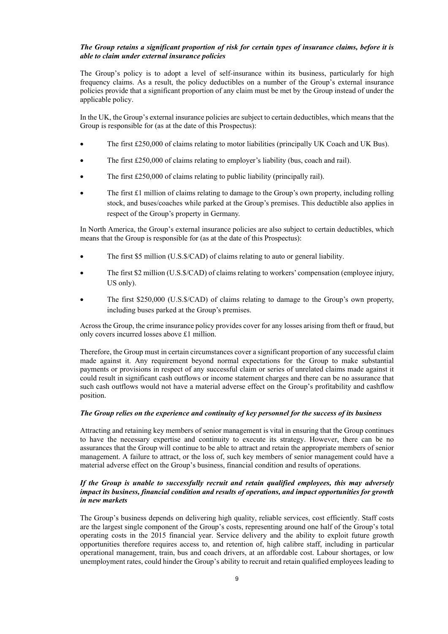#### *The Group retains a significant proportion of risk for certain types of insurance claims, before it is able to claim under external insurance policies*

The Group's policy is to adopt a level of self-insurance within its business, particularly for high frequency claims. As a result, the policy deductibles on a number of the Group's external insurance policies provide that a significant proportion of any claim must be met by the Group instead of under the applicable policy.

In the UK, the Group's external insurance policies are subject to certain deductibles, which means that the Group is responsible for (as at the date of this Prospectus):

- The first £250,000 of claims relating to motor liabilities (principally UK Coach and UK Bus).
- The first £250,000 of claims relating to employer's liability (bus, coach and rail).
- The first £250,000 of claims relating to public liability (principally rail).
- The first £1 million of claims relating to damage to the Group's own property, including rolling stock, and buses/coaches while parked at the Group's premises. This deductible also applies in respect of the Group's property in Germany.

In North America, the Group's external insurance policies are also subject to certain deductibles, which means that the Group is responsible for (as at the date of this Prospectus):

- The first \$5 million (U.S.\$/CAD) of claims relating to auto or general liability.
- The first \$2 million (U.S.\$/CAD) of claims relating to workers' compensation (employee injury, US only).
- The first \$250,000 (U.S.\$/CAD) of claims relating to damage to the Group's own property, including buses parked at the Group's premises.

Across the Group, the crime insurance policy provides cover for any losses arising from theft or fraud, but only covers incurred losses above £1 million.

Therefore, the Group must in certain circumstances cover a significant proportion of any successful claim made against it. Any requirement beyond normal expectations for the Group to make substantial payments or provisions in respect of any successful claim or series of unrelated claims made against it could result in significant cash outflows or income statement charges and there can be no assurance that such cash outflows would not have a material adverse effect on the Group's profitability and cashflow position.

#### *The Group relies on the experience and continuity of key personnel for the success of its business*

Attracting and retaining key members of senior management is vital in ensuring that the Group continues to have the necessary expertise and continuity to execute its strategy. However, there can be no assurances that the Group will continue to be able to attract and retain the appropriate members of senior management. A failure to attract, or the loss of, such key members of senior management could have a material adverse effect on the Group's business, financial condition and results of operations.

# *If the Group is unable to successfully recruit and retain qualified employees, this may adversely impact its business, financial condition and results of operations, and impact opportunities for growth in new markets*

The Group's business depends on delivering high quality, reliable services, cost efficiently. Staff costs are the largest single component of the Group's costs, representing around one half of the Group's total operating costs in the 2015 financial year. Service delivery and the ability to exploit future growth opportunities therefore requires access to, and retention of, high calibre staff, including in particular operational management, train, bus and coach drivers, at an affordable cost. Labour shortages, or low unemployment rates, could hinder the Group's ability to recruit and retain qualified employees leading to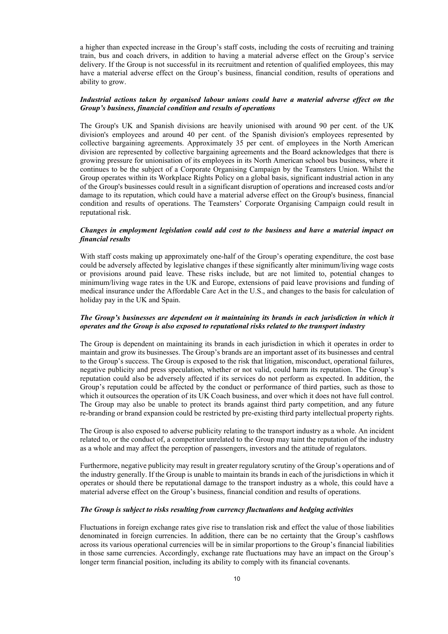a higher than expected increase in the Group's staff costs, including the costs of recruiting and training train, bus and coach drivers, in addition to having a material adverse effect on the Group's service delivery. If the Group is not successful in its recruitment and retention of qualified employees, this may have a material adverse effect on the Group's business, financial condition, results of operations and ability to grow.

#### *Industrial actions taken by organised labour unions could have a material adverse effect on the Group's business, financial condition and results of operations*

The Group's UK and Spanish divisions are heavily unionised with around 90 per cent. of the UK division's employees and around 40 per cent. of the Spanish division's employees represented by collective bargaining agreements. Approximately 35 per cent. of employees in the North American division are represented by collective bargaining agreements and the Board acknowledges that there is growing pressure for unionisation of its employees in its North American school bus business, where it continues to be the subject of a Corporate Organising Campaign by the Teamsters Union. Whilst the Group operates within its Workplace Rights Policy on a global basis, significant industrial action in any of the Group's businesses could result in a significant disruption of operations and increased costs and/or damage to its reputation, which could have a material adverse effect on the Group's business, financial condition and results of operations. The Teamsters' Corporate Organising Campaign could result in reputational risk.

#### *Changes in employment legislation could add cost to the business and have a material impact on financial results*

With staff costs making up approximately one-half of the Group's operating expenditure, the cost base could be adversely affected by legislative changes if these significantly alter minimum/living wage costs or provisions around paid leave. These risks include, but are not limited to, potential changes to minimum/living wage rates in the UK and Europe, extensions of paid leave provisions and funding of medical insurance under the Affordable Care Act in the U.S., and changes to the basis for calculation of holiday pay in the UK and Spain.

#### *The Group's businesses are dependent on it maintaining its brands in each jurisdiction in which it operates and the Group is also exposed to reputational risks related to the transport industry*

The Group is dependent on maintaining its brands in each jurisdiction in which it operates in order to maintain and grow its businesses. The Group's brands are an important asset of its businesses and central to the Group's success. The Group is exposed to the risk that litigation, misconduct, operational failures, negative publicity and press speculation, whether or not valid, could harm its reputation. The Group's reputation could also be adversely affected if its services do not perform as expected. In addition, the Group's reputation could be affected by the conduct or performance of third parties, such as those to which it outsources the operation of its UK Coach business, and over which it does not have full control. The Group may also be unable to protect its brands against third party competition, and any future re-branding or brand expansion could be restricted by pre-existing third party intellectual property rights.

The Group is also exposed to adverse publicity relating to the transport industry as a whole. An incident related to, or the conduct of, a competitor unrelated to the Group may taint the reputation of the industry as a whole and may affect the perception of passengers, investors and the attitude of regulators.

Furthermore, negative publicity may result in greater regulatory scrutiny of the Group's operations and of the industry generally. If the Group is unable to maintain its brands in each of the jurisdictions in which it operates or should there be reputational damage to the transport industry as a whole, this could have a material adverse effect on the Group's business, financial condition and results of operations.

#### *The Group is subject to risks resulting from currency fluctuations and hedging activities*

Fluctuations in foreign exchange rates give rise to translation risk and effect the value of those liabilities denominated in foreign currencies. In addition, there can be no certainty that the Group's cashflows across its various operational currencies will be in similar proportions to the Group's financial liabilities in those same currencies. Accordingly, exchange rate fluctuations may have an impact on the Group's longer term financial position, including its ability to comply with its financial covenants.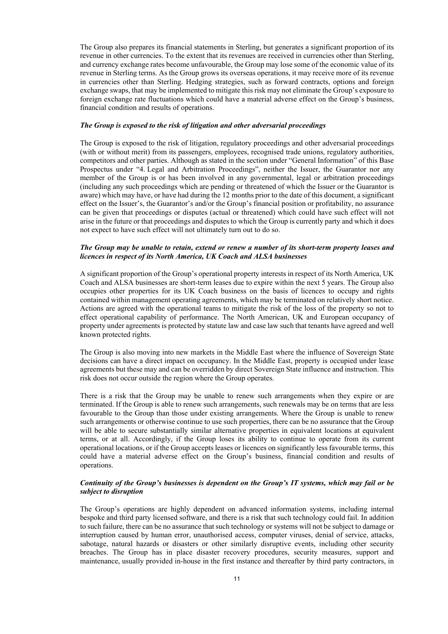The Group also prepares its financial statements in Sterling, but generates a significant proportion of its revenue in other currencies. To the extent that its revenues are received in currencies other than Sterling, and currency exchange rates become unfavourable, the Group may lose some of the economic value of its revenue in Sterling terms. As the Group grows its overseas operations, it may receive more of its revenue in currencies other than Sterling. Hedging strategies, such as forward contracts, options and foreign exchange swaps, that may be implemented to mitigate this risk may not eliminate the Group's exposure to foreign exchange rate fluctuations which could have a material adverse effect on the Group's business, financial condition and results of operations.

#### *The Group is exposed to the risk of litigation and other adversarial proceedings*

The Group is exposed to the risk of litigation, regulatory proceedings and other adversarial proceedings (with or without merit) from its passengers, employees, recognised trade unions, regulatory authorities, competitors and other parties. Although as stated in the section under "General Information" of this Base Prospectus under "4. Legal and Arbitration Proceedings", neither the Issuer, the Guarantor nor any member of the Group is or has been involved in any governmental, legal or arbitration proceedings (including any such proceedings which are pending or threatened of which the Issuer or the Guarantor is aware) which may have, or have had during the 12 months prior to the date of this document, a significant effect on the Issuer's, the Guarantor's and/or the Group's financial position or profitability, no assurance can be given that proceedings or disputes (actual or threatened) which could have such effect will not arise in the future or that proceedings and disputes to which the Group is currently party and which it does not expect to have such effect will not ultimately turn out to do so.

#### *The Group may be unable to retain, extend or renew a number of its short-term property leases and licences in respect of its North America, UK Coach and ALSA businesses*

A significant proportion of the Group's operational property interests in respect of its North America, UK Coach and ALSA businesses are short-term leases due to expire within the next 5 years. The Group also occupies other properties for its UK Coach business on the basis of licences to occupy and rights contained within management operating agreements, which may be terminated on relatively short notice. Actions are agreed with the operational teams to mitigate the risk of the loss of the property so not to effect operational capability of performance. The North American, UK and European occupancy of property under agreements is protected by statute law and case law such that tenants have agreed and well known protected rights.

The Group is also moving into new markets in the Middle East where the influence of Sovereign State decisions can have a direct impact on occupancy. In the Middle East, property is occupied under lease agreements but these may and can be overridden by direct Sovereign State influence and instruction. This risk does not occur outside the region where the Group operates.

There is a risk that the Group may be unable to renew such arrangements when they expire or are terminated. If the Group is able to renew such arrangements, such renewals may be on terms that are less favourable to the Group than those under existing arrangements. Where the Group is unable to renew such arrangements or otherwise continue to use such properties, there can be no assurance that the Group will be able to secure substantially similar alternative properties in equivalent locations at equivalent terms, or at all. Accordingly, if the Group loses its ability to continue to operate from its current operational locations, or if the Group accepts leases or licences on significantly less favourable terms, this could have a material adverse effect on the Group's business, financial condition and results of operations.

#### *Continuity of the Group's businesses is dependent on the Group's IT systems, which may fail or be subject to disruption*

The Group's operations are highly dependent on advanced information systems, including internal bespoke and third party licensed software, and there is a risk that such technology could fail. In addition to such failure, there can be no assurance that such technology or systems will not be subject to damage or interruption caused by human error, unauthorised access, computer viruses, denial of service, attacks, sabotage, natural hazards or disasters or other similarly disruptive events, including other security breaches. The Group has in place disaster recovery procedures, security measures, support and maintenance, usually provided in-house in the first instance and thereafter by third party contractors, in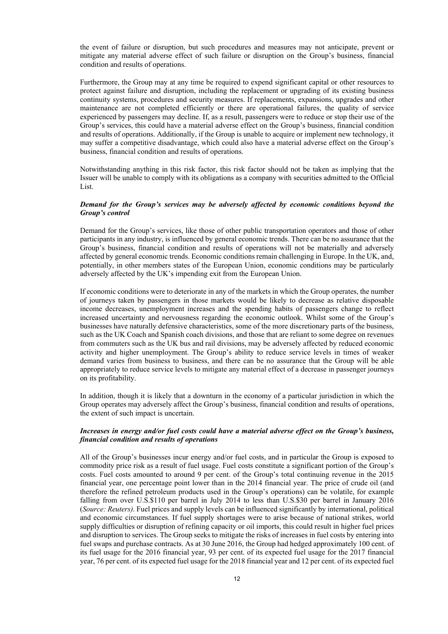the event of failure or disruption, but such procedures and measures may not anticipate, prevent or mitigate any material adverse effect of such failure or disruption on the Group's business, financial condition and results of operations.

Furthermore, the Group may at any time be required to expend significant capital or other resources to protect against failure and disruption, including the replacement or upgrading of its existing business continuity systems, procedures and security measures. If replacements, expansions, upgrades and other maintenance are not completed efficiently or there are operational failures, the quality of service experienced by passengers may decline. If, as a result, passengers were to reduce or stop their use of the Group's services, this could have a material adverse effect on the Group's business, financial condition and results of operations. Additionally, if the Group is unable to acquire or implement new technology, it may suffer a competitive disadvantage, which could also have a material adverse effect on the Group's business, financial condition and results of operations.

Notwithstanding anything in this risk factor, this risk factor should not be taken as implying that the Issuer will be unable to comply with its obligations as a company with securities admitted to the Official List.

#### *Demand for the Group's services may be adversely affected by economic conditions beyond the Group's control*

Demand for the Group's services, like those of other public transportation operators and those of other participants in any industry, is influenced by general economic trends. There can be no assurance that the Group's business, financial condition and results of operations will not be materially and adversely affected by general economic trends. Economic conditions remain challenging in Europe. In the UK, and, potentially, in other members states of the European Union, economic conditions may be particularly adversely affected by the UK's impending exit from the European Union.

If economic conditions were to deteriorate in any of the markets in which the Group operates, the number of journeys taken by passengers in those markets would be likely to decrease as relative disposable income decreases, unemployment increases and the spending habits of passengers change to reflect increased uncertainty and nervousness regarding the economic outlook. Whilst some of the Group's businesses have naturally defensive characteristics, some of the more discretionary parts of the business, such as the UK Coach and Spanish coach divisions, and those that are reliant to some degree on revenues from commuters such as the UK bus and rail divisions, may be adversely affected by reduced economic activity and higher unemployment. The Group's ability to reduce service levels in times of weaker demand varies from business to business, and there can be no assurance that the Group will be able appropriately to reduce service levels to mitigate any material effect of a decrease in passenger journeys on its profitability.

In addition, though it is likely that a downturn in the economy of a particular jurisdiction in which the Group operates may adversely affect the Group's business, financial condition and results of operations, the extent of such impact is uncertain.

#### *Increases in energy and/or fuel costs could have a material adverse effect on the Group's business, financial condition and results of operations*

All of the Group's businesses incur energy and/or fuel costs, and in particular the Group is exposed to commodity price risk as a result of fuel usage. Fuel costs constitute a significant portion of the Group's costs. Fuel costs amounted to around 9 per cent. of the Group's total continuing revenue in the 2015 financial year, one percentage point lower than in the 2014 financial year. The price of crude oil (and therefore the refined petroleum products used in the Group's operations) can be volatile, for example falling from over U.S.\$110 per barrel in July 2014 to less than U.S.\$30 per barrel in January 2016 (*Source: Reuters)*. Fuel prices and supply levels can be influenced significantly by international, political and economic circumstances. If fuel supply shortages were to arise because of national strikes, world supply difficulties or disruption of refining capacity or oil imports, this could result in higher fuel prices and disruption to services. The Group seeks to mitigate the risks of increases in fuel costs by entering into fuel swaps and purchase contracts. As at 30 June 2016, the Group had hedged approximately 100 cent. of its fuel usage for the 2016 financial year, 93 per cent. of its expected fuel usage for the 2017 financial year, 76 per cent. of its expected fuel usage for the 2018 financial year and 12 per cent. of its expected fuel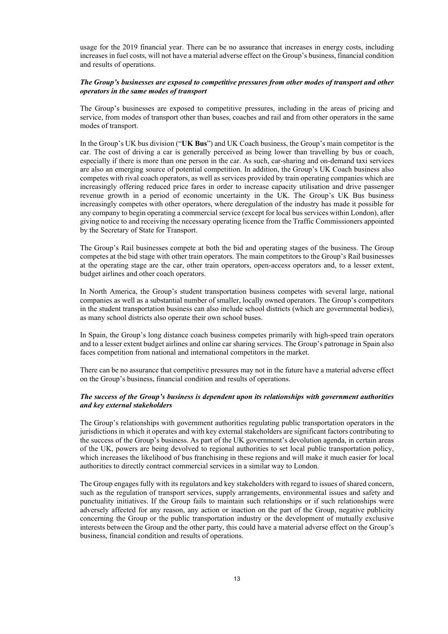usage for the 2019 financial year. There can be no assurance that increases in energy costs, including increases in fuel costs, will not have a material adverse effect on the Group's business, financial condition and results of operations.

#### *The Group's businesses are exposed to competitive pressures from other modes of transport and other operators in the same modes of transport*

The Group's businesses are exposed to competitive pressures, including in the areas of pricing and service, from modes of transport other than buses, coaches and rail and from other operators in the same modes of transport.

In the Group's UK bus division ("**UK Bus**") and UK Coach business, the Group's main competitor is the car. The cost of driving a car is generally perceived as being lower than travelling by bus or coach, especially if there is more than one person in the car. As such, car-sharing and on-demand taxi services are also an emerging source of potential competition. In addition, the Group's UK Coach business also competes with rival coach operators, as well as services provided by train operating companies which are increasingly offering reduced price fares in order to increase capacity utilisation and drive passenger revenue growth in a period of economic uncertainty in the UK. The Group's UK Bus business increasingly competes with other operators, where deregulation of the industry has made it possible for any company to begin operating a commercial service (except for local bus services within London), after giving notice to and receiving the necessary operating licence from the Traffic Commissioners appointed by the Secretary of State for Transport.

The Group's Rail businesses compete at both the bid and operating stages of the business. The Group competes at the bid stage with other train operators. The main competitors to the Group's Rail businesses at the operating stage are the car, other train operators, open-access operators and, to a lesser extent, budget airlines and other coach operators.

In North America, the Group's student transportation business competes with several large, national companies as well as a substantial number of smaller, locally owned operators. The Group's competitors in the student transportation business can also include school districts (which are governmental bodies), as many school districts also operate their own school buses.

In Spain, the Group's long distance coach business competes primarily with high-speed train operators and to a lesser extent budget airlines and online car sharing services. The Group's patronage in Spain also faces competition from national and international competitors in the market.

There can be no assurance that competitive pressures may not in the future have a material adverse effect on the Group's business, financial condition and results of operations.

#### *The success of the Group's business is dependent upon its relationships with government authorities and key external stakeholders*

The Group's relationships with government authorities regulating public transportation operators in the jurisdictions in which it operates and with key external stakeholders are significant factors contributing to the success of the Group's business. As part of the UK government's devolution agenda, in certain areas of the UK, powers are being devolved to regional authorities to set local public transportation policy, which increases the likelihood of bus franchising in these regions and will make it much easier for local authorities to directly contract commercial services in a similar way to London.

The Group engages fully with its regulators and key stakeholders with regard to issues of shared concern, such as the regulation of transport services, supply arrangements, environmental issues and safety and punctuality initiatives. If the Group fails to maintain such relationships or if such relationships were adversely affected for any reason, any action or inaction on the part of the Group, negative publicity concerning the Group or the public transportation industry or the development of mutually exclusive interests between the Group and the other party, this could have a material adverse effect on the Group's business, financial condition and results of operations.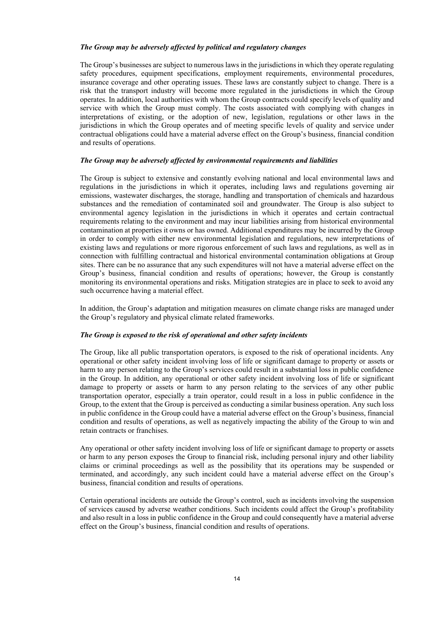#### *The Group may be adversely affected by political and regulatory changes*

The Group's businesses are subject to numerous laws in the jurisdictions in which they operate regulating safety procedures, equipment specifications, employment requirements, environmental procedures, insurance coverage and other operating issues. These laws are constantly subject to change. There is a risk that the transport industry will become more regulated in the jurisdictions in which the Group operates. In addition, local authorities with whom the Group contracts could specify levels of quality and service with which the Group must comply. The costs associated with complying with changes in interpretations of existing, or the adoption of new, legislation, regulations or other laws in the jurisdictions in which the Group operates and of meeting specific levels of quality and service under contractual obligations could have a material adverse effect on the Group's business, financial condition and results of operations.

#### *The Group may be adversely affected by environmental requirements and liabilities*

The Group is subject to extensive and constantly evolving national and local environmental laws and regulations in the jurisdictions in which it operates, including laws and regulations governing air emissions, wastewater discharges, the storage, handling and transportation of chemicals and hazardous substances and the remediation of contaminated soil and groundwater. The Group is also subject to environmental agency legislation in the jurisdictions in which it operates and certain contractual requirements relating to the environment and may incur liabilities arising from historical environmental contamination at properties it owns or has owned. Additional expenditures may be incurred by the Group in order to comply with either new environmental legislation and regulations, new interpretations of existing laws and regulations or more rigorous enforcement of such laws and regulations, as well as in connection with fulfilling contractual and historical environmental contamination obligations at Group sites. There can be no assurance that any such expenditures will not have a material adverse effect on the Group's business, financial condition and results of operations; however, the Group is constantly monitoring its environmental operations and risks. Mitigation strategies are in place to seek to avoid any such occurrence having a material effect.

In addition, the Group's adaptation and mitigation measures on climate change risks are managed under the Group's regulatory and physical climate related frameworks.

#### *The Group is exposed to the risk of operational and other safety incidents*

The Group, like all public transportation operators, is exposed to the risk of operational incidents. Any operational or other safety incident involving loss of life or significant damage to property or assets or harm to any person relating to the Group's services could result in a substantial loss in public confidence in the Group. In addition, any operational or other safety incident involving loss of life or significant damage to property or assets or harm to any person relating to the services of any other public transportation operator, especially a train operator, could result in a loss in public confidence in the Group, to the extent that the Group is perceived as conducting a similar business operation. Any such loss in public confidence in the Group could have a material adverse effect on the Group's business, financial condition and results of operations, as well as negatively impacting the ability of the Group to win and retain contracts or franchises.

Any operational or other safety incident involving loss of life or significant damage to property or assets or harm to any person exposes the Group to financial risk, including personal injury and other liability claims or criminal proceedings as well as the possibility that its operations may be suspended or terminated, and accordingly, any such incident could have a material adverse effect on the Group's business, financial condition and results of operations.

Certain operational incidents are outside the Group's control, such as incidents involving the suspension of services caused by adverse weather conditions. Such incidents could affect the Group's profitability and also result in a loss in public confidence in the Group and could consequently have a material adverse effect on the Group's business, financial condition and results of operations.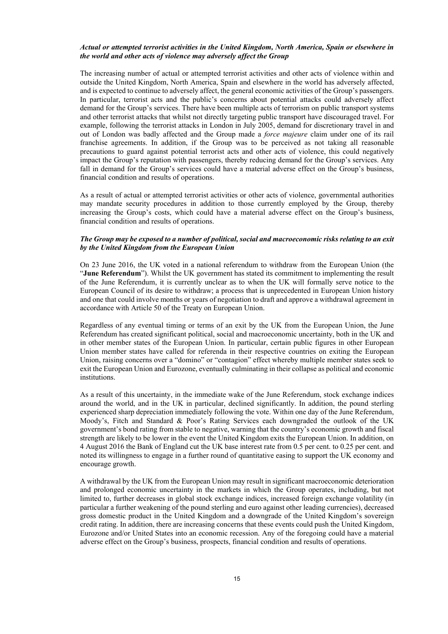#### *Actual or attempted terrorist activities in the United Kingdom, North America, Spain or elsewhere in the world and other acts of violence may adversely affect the Group*

The increasing number of actual or attempted terrorist activities and other acts of violence within and outside the United Kingdom, North America, Spain and elsewhere in the world has adversely affected, and is expected to continue to adversely affect, the general economic activities of the Group's passengers. In particular, terrorist acts and the public's concerns about potential attacks could adversely affect demand for the Group's services. There have been multiple acts of terrorism on public transport systems and other terrorist attacks that whilst not directly targeting public transport have discouraged travel. For example, following the terrorist attacks in London in July 2005, demand for discretionary travel in and out of London was badly affected and the Group made a *force majeure* claim under one of its rail franchise agreements. In addition, if the Group was to be perceived as not taking all reasonable precautions to guard against potential terrorist acts and other acts of violence, this could negatively impact the Group's reputation with passengers, thereby reducing demand for the Group's services. Any fall in demand for the Group's services could have a material adverse effect on the Group's business, financial condition and results of operations.

As a result of actual or attempted terrorist activities or other acts of violence, governmental authorities may mandate security procedures in addition to those currently employed by the Group, thereby increasing the Group's costs, which could have a material adverse effect on the Group's business, financial condition and results of operations.

#### *The Group may be exposed to a number of political, social and macroeconomic risks relating to an exit by the United Kingdom from the European Union*

On 23 June 2016, the UK voted in a national referendum to withdraw from the European Union (the "**June Referendum**"). Whilst the UK government has stated its commitment to implementing the result of the June Referendum, it is currently unclear as to when the UK will formally serve notice to the European Council of its desire to withdraw; a process that is unprecedented in European Union history and one that could involve months or years of negotiation to draft and approve a withdrawal agreement in accordance with Article 50 of the Treaty on European Union.

Regardless of any eventual timing or terms of an exit by the UK from the European Union, the June Referendum has created significant political, social and macroeconomic uncertainty, both in the UK and in other member states of the European Union. In particular, certain public figures in other European Union member states have called for referenda in their respective countries on exiting the European Union, raising concerns over a "domino" or "contagion" effect whereby multiple member states seek to exit the European Union and Eurozone, eventually culminating in their collapse as political and economic institutions.

As a result of this uncertainty, in the immediate wake of the June Referendum, stock exchange indices around the world, and in the UK in particular, declined significantly. In addition, the pound sterling experienced sharp depreciation immediately following the vote. Within one day of the June Referendum, Moody's, Fitch and Standard & Poor's Rating Services each downgraded the outlook of the UK government's bond rating from stable to negative, warning that the country's economic growth and fiscal strength are likely to be lower in the event the United Kingdom exits the European Union. In addition, on 4 August 2016 the Bank of England cut the UK base interest rate from 0.5 per cent. to 0.25 per cent. and noted its willingness to engage in a further round of quantitative easing to support the UK economy and encourage growth.

A withdrawal by the UK from the European Union may result in significant macroeconomic deterioration and prolonged economic uncertainty in the markets in which the Group operates, including, but not limited to, further decreases in global stock exchange indices, increased foreign exchange volatility (in particular a further weakening of the pound sterling and euro against other leading currencies), decreased gross domestic product in the United Kingdom and a downgrade of the United Kingdom's sovereign credit rating. In addition, there are increasing concerns that these events could push the United Kingdom, Eurozone and/or United States into an economic recession. Any of the foregoing could have a material adverse effect on the Group's business, prospects, financial condition and results of operations.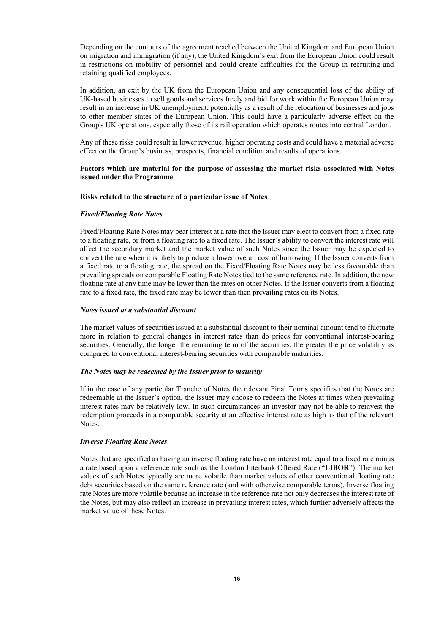Depending on the contours of the agreement reached between the United Kingdom and European Union on migration and immigration (if any), the United Kingdom's exit from the European Union could result in restrictions on mobility of personnel and could create difficulties for the Group in recruiting and retaining qualified employees.

In addition, an exit by the UK from the European Union and any consequential loss of the ability of UK-based businesses to sell goods and services freely and bid for work within the European Union may result in an increase in UK unemployment, potentially as a result of the relocation of businesses and jobs to other member states of the European Union. This could have a particularly adverse effect on the Group's UK operations, especially those of its rail operation which operates routes into central London.

Any of these risks could result in lower revenue, higher operating costs and could have a material adverse effect on the Group's business, prospects, financial condition and results of operations.

#### **Factors which are material for the purpose of assessing the market risks associated with Notes issued under the Programme**

#### **Risks related to the structure of a particular issue of Notes**

#### *Fixed/Floating Rate Notes*

Fixed/Floating Rate Notes may bear interest at a rate that the Issuer may elect to convert from a fixed rate to a floating rate, or from a floating rate to a fixed rate. The Issuer's ability to convert the interest rate will affect the secondary market and the market value of such Notes since the Issuer may be expected to convert the rate when it is likely to produce a lower overall cost of borrowing. If the Issuer converts from a fixed rate to a floating rate, the spread on the Fixed/Floating Rate Notes may be less favourable than prevailing spreads on comparable Floating Rate Notes tied to the same reference rate. In addition, the new floating rate at any time may be lower than the rates on other Notes. If the Issuer converts from a floating rate to a fixed rate, the fixed rate may be lower than then prevailing rates on its Notes.

#### *Notes issued at a substantial discount*

The market values of securities issued at a substantial discount to their nominal amount tend to fluctuate more in relation to general changes in interest rates than do prices for conventional interest-bearing securities. Generally, the longer the remaining term of the securities, the greater the price volatility as compared to conventional interest-bearing securities with comparable maturities.

#### *The Notes may be redeemed by the Issuer prior to maturity*

If in the case of any particular Tranche of Notes the relevant Final Terms specifies that the Notes are redeemable at the Issuer's option, the Issuer may choose to redeem the Notes at times when prevailing interest rates may be relatively low. In such circumstances an investor may not be able to reinvest the redemption proceeds in a comparable security at an effective interest rate as high as that of the relevant Notes.

#### *Inverse Floating Rate Notes*

Notes that are specified as having an inverse floating rate have an interest rate equal to a fixed rate minus a rate based upon a reference rate such as the London Interbank Offered Rate ("**LIBOR**"). The market values of such Notes typically are more volatile than market values of other conventional floating rate debt securities based on the same reference rate (and with otherwise comparable terms). Inverse floating rate Notes are more volatile because an increase in the reference rate not only decreases the interest rate of the Notes, but may also reflect an increase in prevailing interest rates, which further adversely affects the market value of these Notes.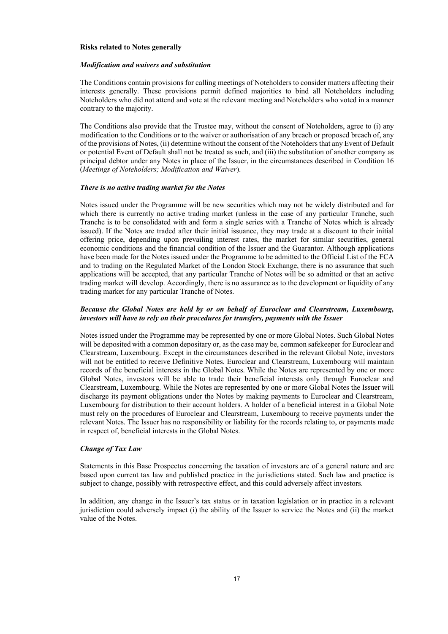#### **Risks related to Notes generally**

#### *Modification and waivers and substitution*

The Conditions contain provisions for calling meetings of Noteholders to consider matters affecting their interests generally. These provisions permit defined majorities to bind all Noteholders including Noteholders who did not attend and vote at the relevant meeting and Noteholders who voted in a manner contrary to the majority.

The Conditions also provide that the Trustee may, without the consent of Noteholders, agree to (i) any modification to the Conditions or to the waiver or authorisation of any breach or proposed breach of, any of the provisions of Notes, (ii) determine without the consent of the Noteholders that any Event of Default or potential Event of Default shall not be treated as such, and (iii) the substitution of another company as principal debtor under any Notes in place of the Issuer, in the circumstances described in Condition 16 (*Meetings of Noteholders; Modification and Waiver*).

#### *There is no active trading market for the Notes*

Notes issued under the Programme will be new securities which may not be widely distributed and for which there is currently no active trading market (unless in the case of any particular Tranche, such Tranche is to be consolidated with and form a single series with a Tranche of Notes which is already issued). If the Notes are traded after their initial issuance, they may trade at a discount to their initial offering price, depending upon prevailing interest rates, the market for similar securities, general economic conditions and the financial condition of the Issuer and the Guarantor. Although applications have been made for the Notes issued under the Programme to be admitted to the Official List of the FCA and to trading on the Regulated Market of the London Stock Exchange, there is no assurance that such applications will be accepted, that any particular Tranche of Notes will be so admitted or that an active trading market will develop. Accordingly, there is no assurance as to the development or liquidity of any trading market for any particular Tranche of Notes.

# *Because the Global Notes are held by or on behalf of Euroclear and Clearstream, Luxembourg, investors will have to rely on their procedures for transfers, payments with the Issuer*

Notes issued under the Programme may be represented by one or more Global Notes. Such Global Notes will be deposited with a common depositary or, as the case may be, common safekeeper for Euroclear and Clearstream, Luxembourg. Except in the circumstances described in the relevant Global Note, investors will not be entitled to receive Definitive Notes. Euroclear and Clearstream, Luxembourg will maintain records of the beneficial interests in the Global Notes. While the Notes are represented by one or more Global Notes, investors will be able to trade their beneficial interests only through Euroclear and Clearstream, Luxembourg. While the Notes are represented by one or more Global Notes the Issuer will discharge its payment obligations under the Notes by making payments to Euroclear and Clearstream, Luxembourg for distribution to their account holders. A holder of a beneficial interest in a Global Note must rely on the procedures of Euroclear and Clearstream, Luxembourg to receive payments under the relevant Notes. The Issuer has no responsibility or liability for the records relating to, or payments made in respect of, beneficial interests in the Global Notes.

#### *Change of Tax Law*

Statements in this Base Prospectus concerning the taxation of investors are of a general nature and are based upon current tax law and published practice in the jurisdictions stated. Such law and practice is subject to change, possibly with retrospective effect, and this could adversely affect investors.

In addition, any change in the Issuer's tax status or in taxation legislation or in practice in a relevant jurisdiction could adversely impact (i) the ability of the Issuer to service the Notes and (ii) the market value of the Notes.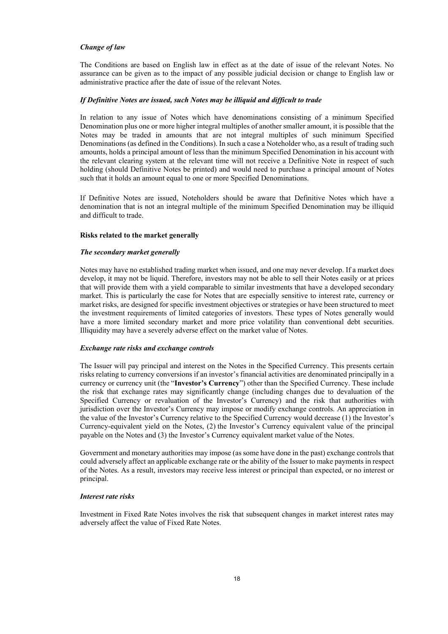#### *Change of law*

The Conditions are based on English law in effect as at the date of issue of the relevant Notes. No assurance can be given as to the impact of any possible judicial decision or change to English law or administrative practice after the date of issue of the relevant Notes.

#### *If Definitive Notes are issued, such Notes may be illiquid and difficult to trade*

In relation to any issue of Notes which have denominations consisting of a minimum Specified Denomination plus one or more higher integral multiples of another smaller amount, it is possible that the Notes may be traded in amounts that are not integral multiples of such minimum Specified Denominations (as defined in the Conditions). In such a case a Noteholder who, as a result of trading such amounts, holds a principal amount of less than the minimum Specified Denomination in his account with the relevant clearing system at the relevant time will not receive a Definitive Note in respect of such holding (should Definitive Notes be printed) and would need to purchase a principal amount of Notes such that it holds an amount equal to one or more Specified Denominations.

If Definitive Notes are issued, Noteholders should be aware that Definitive Notes which have a denomination that is not an integral multiple of the minimum Specified Denomination may be illiquid and difficult to trade.

#### **Risks related to the market generally**

#### *The secondary market generally*

Notes may have no established trading market when issued, and one may never develop. If a market does develop, it may not be liquid. Therefore, investors may not be able to sell their Notes easily or at prices that will provide them with a yield comparable to similar investments that have a developed secondary market. This is particularly the case for Notes that are especially sensitive to interest rate, currency or market risks, are designed for specific investment objectives or strategies or have been structured to meet the investment requirements of limited categories of investors. These types of Notes generally would have a more limited secondary market and more price volatility than conventional debt securities. Illiquidity may have a severely adverse effect on the market value of Notes.

#### *Exchange rate risks and exchange controls*

The Issuer will pay principal and interest on the Notes in the Specified Currency. This presents certain risks relating to currency conversions if an investor's financial activities are denominated principally in a currency or currency unit (the "**Investor's Currency**") other than the Specified Currency. These include the risk that exchange rates may significantly change (including changes due to devaluation of the Specified Currency or revaluation of the Investor's Currency) and the risk that authorities with jurisdiction over the Investor's Currency may impose or modify exchange controls. An appreciation in the value of the Investor's Currency relative to the Specified Currency would decrease (1) the Investor's Currency-equivalent yield on the Notes, (2) the Investor's Currency equivalent value of the principal payable on the Notes and (3) the Investor's Currency equivalent market value of the Notes.

Government and monetary authorities may impose (as some have done in the past) exchange controls that could adversely affect an applicable exchange rate or the ability of the Issuer to make payments in respect of the Notes. As a result, investors may receive less interest or principal than expected, or no interest or principal.

#### *Interest rate risks*

Investment in Fixed Rate Notes involves the risk that subsequent changes in market interest rates may adversely affect the value of Fixed Rate Notes.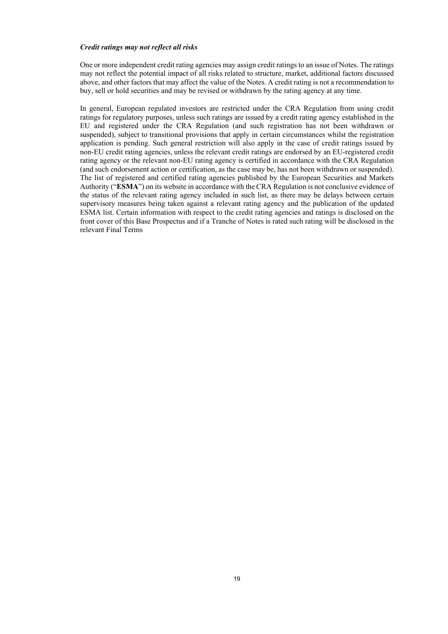#### *Credit ratings may not reflect all risks*

One or more independent credit rating agencies may assign credit ratings to an issue of Notes. The ratings may not reflect the potential impact of all risks related to structure, market, additional factors discussed above, and other factors that may affect the value of the Notes. A credit rating is not a recommendation to buy, sell or hold securities and may be revised or withdrawn by the rating agency at any time.

In general, European regulated investors are restricted under the CRA Regulation from using credit ratings for regulatory purposes, unless such ratings are issued by a credit rating agency established in the EU and registered under the CRA Regulation (and such registration has not been withdrawn or suspended), subject to transitional provisions that apply in certain circumstances whilst the registration application is pending. Such general restriction will also apply in the case of credit ratings issued by non-EU credit rating agencies, unless the relevant credit ratings are endorsed by an EU-registered credit rating agency or the relevant non-EU rating agency is certified in accordance with the CRA Regulation (and such endorsement action or certification, as the case may be, has not been withdrawn or suspended). The list of registered and certified rating agencies published by the European Securities and Markets Authority ("**ESMA**") on its website in accordance with the CRA Regulation is not conclusive evidence of the status of the relevant rating agency included in such list, as there may be delays between certain supervisory measures being taken against a relevant rating agency and the publication of the updated ESMA list. Certain information with respect to the credit rating agencies and ratings is disclosed on the front cover of this Base Prospectus and if a Tranche of Notes is rated such rating will be disclosed in the relevant Final Terms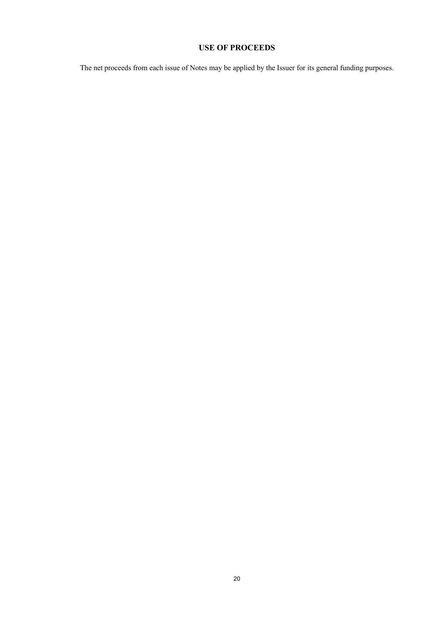# **USE OF PROCEEDS**

The net proceeds from each issue of Notes may be applied by the Issuer for its general funding purposes.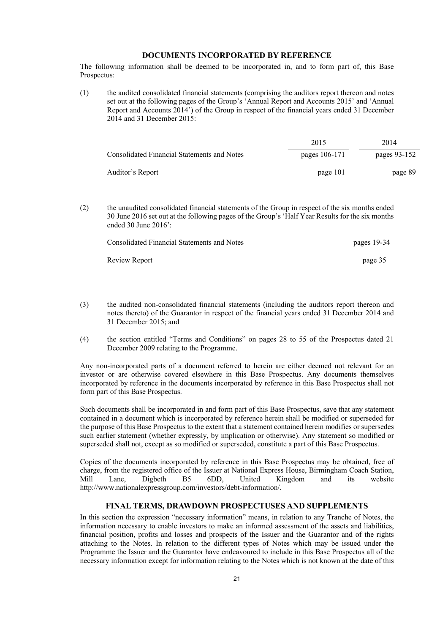# **DOCUMENTS INCORPORATED BY REFERENCE**

The following information shall be deemed to be incorporated in, and to form part of, this Base Prospectus:

(1) the audited consolidated financial statements (comprising the auditors report thereon and notes set out at the following pages of the Group's 'Annual Report and Accounts 2015' and 'Annual Report and Accounts 2014') of the Group in respect of the financial years ended 31 December 2014 and 31 December 2015:

|                                             | 2015          | 2014         |
|---------------------------------------------|---------------|--------------|
| Consolidated Financial Statements and Notes | pages 106-171 | pages 93-152 |
| Auditor's Report                            | page 101      | page 89      |

(2) the unaudited consolidated financial statements of the Group in respect of the six months ended 30 June 2016 set out at the following pages of the Group's 'Half Year Results for the six months ended 30 June 2016':

| Consolidated Financial Statements and Notes | pages 19-34 |
|---------------------------------------------|-------------|
| Review Report                               | page 35     |

- (3) the audited non-consolidated financial statements (including the auditors report thereon and notes thereto) of the Guarantor in respect of the financial years ended 31 December 2014 and 31 December 2015; and
- (4) the section entitled "Terms and Conditions" on pages 28 to 55 of the Prospectus dated 21 December 2009 relating to the Programme.

Any non-incorporated parts of a document referred to herein are either deemed not relevant for an investor or are otherwise covered elsewhere in this Base Prospectus. Any documents themselves incorporated by reference in the documents incorporated by reference in this Base Prospectus shall not form part of this Base Prospectus.

Such documents shall be incorporated in and form part of this Base Prospectus, save that any statement contained in a document which is incorporated by reference herein shall be modified or superseded for the purpose of this Base Prospectus to the extent that a statement contained herein modifies or supersedes such earlier statement (whether expressly, by implication or otherwise). Any statement so modified or superseded shall not, except as so modified or superseded, constitute a part of this Base Prospectus.

Copies of the documents incorporated by reference in this Base Prospectus may be obtained, free of charge, from the registered office of the Issuer at National Express House, Birmingham Coach Station, Mill Lane, Digbeth B5 6DD, United Kingdom and its website http://www.nationalexpressgroup.com/investors/debt-information/.

# **FINAL TERMS, DRAWDOWN PROSPECTUSES AND SUPPLEMENTS**

In this section the expression "necessary information" means, in relation to any Tranche of Notes, the information necessary to enable investors to make an informed assessment of the assets and liabilities, financial position, profits and losses and prospects of the Issuer and the Guarantor and of the rights attaching to the Notes. In relation to the different types of Notes which may be issued under the Programme the Issuer and the Guarantor have endeavoured to include in this Base Prospectus all of the necessary information except for information relating to the Notes which is not known at the date of this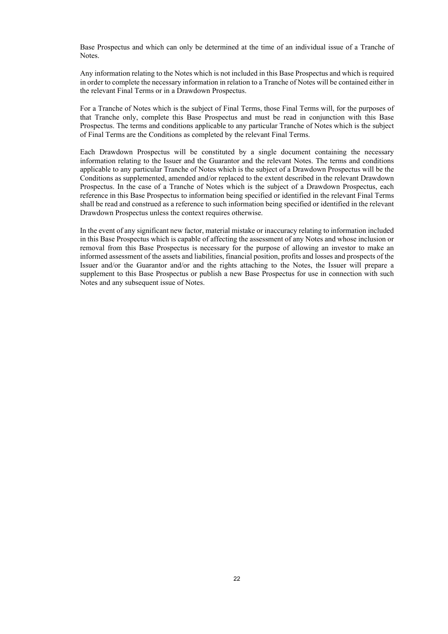Base Prospectus and which can only be determined at the time of an individual issue of a Tranche of Notes.

Any information relating to the Notes which is not included in this Base Prospectus and which is required in order to complete the necessary information in relation to a Tranche of Notes will be contained either in the relevant Final Terms or in a Drawdown Prospectus.

For a Tranche of Notes which is the subject of Final Terms, those Final Terms will, for the purposes of that Tranche only, complete this Base Prospectus and must be read in conjunction with this Base Prospectus. The terms and conditions applicable to any particular Tranche of Notes which is the subject of Final Terms are the Conditions as completed by the relevant Final Terms.

Each Drawdown Prospectus will be constituted by a single document containing the necessary information relating to the Issuer and the Guarantor and the relevant Notes. The terms and conditions applicable to any particular Tranche of Notes which is the subject of a Drawdown Prospectus will be the Conditions as supplemented, amended and/or replaced to the extent described in the relevant Drawdown Prospectus. In the case of a Tranche of Notes which is the subject of a Drawdown Prospectus, each reference in this Base Prospectus to information being specified or identified in the relevant Final Terms shall be read and construed as a reference to such information being specified or identified in the relevant Drawdown Prospectus unless the context requires otherwise.

In the event of any significant new factor, material mistake or inaccuracy relating to information included in this Base Prospectus which is capable of affecting the assessment of any Notes and whose inclusion or removal from this Base Prospectus is necessary for the purpose of allowing an investor to make an informed assessment of the assets and liabilities, financial position, profits and losses and prospects of the Issuer and/or the Guarantor and/or and the rights attaching to the Notes, the Issuer will prepare a supplement to this Base Prospectus or publish a new Base Prospectus for use in connection with such Notes and any subsequent issue of Notes.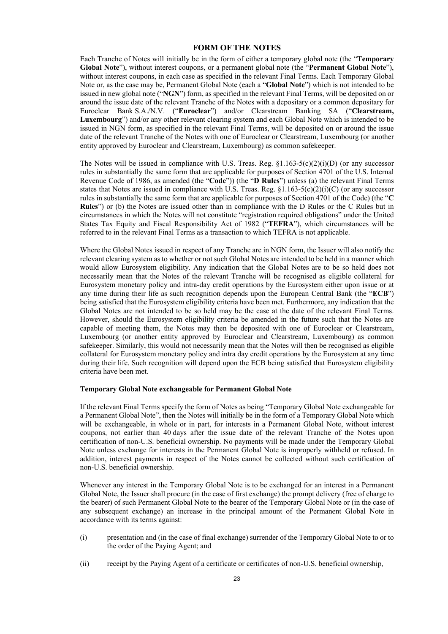# **FORM OF THE NOTES**

Each Tranche of Notes will initially be in the form of either a temporary global note (the "**Temporary Global Note**"), without interest coupons, or a permanent global note (the "**Permanent Global Note**"), without interest coupons, in each case as specified in the relevant Final Terms. Each Temporary Global Note or, as the case may be, Permanent Global Note (each a "**Global Note**") which is not intended to be issued in new global note ("**NGN**") form, as specified in the relevant Final Terms, will be deposited on or around the issue date of the relevant Tranche of the Notes with a depositary or a common depositary for Euroclear Bank S.A./N.V. ("**Euroclear**") and/or Clearstream Banking SA ("**Clearstream, Luxembourg**") and/or any other relevant clearing system and each Global Note which is intended to be issued in NGN form, as specified in the relevant Final Terms, will be deposited on or around the issue date of the relevant Tranche of the Notes with one of Euroclear or Clearstream, Luxembourg (or another entity approved by Euroclear and Clearstream, Luxembourg) as common safekeeper.

The Notes will be issued in compliance with U.S. Treas. Reg.  $\S1.163-5(c)(2)(i)(D)$  (or any successor rules in substantially the same form that are applicable for purposes of Section 4701 of the U.S. Internal Revenue Code of 1986, as amended (the "**Code**")) (the "**D Rules**") unless (a) the relevant Final Terms states that Notes are issued in compliance with U.S. Treas. Reg. §1.163-5(c)(2)(i)(C) (or any successor rules in substantially the same form that are applicable for purposes of Section 4701 of the Code) (the "**C Rules**") or (b) the Notes are issued other than in compliance with the D Rules or the C Rules but in circumstances in which the Notes will not constitute "registration required obligations" under the United States Tax Equity and Fiscal Responsibility Act of 1982 ("**TEFRA**"), which circumstances will be referred to in the relevant Final Terms as a transaction to which TEFRA is not applicable.

Where the Global Notes issued in respect of any Tranche are in NGN form, the Issuer will also notify the relevant clearing system as to whether or not such Global Notes are intended to be held in a manner which would allow Eurosystem eligibility. Any indication that the Global Notes are to be so held does not necessarily mean that the Notes of the relevant Tranche will be recognised as eligible collateral for Eurosystem monetary policy and intra-day credit operations by the Eurosystem either upon issue or at any time during their life as such recognition depends upon the European Central Bank (the "**ECB**") being satisfied that the Eurosystem eligibility criteria have been met. Furthermore, any indication that the Global Notes are not intended to be so held may be the case at the date of the relevant Final Terms. However, should the Eurosystem eligibility criteria be amended in the future such that the Notes are capable of meeting them, the Notes may then be deposited with one of Euroclear or Clearstream, Luxembourg (or another entity approved by Euroclear and Clearstream, Luxembourg) as common safekeeper. Similarly, this would not necessarily mean that the Notes will then be recognised as eligible collateral for Eurosystem monetary policy and intra day credit operations by the Eurosystem at any time during their life. Such recognition will depend upon the ECB being satisfied that Eurosystem eligibility criteria have been met.

#### **Temporary Global Note exchangeable for Permanent Global Note**

If the relevant Final Terms specify the form of Notes as being "Temporary Global Note exchangeable for a Permanent Global Note", then the Notes will initially be in the form of a Temporary Global Note which will be exchangeable, in whole or in part, for interests in a Permanent Global Note, without interest coupons, not earlier than 40 days after the issue date of the relevant Tranche of the Notes upon certification of non-U.S. beneficial ownership. No payments will be made under the Temporary Global Note unless exchange for interests in the Permanent Global Note is improperly withheld or refused. In addition, interest payments in respect of the Notes cannot be collected without such certification of non-U.S. beneficial ownership.

Whenever any interest in the Temporary Global Note is to be exchanged for an interest in a Permanent Global Note, the Issuer shall procure (in the case of first exchange) the prompt delivery (free of charge to the bearer) of such Permanent Global Note to the bearer of the Temporary Global Note or (in the case of any subsequent exchange) an increase in the principal amount of the Permanent Global Note in accordance with its terms against:

- (i) presentation and (in the case of final exchange) surrender of the Temporary Global Note to or to the order of the Paying Agent; and
- (ii) receipt by the Paying Agent of a certificate or certificates of non-U.S. beneficial ownership,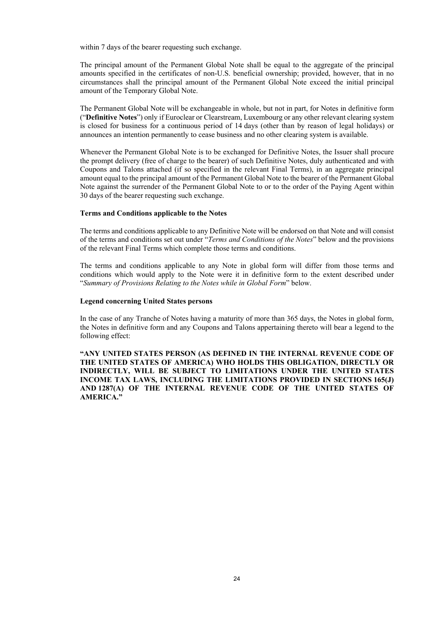within 7 days of the bearer requesting such exchange.

The principal amount of the Permanent Global Note shall be equal to the aggregate of the principal amounts specified in the certificates of non-U.S. beneficial ownership; provided, however, that in no circumstances shall the principal amount of the Permanent Global Note exceed the initial principal amount of the Temporary Global Note.

The Permanent Global Note will be exchangeable in whole, but not in part, for Notes in definitive form ("**Definitive Notes**") only if Euroclear or Clearstream, Luxembourg or any other relevant clearing system is closed for business for a continuous period of 14 days (other than by reason of legal holidays) or announces an intention permanently to cease business and no other clearing system is available.

Whenever the Permanent Global Note is to be exchanged for Definitive Notes, the Issuer shall procure the prompt delivery (free of charge to the bearer) of such Definitive Notes, duly authenticated and with Coupons and Talons attached (if so specified in the relevant Final Terms), in an aggregate principal amount equal to the principal amount of the Permanent Global Note to the bearer of the Permanent Global Note against the surrender of the Permanent Global Note to or to the order of the Paying Agent within 30 days of the bearer requesting such exchange.

#### **Terms and Conditions applicable to the Notes**

The terms and conditions applicable to any Definitive Note will be endorsed on that Note and will consist of the terms and conditions set out under "*Terms and Conditions of the Notes*" below and the provisions of the relevant Final Terms which complete those terms and conditions.

The terms and conditions applicable to any Note in global form will differ from those terms and conditions which would apply to the Note were it in definitive form to the extent described under "*Summary of Provisions Relating to the Notes while in Global Form*" below.

#### **Legend concerning United States persons**

In the case of any Tranche of Notes having a maturity of more than 365 days, the Notes in global form, the Notes in definitive form and any Coupons and Talons appertaining thereto will bear a legend to the following effect:

**"ANY UNITED STATES PERSON (AS DEFINED IN THE INTERNAL REVENUE CODE OF THE UNITED STATES OF AMERICA) WHO HOLDS THIS OBLIGATION, DIRECTLY OR INDIRECTLY, WILL BE SUBJECT TO LIMITATIONS UNDER THE UNITED STATES INCOME TAX LAWS, INCLUDING THE LIMITATIONS PROVIDED IN SECTIONS 165(J) AND 1287(A) OF THE INTERNAL REVENUE CODE OF THE UNITED STATES OF AMERICA."**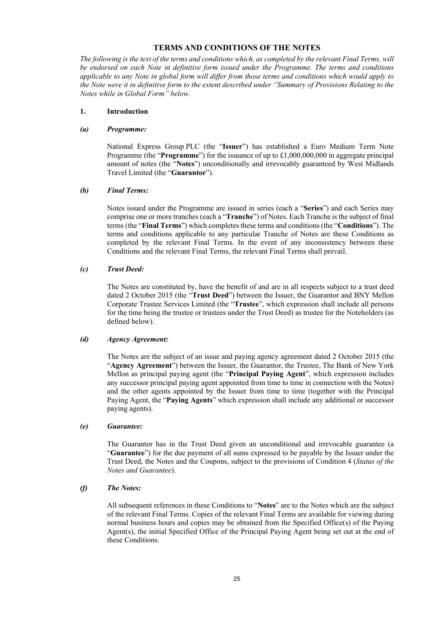# **TERMS AND CONDITIONS OF THE NOTES**

*The following is the text of the terms and conditions which, as completed by the relevant Final Terms, will be endorsed on each Note in definitive form issued under the Programme. The terms and conditions applicable to any Note in global form will differ from those terms and conditions which would apply to the Note were it in definitive form to the extent described under "Summary of Provisions Relating to the Notes while in Global Form" below.*

#### **1. Introduction**

#### *(a) Programme:*

National Express Group PLC (the "**Issuer**") has established a Euro Medium Term Note Programme (the "**Programme**") for the issuance of up to £1,000,000,000 in aggregate principal amount of notes (the "**Notes**") unconditionally and irrevocably guaranteed by West Midlands Travel Limited (the "**Guarantor**").

#### *(b) Final Terms:*

Notes issued under the Programme are issued in series (each a "**Series**") and each Series may comprise one or more tranches (each a "**Tranche**") of Notes. Each Tranche is the subject of final terms (the "**Final Terms**") which completes these terms and conditions (the "**Conditions**"). The terms and conditions applicable to any particular Tranche of Notes are these Conditions as completed by the relevant Final Terms. In the event of any inconsistency between these Conditions and the relevant Final Terms, the relevant Final Terms shall prevail.

#### *(c) Trust Deed:*

The Notes are constituted by, have the benefit of and are in all respects subject to a trust deed dated 2 October 2015 (the "**Trust Deed**") between the Issuer, the Guarantor and BNY Mellon Corporate Trustee Services Limited (the "**Trustee**", which expression shall include all persons for the time being the trustee or trustees under the Trust Deed) as trustee for the Noteholders (as defined below).

#### *(d) Agency Agreement:*

The Notes are the subject of an issue and paying agency agreement dated 2 October 2015 (the "**Agency Agreement**") between the Issuer, the Guarantor, the Trustee, The Bank of New York Mellon as principal paying agent (the "**Principal Paying Agent**", which expression includes any successor principal paying agent appointed from time to time in connection with the Notes) and the other agents appointed by the Issuer from time to time (together with the Principal Paying Agent, the "**Paying Agents**" which expression shall include any additional or successor paying agents).

#### *(e) Guarantee:*

The Guarantor has in the Trust Deed given an unconditional and irrevocable guarantee (a "**Guarantee**") for the due payment of all sums expressed to be payable by the Issuer under the Trust Deed, the Notes and the Coupons, subject to the provisions of Condition 4 (*Status of the Notes and Guarantee*).

#### *(f) The Notes:*

All subsequent references in these Conditions to "**Notes**" are to the Notes which are the subject of the relevant Final Terms. Copies of the relevant Final Terms are available for viewing during normal business hours and copies may be obtained from the Specified Office(s) of the Paying Agent(s), the initial Specified Office of the Principal Paying Agent being set out at the end of these Conditions.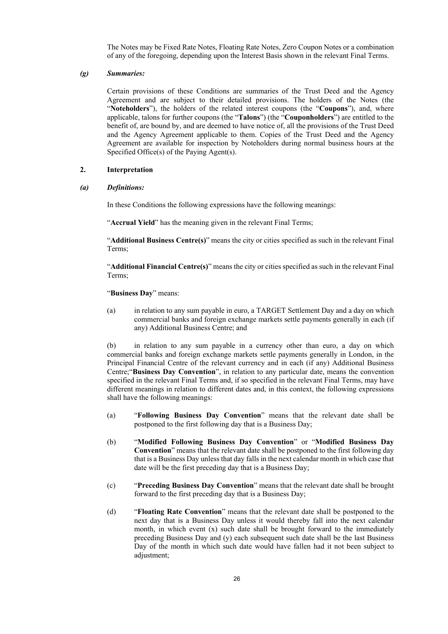The Notes may be Fixed Rate Notes, Floating Rate Notes, Zero Coupon Notes or a combination of any of the foregoing, depending upon the Interest Basis shown in the relevant Final Terms.

#### *(g) Summaries:*

Certain provisions of these Conditions are summaries of the Trust Deed and the Agency Agreement and are subject to their detailed provisions. The holders of the Notes (the "**Noteholders**"), the holders of the related interest coupons (the "**Coupons**"), and, where applicable, talons for further coupons (the "**Talons**") (the "**Couponholders**") are entitled to the benefit of, are bound by, and are deemed to have notice of, all the provisions of the Trust Deed and the Agency Agreement applicable to them. Copies of the Trust Deed and the Agency Agreement are available for inspection by Noteholders during normal business hours at the Specified Office(s) of the Paying Agent(s).

#### **2. Interpretation**

*(a) Definitions:*

In these Conditions the following expressions have the following meanings:

"**Accrual Yield**" has the meaning given in the relevant Final Terms;

"**Additional Business Centre(s)**" means the city or cities specified as such in the relevant Final Terms;

"**Additional Financial Centre(s)**" means the city or cities specified as such in the relevant Final Terms;

"**Business Day**" means:

(a) in relation to any sum payable in euro, a TARGET Settlement Day and a day on which commercial banks and foreign exchange markets settle payments generally in each (if any) Additional Business Centre; and

(b) in relation to any sum payable in a currency other than euro, a day on which commercial banks and foreign exchange markets settle payments generally in London, in the Principal Financial Centre of the relevant currency and in each (if any) Additional Business Centre;"**Business Day Convention**", in relation to any particular date, means the convention specified in the relevant Final Terms and, if so specified in the relevant Final Terms, may have different meanings in relation to different dates and, in this context, the following expressions shall have the following meanings:

- (a) "**Following Business Day Convention**" means that the relevant date shall be postponed to the first following day that is a Business Day;
- (b) "**Modified Following Business Day Convention**" or "**Modified Business Day Convention**" means that the relevant date shall be postponed to the first following day that is a Business Day unless that day falls in the next calendar month in which case that date will be the first preceding day that is a Business Day;
- (c) "**Preceding Business Day Convention**" means that the relevant date shall be brought forward to the first preceding day that is a Business Day;
- (d) "**Floating Rate Convention**" means that the relevant date shall be postponed to the next day that is a Business Day unless it would thereby fall into the next calendar month, in which event (x) such date shall be brought forward to the immediately preceding Business Day and (y) each subsequent such date shall be the last Business Day of the month in which such date would have fallen had it not been subject to adjustment;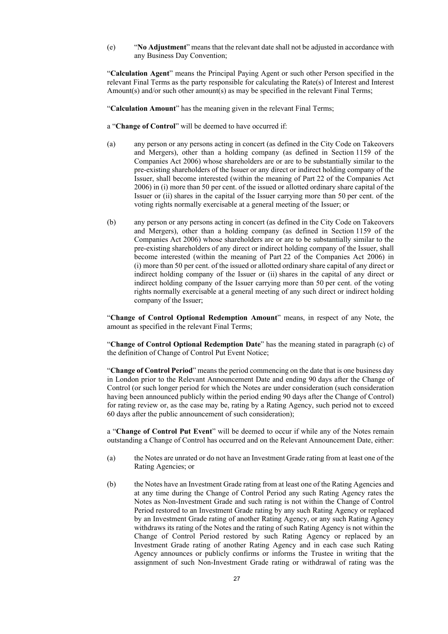(e) "**No Adjustment**" means that the relevant date shall not be adjusted in accordance with any Business Day Convention;

"**Calculation Agent**" means the Principal Paying Agent or such other Person specified in the relevant Final Terms as the party responsible for calculating the Rate(s) of Interest and Interest Amount(s) and/or such other amount(s) as may be specified in the relevant Final Terms;

"**Calculation Amount**" has the meaning given in the relevant Final Terms;

- a "**Change of Control**" will be deemed to have occurred if:
- (a) any person or any persons acting in concert (as defined in the City Code on Takeovers and Mergers), other than a holding company (as defined in Section 1159 of the Companies Act 2006) whose shareholders are or are to be substantially similar to the pre-existing shareholders of the Issuer or any direct or indirect holding company of the Issuer, shall become interested (within the meaning of Part 22 of the Companies Act 2006) in (i) more than 50 per cent. of the issued or allotted ordinary share capital of the Issuer or (ii) shares in the capital of the Issuer carrying more than 50 per cent. of the voting rights normally exercisable at a general meeting of the Issuer; or
- (b) any person or any persons acting in concert (as defined in the City Code on Takeovers and Mergers), other than a holding company (as defined in Section 1159 of the Companies Act 2006) whose shareholders are or are to be substantially similar to the pre-existing shareholders of any direct or indirect holding company of the Issuer, shall become interested (within the meaning of Part 22 of the Companies Act 2006) in (i) more than 50 per cent. of the issued or allotted ordinary share capital of any direct or indirect holding company of the Issuer or (ii) shares in the capital of any direct or indirect holding company of the Issuer carrying more than 50 per cent. of the voting rights normally exercisable at a general meeting of any such direct or indirect holding company of the Issuer;

"**Change of Control Optional Redemption Amount**" means, in respect of any Note, the amount as specified in the relevant Final Terms;

"**Change of Control Optional Redemption Date**" has the meaning stated in paragraph (c) of the definition of Change of Control Put Event Notice;

"**Change of Control Period**" means the period commencing on the date that is one business day in London prior to the Relevant Announcement Date and ending 90 days after the Change of Control (or such longer period for which the Notes are under consideration (such consideration having been announced publicly within the period ending 90 days after the Change of Control) for rating review or, as the case may be, rating by a Rating Agency, such period not to exceed 60 days after the public announcement of such consideration);

a "**Change of Control Put Event**" will be deemed to occur if while any of the Notes remain outstanding a Change of Control has occurred and on the Relevant Announcement Date, either:

- (a) the Notes are unrated or do not have an Investment Grade rating from at least one of the Rating Agencies; or
- (b) the Notes have an Investment Grade rating from at least one of the Rating Agencies and at any time during the Change of Control Period any such Rating Agency rates the Notes as Non-Investment Grade and such rating is not within the Change of Control Period restored to an Investment Grade rating by any such Rating Agency or replaced by an Investment Grade rating of another Rating Agency, or any such Rating Agency withdraws its rating of the Notes and the rating of such Rating Agency is not within the Change of Control Period restored by such Rating Agency or replaced by an Investment Grade rating of another Rating Agency and in each case such Rating Agency announces or publicly confirms or informs the Trustee in writing that the assignment of such Non-Investment Grade rating or withdrawal of rating was the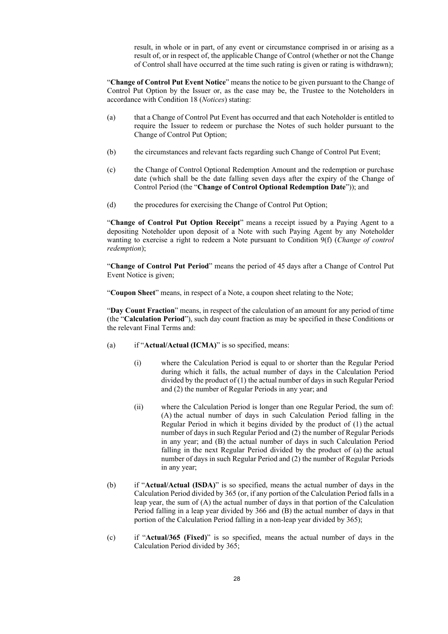result, in whole or in part, of any event or circumstance comprised in or arising as a result of, or in respect of, the applicable Change of Control (whether or not the Change of Control shall have occurred at the time such rating is given or rating is withdrawn);

"**Change of Control Put Event Notice**" means the notice to be given pursuant to the Change of Control Put Option by the Issuer or, as the case may be, the Trustee to the Noteholders in accordance with Condition 18 (*Notices*) stating:

- (a) that a Change of Control Put Event has occurred and that each Noteholder is entitled to require the Issuer to redeem or purchase the Notes of such holder pursuant to the Change of Control Put Option;
- (b) the circumstances and relevant facts regarding such Change of Control Put Event;
- (c) the Change of Control Optional Redemption Amount and the redemption or purchase date (which shall be the date falling seven days after the expiry of the Change of Control Period (the "**Change of Control Optional Redemption Date**")); and
- (d) the procedures for exercising the Change of Control Put Option;

"**Change of Control Put Option Receipt**" means a receipt issued by a Paying Agent to a depositing Noteholder upon deposit of a Note with such Paying Agent by any Noteholder wanting to exercise a right to redeem a Note pursuant to Condition 9(f) (*Change of control redemption*);

"**Change of Control Put Period**" means the period of 45 days after a Change of Control Put Event Notice is given;

"**Coupon Sheet**" means, in respect of a Note, a coupon sheet relating to the Note;

"**Day Count Fraction**" means, in respect of the calculation of an amount for any period of time (the "**Calculation Period**"), such day count fraction as may be specified in these Conditions or the relevant Final Terms and:

- (a) if "**Actual/Actual (ICMA)**" is so specified, means:
	- (i) where the Calculation Period is equal to or shorter than the Regular Period during which it falls, the actual number of days in the Calculation Period divided by the product of (1) the actual number of days in such Regular Period and (2) the number of Regular Periods in any year; and
	- (ii) where the Calculation Period is longer than one Regular Period, the sum of: (A) the actual number of days in such Calculation Period falling in the Regular Period in which it begins divided by the product of (1) the actual number of days in such Regular Period and (2) the number of Regular Periods in any year; and (B) the actual number of days in such Calculation Period falling in the next Regular Period divided by the product of (a) the actual number of days in such Regular Period and (2) the number of Regular Periods in any year;
- (b) if "**Actual/Actual (ISDA)**" is so specified, means the actual number of days in the Calculation Period divided by 365 (or, if any portion of the Calculation Period falls in a leap year, the sum of (A) the actual number of days in that portion of the Calculation Period falling in a leap year divided by 366 and (B) the actual number of days in that portion of the Calculation Period falling in a non-leap year divided by 365);
- (c) if "**Actual/365 (Fixed)**" is so specified, means the actual number of days in the Calculation Period divided by 365;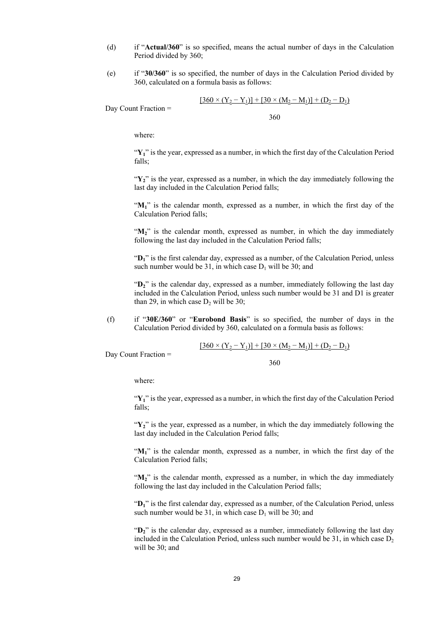- (d) if "**Actual/360**" is so specified, means the actual number of days in the Calculation Period divided by 360;
- (e) if "**30/360**" is so specified, the number of days in the Calculation Period divided by 360, calculated on a formula basis as follows:

$$
[360 \times (Y_2 - Y_1)] + [30 \times (M_2 - M_1)] + (D_2 - D_1)
$$

Day Count Fraction =

360

where:

"Y<sub>1</sub>" is the year, expressed as a number, in which the first day of the Calculation Period falls;

" $Y_2$ " is the year, expressed as a number, in which the day immediately following the last day included in the Calculation Period falls;

"M<sub>1</sub>" is the calendar month, expressed as a number, in which the first day of the Calculation Period falls;

"M<sub>2</sub>" is the calendar month, expressed as number, in which the day immediately following the last day included in the Calculation Period falls;

"D<sub>1</sub>" is the first calendar day, expressed as a number, of the Calculation Period, unless such number would be 31, in which case  $D_1$  will be 30; and

"D<sub>2</sub>" is the calendar day, expressed as a number, immediately following the last day included in the Calculation Period, unless such number would be 31 and D1 is greater than 29, in which case  $D_2$  will be 30;

(f) if "**30E/360**" or "**Eurobond Basis**" is so specified, the number of days in the Calculation Period divided by 360, calculated on a formula basis as follows:

$$
[360 \times (Y_2 - Y_1)] + [30 \times (M_2 - M_1)] + (D_2 - D_1)
$$

Day Count Fraction =

360

where:

"Y<sub>1</sub>" is the year, expressed as a number, in which the first day of the Calculation Period falls;

"Y<sub>2</sub>" is the year, expressed as a number, in which the day immediately following the last day included in the Calculation Period falls;

"M<sub>1</sub>" is the calendar month, expressed as a number, in which the first day of the Calculation Period falls;

"M<sub>2</sub>" is the calendar month, expressed as a number, in which the day immediately following the last day included in the Calculation Period falls;

"D<sub>1</sub>" is the first calendar day, expressed as a number, of the Calculation Period, unless such number would be 31, in which case  $D_1$  will be 30; and

"D<sub>2</sub>" is the calendar day, expressed as a number, immediately following the last day included in the Calculation Period, unless such number would be  $31$ , in which case  $D_2$ will be 30; and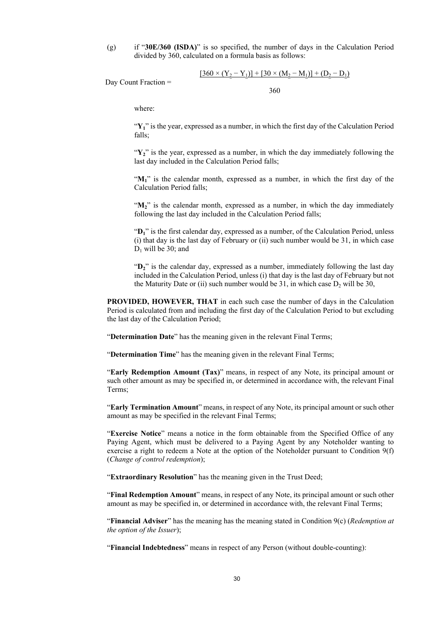(g) if "**30E/360 (ISDA)**" is so specified, the number of days in the Calculation Period divided by 360, calculated on a formula basis as follows:

$$
[360 \times (Y_2 - Y_1)] + [30 \times (M_2 - M_1)] + (D_2 - D_1)
$$

Day Count Fraction =

360

where:

"**Y1**" is the year, expressed as a number, in which the first day of the Calculation Period falls;

"Y<sub>2</sub>" is the year, expressed as a number, in which the day immediately following the last day included in the Calculation Period falls;

"**M1**" is the calendar month, expressed as a number, in which the first day of the Calculation Period falls;

"M<sub>2</sub>" is the calendar month, expressed as a number, in which the day immediately following the last day included in the Calculation Period falls;

"D<sub>1</sub>" is the first calendar day, expressed as a number, of the Calculation Period, unless (i) that day is the last day of February or (ii) such number would be 31, in which case  $D_1$  will be 30; and

"D<sub>2</sub>" is the calendar day, expressed as a number, immediately following the last day included in the Calculation Period, unless (i) that day is the last day of February but not the Maturity Date or (ii) such number would be  $31$ , in which case  $D_2$  will be  $30$ ,

**PROVIDED, HOWEVER, THAT** in each such case the number of days in the Calculation Period is calculated from and including the first day of the Calculation Period to but excluding the last day of the Calculation Period;

"**Determination Date**" has the meaning given in the relevant Final Terms;

"**Determination Time**" has the meaning given in the relevant Final Terms;

"**Early Redemption Amount (Tax)**" means, in respect of any Note, its principal amount or such other amount as may be specified in, or determined in accordance with, the relevant Final Terms;

"**Early Termination Amount**" means, in respect of any Note, its principal amount or such other amount as may be specified in the relevant Final Terms;

"**Exercise Notice**" means a notice in the form obtainable from the Specified Office of any Paying Agent, which must be delivered to a Paying Agent by any Noteholder wanting to exercise a right to redeem a Note at the option of the Noteholder pursuant to Condition 9(f) (*Change of control redemption*);

"**Extraordinary Resolution**" has the meaning given in the Trust Deed;

"**Final Redemption Amount**" means, in respect of any Note, its principal amount or such other amount as may be specified in, or determined in accordance with, the relevant Final Terms;

"**Financial Adviser**" has the meaning has the meaning stated in Condition 9(c) (*Redemption at the option of the Issuer*);

"**Financial Indebtedness**" means in respect of any Person (without double-counting):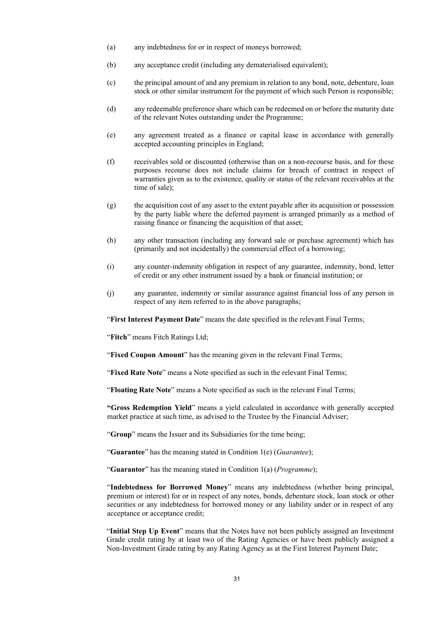- (a) any indebtedness for or in respect of moneys borrowed;
- (b) any acceptance credit (including any dematerialised equivalent);
- (c) the principal amount of and any premium in relation to any bond, note, debenture, loan stock or other similar instrument for the payment of which such Person is responsible;
- (d) any redeemable preference share which can be redeemed on or before the maturity date of the relevant Notes outstanding under the Programme;
- (e) any agreement treated as a finance or capital lease in accordance with generally accepted accounting principles in England;
- (f) receivables sold or discounted (otherwise than on a non-recourse basis, and for these purposes recourse does not include claims for breach of contract in respect of warranties given as to the existence, quality or status of the relevant receivables at the time of sale);
- (g) the acquisition cost of any asset to the extent payable after its acquisition or possession by the party liable where the deferred payment is arranged primarily as a method of raising finance or financing the acquisition of that asset;
- (h) any other transaction (including any forward sale or purchase agreement) which has (primarily and not incidentally) the commercial effect of a borrowing;
- (i) any counter-indemnity obligation in respect of any guarantee, indemnity, bond, letter of credit or any other instrument issued by a bank or financial institution; or
- (j) any guarantee, indemnity or similar assurance against financial loss of any person in respect of any item referred to in the above paragraphs;

"**First Interest Payment Date**" means the date specified in the relevant Final Terms;

"**Fitch**" means Fitch Ratings Ltd;

"**Fixed Coupon Amount**" has the meaning given in the relevant Final Terms;

"**Fixed Rate Note**" means a Note specified as such in the relevant Final Terms;

"**Floating Rate Note**" means a Note specified as such in the relevant Final Terms;

**"Gross Redemption Yield**" means a yield calculated in accordance with generally accepted market practice at such time, as advised to the Trustee by the Financial Adviser;

"**Group**" means the Issuer and its Subsidiaries for the time being;

"**Guarantee**" has the meaning stated in Condition 1(e) (*Guarantee*);

"**Guarantor**" has the meaning stated in Condition 1(a) (*Programme*);

"**Indebtedness for Borrowed Money**" means any indebtedness (whether being principal, premium or interest) for or in respect of any notes, bonds, debenture stock, loan stock or other securities or any indebtedness for borrowed money or any liability under or in respect of any acceptance or acceptance credit;

"**Initial Step Up Event**" means that the Notes have not been publicly assigned an Investment Grade credit rating by at least two of the Rating Agencies or have been publicly assigned a Non-Investment Grade rating by any Rating Agency as at the First Interest Payment Date;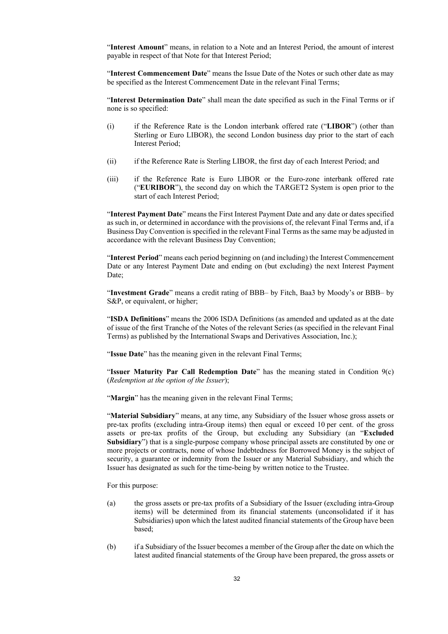"**Interest Amount**" means, in relation to a Note and an Interest Period, the amount of interest payable in respect of that Note for that Interest Period;

"**Interest Commencement Date**" means the Issue Date of the Notes or such other date as may be specified as the Interest Commencement Date in the relevant Final Terms;

"**Interest Determination Date**" shall mean the date specified as such in the Final Terms or if none is so specified:

- (i) if the Reference Rate is the London interbank offered rate ("**LIBOR**") (other than Sterling or Euro LIBOR), the second London business day prior to the start of each Interest Period;
- (ii) if the Reference Rate is Sterling LIBOR, the first day of each Interest Period; and
- (iii) if the Reference Rate is Euro LIBOR or the Euro-zone interbank offered rate ("**EURIBOR**"), the second day on which the TARGET2 System is open prior to the start of each Interest Period;

"**Interest Payment Date**" means the First Interest Payment Date and any date or dates specified as such in, or determined in accordance with the provisions of, the relevant Final Terms and, if a Business Day Convention is specified in the relevant Final Terms as the same may be adjusted in accordance with the relevant Business Day Convention;

"**Interest Period**" means each period beginning on (and including) the Interest Commencement Date or any Interest Payment Date and ending on (but excluding) the next Interest Payment Date;

"**Investment Grade**" means a credit rating of BBB– by Fitch, Baa3 by Moody's or BBB– by S&P, or equivalent, or higher;

"**ISDA Definitions**" means the 2006 ISDA Definitions (as amended and updated as at the date of issue of the first Tranche of the Notes of the relevant Series (as specified in the relevant Final Terms) as published by the International Swaps and Derivatives Association, Inc.);

"**Issue Date**" has the meaning given in the relevant Final Terms;

"**Issuer Maturity Par Call Redemption Date**" has the meaning stated in Condition 9(c) (*Redemption at the option of the Issuer*);

"**Margin**" has the meaning given in the relevant Final Terms;

"**Material Subsidiary**" means, at any time, any Subsidiary of the Issuer whose gross assets or pre-tax profits (excluding intra-Group items) then equal or exceed 10 per cent. of the gross assets or pre-tax profits of the Group, but excluding any Subsidiary (an "**Excluded Subsidiary**") that is a single-purpose company whose principal assets are constituted by one or more projects or contracts, none of whose Indebtedness for Borrowed Money is the subject of security, a guarantee or indemnity from the Issuer or any Material Subsidiary, and which the Issuer has designated as such for the time-being by written notice to the Trustee.

For this purpose:

- (a) the gross assets or pre-tax profits of a Subsidiary of the Issuer (excluding intra-Group items) will be determined from its financial statements (unconsolidated if it has Subsidiaries) upon which the latest audited financial statements of the Group have been based;
- (b) if a Subsidiary of the Issuer becomes a member of the Group after the date on which the latest audited financial statements of the Group have been prepared, the gross assets or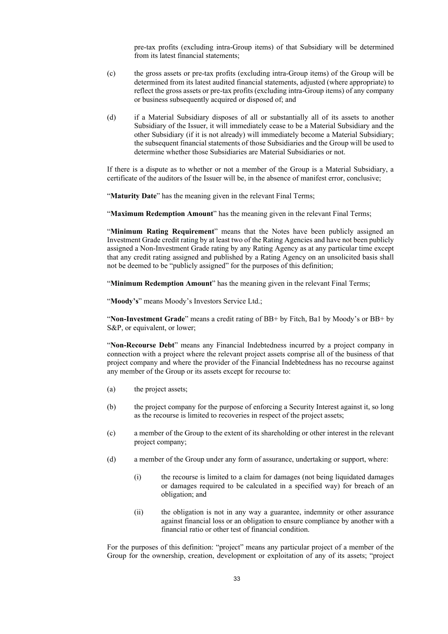pre-tax profits (excluding intra-Group items) of that Subsidiary will be determined from its latest financial statements;

- (c) the gross assets or pre-tax profits (excluding intra-Group items) of the Group will be determined from its latest audited financial statements, adjusted (where appropriate) to reflect the gross assets or pre-tax profits (excluding intra-Group items) of any company or business subsequently acquired or disposed of; and
- (d) if a Material Subsidiary disposes of all or substantially all of its assets to another Subsidiary of the Issuer, it will immediately cease to be a Material Subsidiary and the other Subsidiary (if it is not already) will immediately become a Material Subsidiary; the subsequent financial statements of those Subsidiaries and the Group will be used to determine whether those Subsidiaries are Material Subsidiaries or not.

If there is a dispute as to whether or not a member of the Group is a Material Subsidiary, a certificate of the auditors of the Issuer will be, in the absence of manifest error, conclusive;

"**Maturity Date**" has the meaning given in the relevant Final Terms;

"**Maximum Redemption Amount**" has the meaning given in the relevant Final Terms;

"**Minimum Rating Requirement**" means that the Notes have been publicly assigned an Investment Grade credit rating by at least two of the Rating Agencies and have not been publicly assigned a Non-Investment Grade rating by any Rating Agency as at any particular time except that any credit rating assigned and published by a Rating Agency on an unsolicited basis shall not be deemed to be "publicly assigned" for the purposes of this definition;

"**Minimum Redemption Amount**" has the meaning given in the relevant Final Terms;

"**Moody's**" means Moody's Investors Service Ltd.;

"**Non-Investment Grade**" means a credit rating of BB+ by Fitch, Ba1 by Moody's or BB+ by S&P, or equivalent, or lower;

"**Non-Recourse Debt**" means any Financial Indebtedness incurred by a project company in connection with a project where the relevant project assets comprise all of the business of that project company and where the provider of the Financial Indebtedness has no recourse against any member of the Group or its assets except for recourse to:

- (a) the project assets;
- (b) the project company for the purpose of enforcing a Security Interest against it, so long as the recourse is limited to recoveries in respect of the project assets;
- (c) a member of the Group to the extent of its shareholding or other interest in the relevant project company;
- (d) a member of the Group under any form of assurance, undertaking or support, where:
	- (i) the recourse is limited to a claim for damages (not being liquidated damages or damages required to be calculated in a specified way) for breach of an obligation; and
	- (ii) the obligation is not in any way a guarantee, indemnity or other assurance against financial loss or an obligation to ensure compliance by another with a financial ratio or other test of financial condition.

For the purposes of this definition: "project" means any particular project of a member of the Group for the ownership, creation, development or exploitation of any of its assets; "project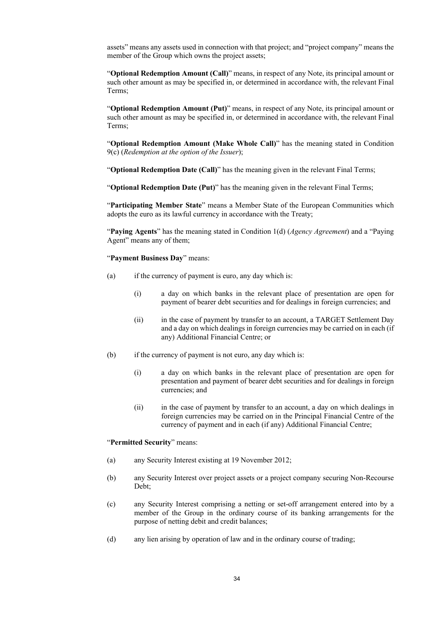assets" means any assets used in connection with that project; and "project company" means the member of the Group which owns the project assets:

"**Optional Redemption Amount (Call)**" means, in respect of any Note, its principal amount or such other amount as may be specified in, or determined in accordance with, the relevant Final Terms;

"**Optional Redemption Amount (Put)**" means, in respect of any Note, its principal amount or such other amount as may be specified in, or determined in accordance with, the relevant Final Terms;

"**Optional Redemption Amount (Make Whole Call)**" has the meaning stated in Condition 9(c) (*Redemption at the option of the Issuer*);

"**Optional Redemption Date (Call)**" has the meaning given in the relevant Final Terms;

"**Optional Redemption Date (Put)**" has the meaning given in the relevant Final Terms;

"**Participating Member State**" means a Member State of the European Communities which adopts the euro as its lawful currency in accordance with the Treaty;

"**Paying Agents**" has the meaning stated in Condition 1(d) (*Agency Agreement*) and a "Paying Agent" means any of them;

"**Payment Business Day**" means:

- (a) if the currency of payment is euro, any day which is:
	- (i) a day on which banks in the relevant place of presentation are open for payment of bearer debt securities and for dealings in foreign currencies; and
	- (ii) in the case of payment by transfer to an account, a TARGET Settlement Day and a day on which dealings in foreign currencies may be carried on in each (if any) Additional Financial Centre; or
- (b) if the currency of payment is not euro, any day which is:
	- (i) a day on which banks in the relevant place of presentation are open for presentation and payment of bearer debt securities and for dealings in foreign currencies; and
	- (ii) in the case of payment by transfer to an account, a day on which dealings in foreign currencies may be carried on in the Principal Financial Centre of the currency of payment and in each (if any) Additional Financial Centre;

### "**Permitted Security**" means:

- (a) any Security Interest existing at 19 November 2012;
- (b) any Security Interest over project assets or a project company securing Non-Recourse Debt;
- (c) any Security Interest comprising a netting or set-off arrangement entered into by a member of the Group in the ordinary course of its banking arrangements for the purpose of netting debit and credit balances;
- (d) any lien arising by operation of law and in the ordinary course of trading;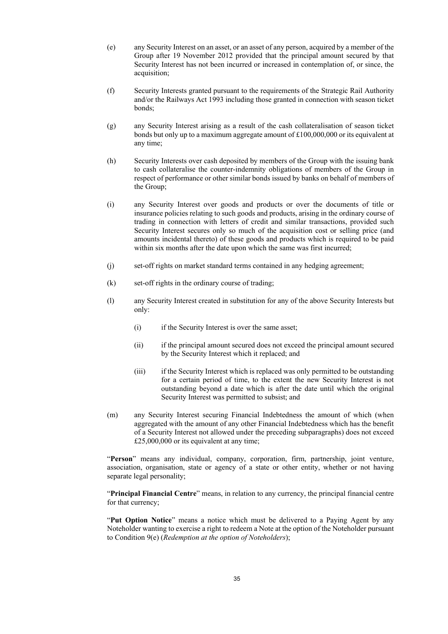- (e) any Security Interest on an asset, or an asset of any person, acquired by a member of the Group after 19 November 2012 provided that the principal amount secured by that Security Interest has not been incurred or increased in contemplation of, or since, the acquisition;
- (f) Security Interests granted pursuant to the requirements of the Strategic Rail Authority and/or the Railways Act 1993 including those granted in connection with season ticket bonds;
- (g) any Security Interest arising as a result of the cash collateralisation of season ticket bonds but only up to a maximum aggregate amount of £100,000,000 or its equivalent at any time;
- (h) Security Interests over cash deposited by members of the Group with the issuing bank to cash collateralise the counter-indemnity obligations of members of the Group in respect of performance or other similar bonds issued by banks on behalf of members of the Group;
- (i) any Security Interest over goods and products or over the documents of title or insurance policies relating to such goods and products, arising in the ordinary course of trading in connection with letters of credit and similar transactions, provided such Security Interest secures only so much of the acquisition cost or selling price (and amounts incidental thereto) of these goods and products which is required to be paid within six months after the date upon which the same was first incurred;
- (j) set-off rights on market standard terms contained in any hedging agreement;
- (k) set-off rights in the ordinary course of trading;
- (l) any Security Interest created in substitution for any of the above Security Interests but only:
	- (i) if the Security Interest is over the same asset;
	- (ii) if the principal amount secured does not exceed the principal amount secured by the Security Interest which it replaced; and
	- (iii) if the Security Interest which is replaced was only permitted to be outstanding for a certain period of time, to the extent the new Security Interest is not outstanding beyond a date which is after the date until which the original Security Interest was permitted to subsist; and
- (m) any Security Interest securing Financial Indebtedness the amount of which (when aggregated with the amount of any other Financial Indebtedness which has the benefit of a Security Interest not allowed under the preceding subparagraphs) does not exceed £25,000,000 or its equivalent at any time;

"**Person**" means any individual, company, corporation, firm, partnership, joint venture, association, organisation, state or agency of a state or other entity, whether or not having separate legal personality;

"**Principal Financial Centre**" means, in relation to any currency, the principal financial centre for that currency;

"**Put Option Notice**" means a notice which must be delivered to a Paying Agent by any Noteholder wanting to exercise a right to redeem a Note at the option of the Noteholder pursuant to Condition 9(e) (*Redemption at the option of Noteholders*);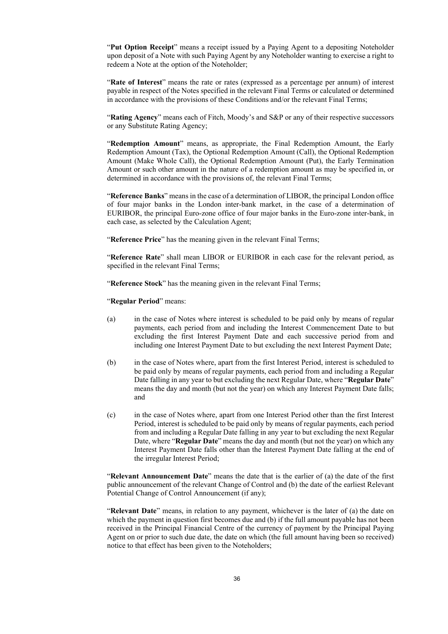"**Put Option Receipt**" means a receipt issued by a Paying Agent to a depositing Noteholder upon deposit of a Note with such Paying Agent by any Noteholder wanting to exercise a right to redeem a Note at the option of the Noteholder;

"**Rate of Interest**" means the rate or rates (expressed as a percentage per annum) of interest payable in respect of the Notes specified in the relevant Final Terms or calculated or determined in accordance with the provisions of these Conditions and/or the relevant Final Terms;

"**Rating Agency**" means each of Fitch, Moody's and S&P or any of their respective successors or any Substitute Rating Agency;

"**Redemption Amount**" means, as appropriate, the Final Redemption Amount, the Early Redemption Amount (Tax), the Optional Redemption Amount (Call), the Optional Redemption Amount (Make Whole Call), the Optional Redemption Amount (Put), the Early Termination Amount or such other amount in the nature of a redemption amount as may be specified in, or determined in accordance with the provisions of, the relevant Final Terms;

"**Reference Banks**" means in the case of a determination of LIBOR, the principal London office of four major banks in the London inter-bank market, in the case of a determination of EURIBOR, the principal Euro-zone office of four major banks in the Euro-zone inter-bank, in each case, as selected by the Calculation Agent;

"**Reference Price**" has the meaning given in the relevant Final Terms;

"**Reference Rate**" shall mean LIBOR or EURIBOR in each case for the relevant period, as specified in the relevant Final Terms;

"**Reference Stock**" has the meaning given in the relevant Final Terms;

"**Regular Period**" means:

- (a) in the case of Notes where interest is scheduled to be paid only by means of regular payments, each period from and including the Interest Commencement Date to but excluding the first Interest Payment Date and each successive period from and including one Interest Payment Date to but excluding the next Interest Payment Date;
- (b) in the case of Notes where, apart from the first Interest Period, interest is scheduled to be paid only by means of regular payments, each period from and including a Regular Date falling in any year to but excluding the next Regular Date, where "**Regular Date**" means the day and month (but not the year) on which any Interest Payment Date falls; and
- (c) in the case of Notes where, apart from one Interest Period other than the first Interest Period, interest is scheduled to be paid only by means of regular payments, each period from and including a Regular Date falling in any year to but excluding the next Regular Date, where "**Regular Date**" means the day and month (but not the year) on which any Interest Payment Date falls other than the Interest Payment Date falling at the end of the irregular Interest Period;

"**Relevant Announcement Date**" means the date that is the earlier of (a) the date of the first public announcement of the relevant Change of Control and (b) the date of the earliest Relevant Potential Change of Control Announcement (if any);

"**Relevant Date**" means, in relation to any payment, whichever is the later of (a) the date on which the payment in question first becomes due and (b) if the full amount payable has not been received in the Principal Financial Centre of the currency of payment by the Principal Paying Agent on or prior to such due date, the date on which (the full amount having been so received) notice to that effect has been given to the Noteholders;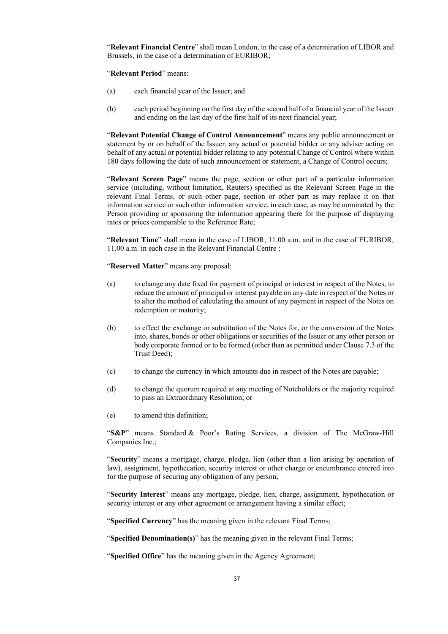"**Relevant Financial Centre**" shall mean London, in the case of a determination of LIBOR and Brussels, in the case of a determination of EURIBOR;

"**Relevant Period**" means:

- (a) each financial year of the Issuer; and
- (b) each period beginning on the first day of the second half of a financial year of the Issuer and ending on the last day of the first half of its next financial year;

"**Relevant Potential Change of Control Announcement**" means any public announcement or statement by or on behalf of the Issuer, any actual or potential bidder or any adviser acting on behalf of any actual or potential bidder relating to any potential Change of Control where within 180 days following the date of such announcement or statement, a Change of Control occurs;

"**Relevant Screen Page**" means the page, section or other part of a particular information service (including, without limitation, Reuters) specified as the Relevant Screen Page in the relevant Final Terms, or such other page, section or other part as may replace it on that information service or such other information service, in each case, as may be nominated by the Person providing or sponsoring the information appearing there for the purpose of displaying rates or prices comparable to the Reference Rate;

"**Relevant Time**" shall mean in the case of LIBOR, 11.00 a.m. and in the case of EURIBOR, 11.00 a.m. in each case in the Relevant Financial Centre ;

"**Reserved Matter**" means any proposal:

- (a) to change any date fixed for payment of principal or interest in respect of the Notes, to reduce the amount of principal or interest payable on any date in respect of the Notes or to alter the method of calculating the amount of any payment in respect of the Notes on redemption or maturity;
- (b) to effect the exchange or substitution of the Notes for, or the conversion of the Notes into, shares, bonds or other obligations or securities of the Issuer or any other person or body corporate formed or to be formed (other than as permitted under Clause 7.3 of the Trust Deed);
- (c) to change the currency in which amounts due in respect of the Notes are payable;
- (d) to change the quorum required at any meeting of Noteholders or the majority required to pass an Extraordinary Resolution; or
- (e) to amend this definition;

"**S&P**" means Standard & Poor's Rating Services, a division of The McGraw-Hill Companies Inc.;

"**Security**" means a mortgage, charge, pledge, lien (other than a lien arising by operation of law), assignment, hypothecation, security interest or other charge or encumbrance entered into for the purpose of securing any obligation of any person;

"**Security Interest**" means any mortgage, pledge, lien, charge, assignment, hypothecation or security interest or any other agreement or arrangement having a similar effect;

"**Specified Currency**" has the meaning given in the relevant Final Terms;

"**Specified Denomination(s)**" has the meaning given in the relevant Final Terms;

"**Specified Office**" has the meaning given in the Agency Agreement;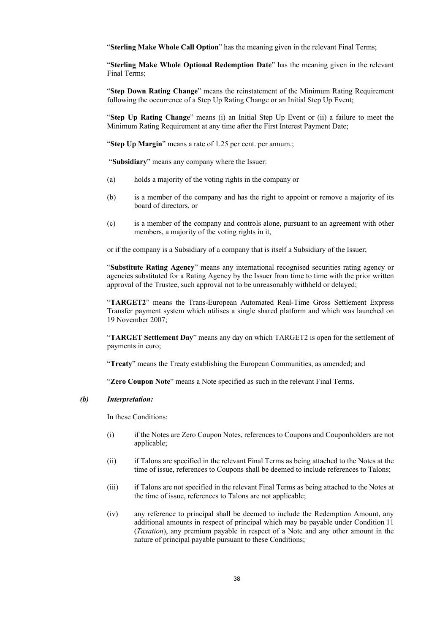"**Sterling Make Whole Call Option**" has the meaning given in the relevant Final Terms;

"**Sterling Make Whole Optional Redemption Date**" has the meaning given in the relevant Final Terms;

"**Step Down Rating Change**" means the reinstatement of the Minimum Rating Requirement following the occurrence of a Step Up Rating Change or an Initial Step Up Event;

"**Step Up Rating Change**" means (i) an Initial Step Up Event or (ii) a failure to meet the Minimum Rating Requirement at any time after the First Interest Payment Date;

"**Step Up Margin**" means a rate of 1.25 per cent. per annum.;

"**Subsidiary**" means any company where the Issuer:

- (a) holds a majority of the voting rights in the company or
- (b) is a member of the company and has the right to appoint or remove a majority of its board of directors, or
- (c) is a member of the company and controls alone, pursuant to an agreement with other members, a majority of the voting rights in it,

or if the company is a Subsidiary of a company that is itself a Subsidiary of the Issuer;

"**Substitute Rating Agency**" means any international recognised securities rating agency or agencies substituted for a Rating Agency by the Issuer from time to time with the prior written approval of the Trustee, such approval not to be unreasonably withheld or delayed;

"**TARGET2**" means the Trans-European Automated Real-Time Gross Settlement Express Transfer payment system which utilises a single shared platform and which was launched on 19 November 2007;

"**TARGET Settlement Day**" means any day on which TARGET2 is open for the settlement of payments in euro;

"**Treaty**" means the Treaty establishing the European Communities, as amended; and

"**Zero Coupon Note**" means a Note specified as such in the relevant Final Terms.

### *(b) Interpretation:*

In these Conditions:

- (i) if the Notes are Zero Coupon Notes, references to Coupons and Couponholders are not applicable;
- (ii) if Talons are specified in the relevant Final Terms as being attached to the Notes at the time of issue, references to Coupons shall be deemed to include references to Talons;
- (iii) if Talons are not specified in the relevant Final Terms as being attached to the Notes at the time of issue, references to Talons are not applicable;
- (iv) any reference to principal shall be deemed to include the Redemption Amount, any additional amounts in respect of principal which may be payable under Condition 11 (*Taxation*), any premium payable in respect of a Note and any other amount in the nature of principal payable pursuant to these Conditions;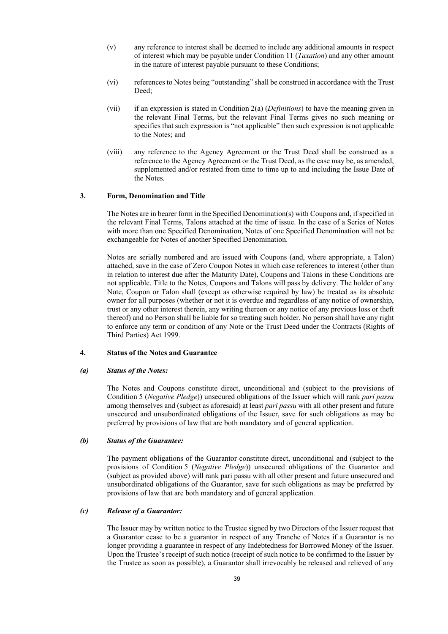- (v) any reference to interest shall be deemed to include any additional amounts in respect of interest which may be payable under Condition 11 (*Taxation*) and any other amount in the nature of interest payable pursuant to these Conditions;
- (vi) references to Notes being "outstanding" shall be construed in accordance with the Trust Deed<sup>-</sup>
- (vii) if an expression is stated in Condition 2(a) (*Definitions*) to have the meaning given in the relevant Final Terms, but the relevant Final Terms gives no such meaning or specifies that such expression is "not applicable" then such expression is not applicable to the Notes; and
- (viii) any reference to the Agency Agreement or the Trust Deed shall be construed as a reference to the Agency Agreement or the Trust Deed, as the case may be, as amended, supplemented and/or restated from time to time up to and including the Issue Date of the Notes.

### **3. Form, Denomination and Title**

The Notes are in bearer form in the Specified Denomination(s) with Coupons and, if specified in the relevant Final Terms, Talons attached at the time of issue. In the case of a Series of Notes with more than one Specified Denomination, Notes of one Specified Denomination will not be exchangeable for Notes of another Specified Denomination.

Notes are serially numbered and are issued with Coupons (and, where appropriate, a Talon) attached, save in the case of Zero Coupon Notes in which case references to interest (other than in relation to interest due after the Maturity Date), Coupons and Talons in these Conditions are not applicable. Title to the Notes, Coupons and Talons will pass by delivery. The holder of any Note, Coupon or Talon shall (except as otherwise required by law) be treated as its absolute owner for all purposes (whether or not it is overdue and regardless of any notice of ownership, trust or any other interest therein, any writing thereon or any notice of any previous loss or theft thereof) and no Person shall be liable for so treating such holder. No person shall have any right to enforce any term or condition of any Note or the Trust Deed under the Contracts (Rights of Third Parties) Act 1999.

## **4. Status of the Notes and Guarantee**

#### *(a) Status of the Notes:*

The Notes and Coupons constitute direct, unconditional and (subject to the provisions of Condition 5 (*Negative Pledge*)) unsecured obligations of the Issuer which will rank *pari passu* among themselves and (subject as aforesaid) at least *pari passu* with all other present and future unsecured and unsubordinated obligations of the Issuer, save for such obligations as may be preferred by provisions of law that are both mandatory and of general application.

### *(b) Status of the Guarantee:*

The payment obligations of the Guarantor constitute direct, unconditional and (subject to the provisions of Condition 5 (*Negative Pledge*)) unsecured obligations of the Guarantor and (subject as provided above) will rank pari passu with all other present and future unsecured and unsubordinated obligations of the Guarantor, save for such obligations as may be preferred by provisions of law that are both mandatory and of general application.

### *(c) Release of a Guarantor:*

The Issuer may by written notice to the Trustee signed by two Directors of the Issuer request that a Guarantor cease to be a guarantor in respect of any Tranche of Notes if a Guarantor is no longer providing a guarantee in respect of any Indebtedness for Borrowed Money of the Issuer. Upon the Trustee's receipt of such notice (receipt of such notice to be confirmed to the Issuer by the Trustee as soon as possible), a Guarantor shall irrevocably be released and relieved of any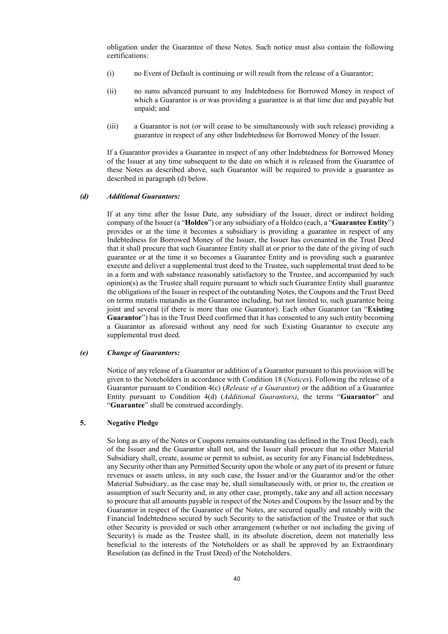obligation under the Guarantee of these Notes. Such notice must also contain the following certifications:

- (i) no Event of Default is continuing or will result from the release of a Guarantor;
- (ii) no sums advanced pursuant to any Indebtedness for Borrowed Money in respect of which a Guarantor is or was providing a guarantee is at that time due and payable but unpaid; and
- (iii) a Guarantor is not (or will cease to be simultaneously with such release) providing a guarantee in respect of any other Indebtedness for Borrowed Money of the Issuer.

If a Guarantor provides a Guarantee in respect of any other Indebtedness for Borrowed Money of the Issuer at any time subsequent to the date on which it is released from the Guarantee of these Notes as described above, such Guarantor will be required to provide a guarantee as described in paragraph (d) below.

### *(d) Additional Guarantors:*

If at any time after the Issue Date, any subsidiary of the Issuer, direct or indirect holding company of the Issuer (a "**Holdco**") or any subsidiary of a Holdco (each, a "**Guarantee Entity**") provides or at the time it becomes a subsidiary is providing a guarantee in respect of any Indebtedness for Borrowed Money of the Issuer, the Issuer has covenanted in the Trust Deed that it shall procure that such Guarantee Entity shall at or prior to the date of the giving of such guarantee or at the time it so becomes a Guarantee Entity and is providing such a guarantee execute and deliver a supplemental trust deed to the Trustee, such supplemental trust deed to be in a form and with substance reasonably satisfactory to the Trustee, and accompanied by such  $\text{opinion}(s)$  as the Trustee shall require pursuant to which such Guarantee Entity shall guarantee the obligations of the Issuer in respect of the outstanding Notes, the Coupons and the Trust Deed on terms mutatis mutandis as the Guarantee including, but not limited to, such guarantee being joint and several (if there is more than one Guarantor). Each other Guarantor (an "**Existing Guarantor**") has in the Trust Deed confirmed that it has consented to any such entity becoming a Guarantor as aforesaid without any need for such Existing Guarantor to execute any supplemental trust deed.

### *(e) Change of Guarantors:*

Notice of any release of a Guarantor or addition of a Guarantor pursuant to this provision will be given to the Noteholders in accordance with Condition 18 (*Notices*). Following the release of a Guarantor pursuant to Condition 4(c) (*Release of a Guarantor)* or the addition of a Guarantee Entity pursuant to Condition 4(d) (*Additional Guarantors)*, the terms "**Guarantor**" and "**Guarantee**" shall be construed accordingly.

### **5. Negative Pledge**

So long as any of the Notes or Coupons remains outstanding (as defined in the Trust Deed), each of the Issuer and the Guarantor shall not, and the Issuer shall procure that no other Material Subsidiary shall, create, assume or permit to subsist, as security for any Financial Indebtedness, any Security other than any Permitted Security upon the whole or any part of its present or future revenues or assets unless, in any such case, the Issuer and/or the Guarantor and/or the other Material Subsidiary, as the case may be, shall simultaneously with, or prior to, the creation or assumption of such Security and, in any other case, promptly, take any and all action necessary to procure that all amounts payable in respect of the Notes and Coupons by the Issuer and by the Guarantor in respect of the Guarantee of the Notes, are secured equally and rateably with the Financial Indebtedness secured by such Security to the satisfaction of the Trustee or that such other Security is provided or such other arrangement (whether or not including the giving of Security) is made as the Trustee shall, in its absolute discretion, deem not materially less beneficial to the interests of the Noteholders or as shall be approved by an Extraordinary Resolution (as defined in the Trust Deed) of the Noteholders.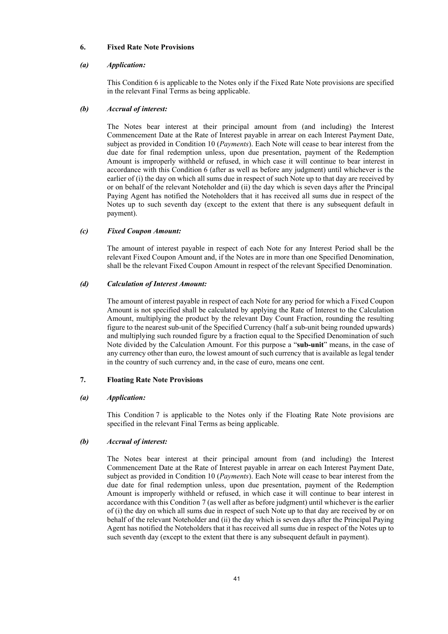### **6. Fixed Rate Note Provisions**

### *(a) Application:*

This Condition 6 is applicable to the Notes only if the Fixed Rate Note provisions are specified in the relevant Final Terms as being applicable.

### *(b) Accrual of interest:*

The Notes bear interest at their principal amount from (and including) the Interest Commencement Date at the Rate of Interest payable in arrear on each Interest Payment Date, subject as provided in Condition 10 (*Payments*). Each Note will cease to bear interest from the due date for final redemption unless, upon due presentation, payment of the Redemption Amount is improperly withheld or refused, in which case it will continue to bear interest in accordance with this Condition 6 (after as well as before any judgment) until whichever is the earlier of (i) the day on which all sums due in respect of such Note up to that day are received by or on behalf of the relevant Noteholder and (ii) the day which is seven days after the Principal Paying Agent has notified the Noteholders that it has received all sums due in respect of the Notes up to such seventh day (except to the extent that there is any subsequent default in payment).

### *(c) Fixed Coupon Amount:*

The amount of interest payable in respect of each Note for any Interest Period shall be the relevant Fixed Coupon Amount and, if the Notes are in more than one Specified Denomination, shall be the relevant Fixed Coupon Amount in respect of the relevant Specified Denomination.

### *(d) Calculation of Interest Amount:*

The amount of interest payable in respect of each Note for any period for which a Fixed Coupon Amount is not specified shall be calculated by applying the Rate of Interest to the Calculation Amount, multiplying the product by the relevant Day Count Fraction, rounding the resulting figure to the nearest sub-unit of the Specified Currency (half a sub-unit being rounded upwards) and multiplying such rounded figure by a fraction equal to the Specified Denomination of such Note divided by the Calculation Amount. For this purpose a "**sub-unit**" means, in the case of any currency other than euro, the lowest amount of such currency that is available as legal tender in the country of such currency and, in the case of euro, means one cent.

### **7. Floating Rate Note Provisions**

#### *(a) Application:*

This Condition 7 is applicable to the Notes only if the Floating Rate Note provisions are specified in the relevant Final Terms as being applicable.

### *(b) Accrual of interest:*

The Notes bear interest at their principal amount from (and including) the Interest Commencement Date at the Rate of Interest payable in arrear on each Interest Payment Date, subject as provided in Condition 10 (*Payments*). Each Note will cease to bear interest from the due date for final redemption unless, upon due presentation, payment of the Redemption Amount is improperly withheld or refused, in which case it will continue to bear interest in accordance with this Condition 7 (as well after as before judgment) until whichever is the earlier of (i) the day on which all sums due in respect of such Note up to that day are received by or on behalf of the relevant Noteholder and (ii) the day which is seven days after the Principal Paying Agent has notified the Noteholders that it has received all sums due in respect of the Notes up to such seventh day (except to the extent that there is any subsequent default in payment).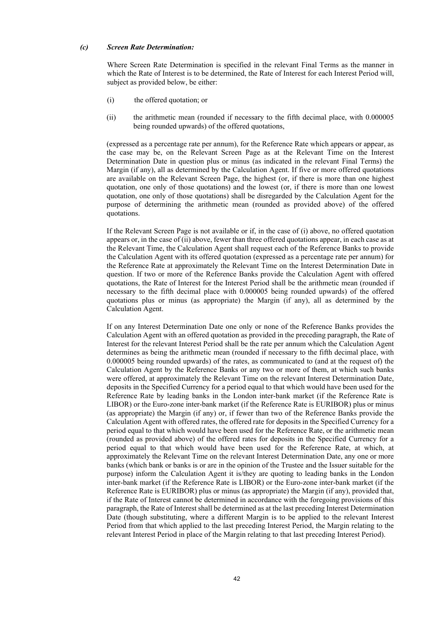### *(c) Screen Rate Determination:*

Where Screen Rate Determination is specified in the relevant Final Terms as the manner in which the Rate of Interest is to be determined, the Rate of Interest for each Interest Period will, subject as provided below, be either:

- (i) the offered quotation; or
- (ii) the arithmetic mean (rounded if necessary to the fifth decimal place, with 0.000005 being rounded upwards) of the offered quotations,

(expressed as a percentage rate per annum), for the Reference Rate which appears or appear, as the case may be, on the Relevant Screen Page as at the Relevant Time on the Interest Determination Date in question plus or minus (as indicated in the relevant Final Terms) the Margin (if any), all as determined by the Calculation Agent. If five or more offered quotations are available on the Relevant Screen Page, the highest (or, if there is more than one highest quotation, one only of those quotations) and the lowest (or, if there is more than one lowest quotation, one only of those quotations) shall be disregarded by the Calculation Agent for the purpose of determining the arithmetic mean (rounded as provided above) of the offered quotations.

If the Relevant Screen Page is not available or if, in the case of (i) above, no offered quotation appears or, in the case of (ii) above, fewer than three offered quotations appear, in each case as at the Relevant Time, the Calculation Agent shall request each of the Reference Banks to provide the Calculation Agent with its offered quotation (expressed as a percentage rate per annum) for the Reference Rate at approximately the Relevant Time on the Interest Determination Date in question. If two or more of the Reference Banks provide the Calculation Agent with offered quotations, the Rate of Interest for the Interest Period shall be the arithmetic mean (rounded if necessary to the fifth decimal place with 0.000005 being rounded upwards) of the offered quotations plus or minus (as appropriate) the Margin (if any), all as determined by the Calculation Agent.

If on any Interest Determination Date one only or none of the Reference Banks provides the Calculation Agent with an offered quotation as provided in the preceding paragraph, the Rate of Interest for the relevant Interest Period shall be the rate per annum which the Calculation Agent determines as being the arithmetic mean (rounded if necessary to the fifth decimal place, with 0.000005 being rounded upwards) of the rates, as communicated to (and at the request of) the Calculation Agent by the Reference Banks or any two or more of them, at which such banks were offered, at approximately the Relevant Time on the relevant Interest Determination Date, deposits in the Specified Currency for a period equal to that which would have been used for the Reference Rate by leading banks in the London inter-bank market (if the Reference Rate is LIBOR) or the Euro-zone inter-bank market (if the Reference Rate is EURIBOR) plus or minus (as appropriate) the Margin (if any) or, if fewer than two of the Reference Banks provide the Calculation Agent with offered rates, the offered rate for deposits in the Specified Currency for a period equal to that which would have been used for the Reference Rate, or the arithmetic mean (rounded as provided above) of the offered rates for deposits in the Specified Currency for a period equal to that which would have been used for the Reference Rate, at which, at approximately the Relevant Time on the relevant Interest Determination Date, any one or more banks (which bank or banks is or are in the opinion of the Trustee and the Issuer suitable for the purpose) inform the Calculation Agent it is/they are quoting to leading banks in the London inter-bank market (if the Reference Rate is LIBOR) or the Euro-zone inter-bank market (if the Reference Rate is EURIBOR) plus or minus (as appropriate) the Margin (if any), provided that, if the Rate of Interest cannot be determined in accordance with the foregoing provisions of this paragraph, the Rate of Interest shall be determined as at the last preceding Interest Determination Date (though substituting, where a different Margin is to be applied to the relevant Interest Period from that which applied to the last preceding Interest Period, the Margin relating to the relevant Interest Period in place of the Margin relating to that last preceding Interest Period).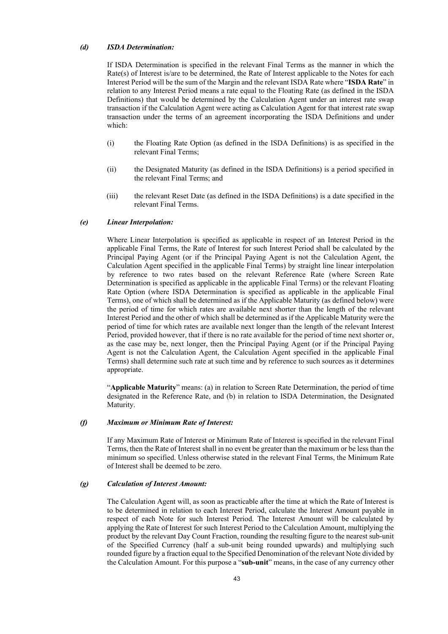### *(d) ISDA Determination:*

If ISDA Determination is specified in the relevant Final Terms as the manner in which the Rate(s) of Interest is/are to be determined, the Rate of Interest applicable to the Notes for each Interest Period will be the sum of the Margin and the relevant ISDA Rate where "**ISDA Rate**" in relation to any Interest Period means a rate equal to the Floating Rate (as defined in the ISDA Definitions) that would be determined by the Calculation Agent under an interest rate swap transaction if the Calculation Agent were acting as Calculation Agent for that interest rate swap transaction under the terms of an agreement incorporating the ISDA Definitions and under which:

- (i) the Floating Rate Option (as defined in the ISDA Definitions) is as specified in the relevant Final Terms;
- (ii) the Designated Maturity (as defined in the ISDA Definitions) is a period specified in the relevant Final Terms; and
- (iii) the relevant Reset Date (as defined in the ISDA Definitions) is a date specified in the relevant Final Terms.

#### *(e) Linear Interpolation:*

Where Linear Interpolation is specified as applicable in respect of an Interest Period in the applicable Final Terms, the Rate of Interest for such Interest Period shall be calculated by the Principal Paying Agent (or if the Principal Paying Agent is not the Calculation Agent, the Calculation Agent specified in the applicable Final Terms) by straight line linear interpolation by reference to two rates based on the relevant Reference Rate (where Screen Rate Determination is specified as applicable in the applicable Final Terms) or the relevant Floating Rate Option (where ISDA Determination is specified as applicable in the applicable Final Terms), one of which shall be determined as if the Applicable Maturity (as defined below) were the period of time for which rates are available next shorter than the length of the relevant Interest Period and the other of which shall be determined as if the Applicable Maturity were the period of time for which rates are available next longer than the length of the relevant Interest Period, provided however, that if there is no rate available for the period of time next shorter or, as the case may be, next longer, then the Principal Paying Agent (or if the Principal Paying Agent is not the Calculation Agent, the Calculation Agent specified in the applicable Final Terms) shall determine such rate at such time and by reference to such sources as it determines appropriate.

"**Applicable Maturity**" means: (a) in relation to Screen Rate Determination, the period of time designated in the Reference Rate, and (b) in relation to ISDA Determination, the Designated Maturity.

#### *(f) Maximum or Minimum Rate of Interest:*

If any Maximum Rate of Interest or Minimum Rate of Interest is specified in the relevant Final Terms, then the Rate of Interest shall in no event be greater than the maximum or be less than the minimum so specified. Unless otherwise stated in the relevant Final Terms, the Minimum Rate of Interest shall be deemed to be zero.

### *(g) Calculation of Interest Amount:*

The Calculation Agent will, as soon as practicable after the time at which the Rate of Interest is to be determined in relation to each Interest Period, calculate the Interest Amount payable in respect of each Note for such Interest Period. The Interest Amount will be calculated by applying the Rate of Interest for such Interest Period to the Calculation Amount, multiplying the product by the relevant Day Count Fraction, rounding the resulting figure to the nearest sub-unit of the Specified Currency (half a sub-unit being rounded upwards) and multiplying such rounded figure by a fraction equal to the Specified Denomination of the relevant Note divided by the Calculation Amount. For this purpose a "**sub-unit**" means, in the case of any currency other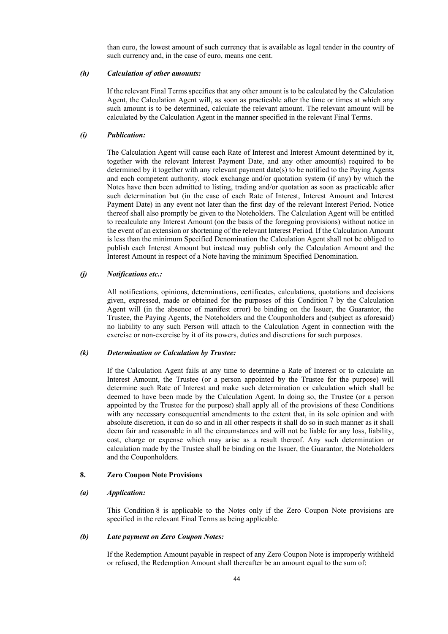than euro, the lowest amount of such currency that is available as legal tender in the country of such currency and, in the case of euro, means one cent.

#### *(h) Calculation of other amounts:*

If the relevant Final Terms specifies that any other amount is to be calculated by the Calculation Agent, the Calculation Agent will, as soon as practicable after the time or times at which any such amount is to be determined, calculate the relevant amount. The relevant amount will be calculated by the Calculation Agent in the manner specified in the relevant Final Terms.

#### *(i) Publication:*

The Calculation Agent will cause each Rate of Interest and Interest Amount determined by it, together with the relevant Interest Payment Date, and any other amount(s) required to be determined by it together with any relevant payment date(s) to be notified to the Paying Agents and each competent authority, stock exchange and/or quotation system (if any) by which the Notes have then been admitted to listing, trading and/or quotation as soon as practicable after such determination but (in the case of each Rate of Interest, Interest Amount and Interest Payment Date) in any event not later than the first day of the relevant Interest Period. Notice thereof shall also promptly be given to the Noteholders. The Calculation Agent will be entitled to recalculate any Interest Amount (on the basis of the foregoing provisions) without notice in the event of an extension or shortening of the relevant Interest Period. If the Calculation Amount is less than the minimum Specified Denomination the Calculation Agent shall not be obliged to publish each Interest Amount but instead may publish only the Calculation Amount and the Interest Amount in respect of a Note having the minimum Specified Denomination.

#### *(j) Notifications etc.:*

All notifications, opinions, determinations, certificates, calculations, quotations and decisions given, expressed, made or obtained for the purposes of this Condition 7 by the Calculation Agent will (in the absence of manifest error) be binding on the Issuer, the Guarantor, the Trustee, the Paying Agents, the Noteholders and the Couponholders and (subject as aforesaid) no liability to any such Person will attach to the Calculation Agent in connection with the exercise or non-exercise by it of its powers, duties and discretions for such purposes.

## *(k) Determination or Calculation by Trustee:*

If the Calculation Agent fails at any time to determine a Rate of Interest or to calculate an Interest Amount, the Trustee (or a person appointed by the Trustee for the purpose) will determine such Rate of Interest and make such determination or calculation which shall be deemed to have been made by the Calculation Agent. In doing so, the Trustee (or a person appointed by the Trustee for the purpose) shall apply all of the provisions of these Conditions with any necessary consequential amendments to the extent that, in its sole opinion and with absolute discretion, it can do so and in all other respects it shall do so in such manner as it shall deem fair and reasonable in all the circumstances and will not be liable for any loss, liability, cost, charge or expense which may arise as a result thereof. Any such determination or calculation made by the Trustee shall be binding on the Issuer, the Guarantor, the Noteholders and the Couponholders.

#### **8. Zero Coupon Note Provisions**

#### *(a) Application:*

This Condition 8 is applicable to the Notes only if the Zero Coupon Note provisions are specified in the relevant Final Terms as being applicable.

#### *(b) Late payment on Zero Coupon Notes:*

If the Redemption Amount payable in respect of any Zero Coupon Note is improperly withheld or refused, the Redemption Amount shall thereafter be an amount equal to the sum of: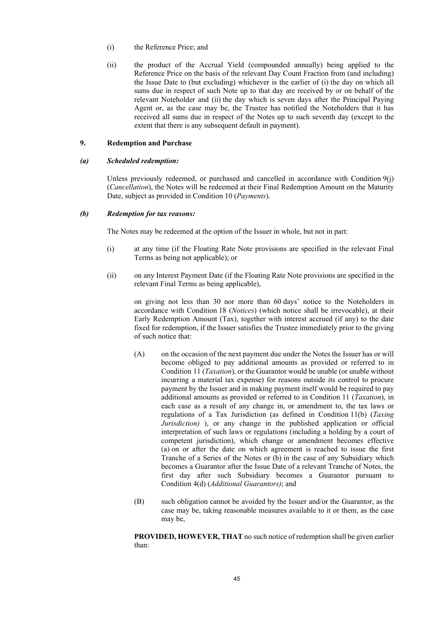- (i) the Reference Price; and
- (ii) the product of the Accrual Yield (compounded annually) being applied to the Reference Price on the basis of the relevant Day Count Fraction from (and including) the Issue Date to (but excluding) whichever is the earlier of (i) the day on which all sums due in respect of such Note up to that day are received by or on behalf of the relevant Noteholder and (ii) the day which is seven days after the Principal Paying Agent or, as the case may be, the Trustee has notified the Noteholders that it has received all sums due in respect of the Notes up to such seventh day (except to the extent that there is any subsequent default in payment).

### **9. Redemption and Purchase**

#### *(a) Scheduled redemption:*

Unless previously redeemed, or purchased and cancelled in accordance with Condition 9(j) (*Cancellation*), the Notes will be redeemed at their Final Redemption Amount on the Maturity Date, subject as provided in Condition 10 (*Payments*).

#### *(b) Redemption for tax reasons:*

The Notes may be redeemed at the option of the Issuer in whole, but not in part:

- (i) at any time (if the Floating Rate Note provisions are specified in the relevant Final Terms as being not applicable); or
- (ii) on any Interest Payment Date (if the Floating Rate Note provisions are specified in the relevant Final Terms as being applicable),

on giving not less than 30 nor more than 60 days' notice to the Noteholders in accordance with Condition 18 (*Notices*) (which notice shall be irrevocable), at their Early Redemption Amount (Tax), together with interest accrued (if any) to the date fixed for redemption, if the Issuer satisfies the Trustee immediately prior to the giving of such notice that:

- (A) on the occasion of the next payment due under the Notes the Issuer has or will become obliged to pay additional amounts as provided or referred to in Condition 11 (*Taxation*), or the Guarantor would be unable (or unable without incurring a material tax expense) for reasons outside its control to procure payment by the Issuer and in making payment itself would be required to pay additional amounts as provided or referred to in Condition 11 (*Taxation*), in each case as a result of any change in, or amendment to, the tax laws or regulations of a Tax Jurisdiction (as defined in Condition 11(b) (*Taxing Jurisdiction)* ), or any change in the published application or official interpretation of such laws or regulations (including a holding by a court of competent jurisdiction), which change or amendment becomes effective (a) on or after the date on which agreement is reached to issue the first Tranche of a Series of the Notes or (b) in the case of any Subsidiary which becomes a Guarantor after the Issue Date of a relevant Tranche of Notes, the first day after such Subsidiary becomes a Guarantor pursuant to Condition 4(d) (*Additional Guarantors)*; and
- (B) such obligation cannot be avoided by the Issuer and/or the Guarantor, as the case may be, taking reasonable measures available to it or them, as the case may be,

**PROVIDED, HOWEVER, THAT** no such notice of redemption shall be given earlier than: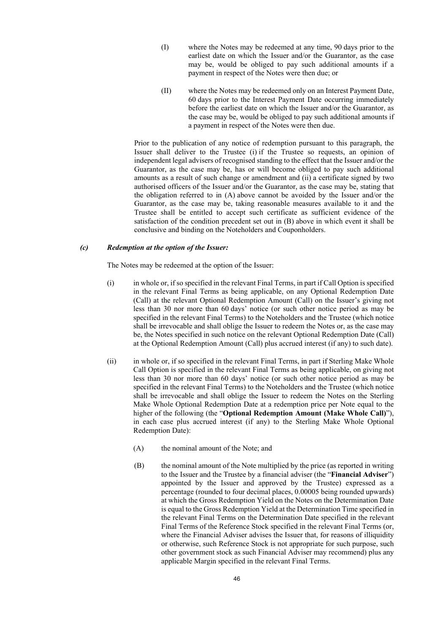- (I) where the Notes may be redeemed at any time, 90 days prior to the earliest date on which the Issuer and/or the Guarantor, as the case may be, would be obliged to pay such additional amounts if a payment in respect of the Notes were then due; or
- (II) where the Notes may be redeemed only on an Interest Payment Date, 60 days prior to the Interest Payment Date occurring immediately before the earliest date on which the Issuer and/or the Guarantor, as the case may be, would be obliged to pay such additional amounts if a payment in respect of the Notes were then due.

Prior to the publication of any notice of redemption pursuant to this paragraph, the Issuer shall deliver to the Trustee (i) if the Trustee so requests, an opinion of independent legal advisers of recognised standing to the effect that the Issuer and/or the Guarantor, as the case may be, has or will become obliged to pay such additional amounts as a result of such change or amendment and (ii) a certificate signed by two authorised officers of the Issuer and/or the Guarantor, as the case may be, stating that the obligation referred to in (A) above cannot be avoided by the Issuer and/or the Guarantor, as the case may be, taking reasonable measures available to it and the Trustee shall be entitled to accept such certificate as sufficient evidence of the satisfaction of the condition precedent set out in (B) above in which event it shall be conclusive and binding on the Noteholders and Couponholders.

## *(c) Redemption at the option of the Issuer:*

The Notes may be redeemed at the option of the Issuer:

- (i) in whole or, if so specified in the relevant Final Terms, in part if Call Option is specified in the relevant Final Terms as being applicable, on any Optional Redemption Date (Call) at the relevant Optional Redemption Amount (Call) on the Issuer's giving not less than 30 nor more than 60 days' notice (or such other notice period as may be specified in the relevant Final Terms) to the Noteholders and the Trustee (which notice shall be irrevocable and shall oblige the Issuer to redeem the Notes or, as the case may be, the Notes specified in such notice on the relevant Optional Redemption Date (Call) at the Optional Redemption Amount (Call) plus accrued interest (if any) to such date).
- (ii) in whole or, if so specified in the relevant Final Terms, in part if Sterling Make Whole Call Option is specified in the relevant Final Terms as being applicable, on giving not less than 30 nor more than 60 days' notice (or such other notice period as may be specified in the relevant Final Terms) to the Noteholders and the Trustee (which notice shall be irrevocable and shall oblige the Issuer to redeem the Notes on the Sterling Make Whole Optional Redemption Date at a redemption price per Note equal to the higher of the following (the "**Optional Redemption Amount (Make Whole Call)**"), in each case plus accrued interest (if any) to the Sterling Make Whole Optional Redemption Date):
	- (A) the nominal amount of the Note; and
	- (B) the nominal amount of the Note multiplied by the price (as reported in writing to the Issuer and the Trustee by a financial adviser (the "**Financial Adviser**") appointed by the Issuer and approved by the Trustee) expressed as a percentage (rounded to four decimal places, 0.00005 being rounded upwards) at which the Gross Redemption Yield on the Notes on the Determination Date is equal to the Gross Redemption Yield at the Determination Time specified in the relevant Final Terms on the Determination Date specified in the relevant Final Terms of the Reference Stock specified in the relevant Final Terms (or, where the Financial Adviser advises the Issuer that, for reasons of illiquidity or otherwise, such Reference Stock is not appropriate for such purpose, such other government stock as such Financial Adviser may recommend) plus any applicable Margin specified in the relevant Final Terms.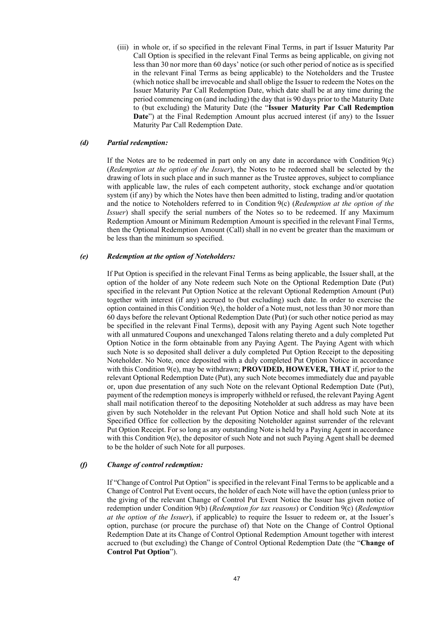(iii) in whole or, if so specified in the relevant Final Terms, in part if Issuer Maturity Par Call Option is specified in the relevant Final Terms as being applicable, on giving not less than 30 nor more than 60 days' notice (or such other period of notice as is specified in the relevant Final Terms as being applicable) to the Noteholders and the Trustee (which notice shall be irrevocable and shall oblige the Issuer to redeem the Notes on the Issuer Maturity Par Call Redemption Date, which date shall be at any time during the period commencing on (and including) the day that is 90 days prior to the Maturity Date to (but excluding) the Maturity Date (the "**Issuer Maturity Par Call Redemption Date**") at the Final Redemption Amount plus accrued interest (if any) to the Issuer Maturity Par Call Redemption Date.

### *(d) Partial redemption:*

If the Notes are to be redeemed in part only on any date in accordance with Condition  $9(c)$ (*Redemption at the option of the Issuer*), the Notes to be redeemed shall be selected by the drawing of lots in such place and in such manner as the Trustee approves, subject to compliance with applicable law, the rules of each competent authority, stock exchange and/or quotation system (if any) by which the Notes have then been admitted to listing, trading and/or quotation and the notice to Noteholders referred to in Condition 9(c) (*Redemption at the option of the Issuer*) shall specify the serial numbers of the Notes so to be redeemed. If any Maximum Redemption Amount or Minimum Redemption Amount is specified in the relevant Final Terms, then the Optional Redemption Amount (Call) shall in no event be greater than the maximum or be less than the minimum so specified.

#### *(e) Redemption at the option of Noteholders:*

If Put Option is specified in the relevant Final Terms as being applicable, the Issuer shall, at the option of the holder of any Note redeem such Note on the Optional Redemption Date (Put) specified in the relevant Put Option Notice at the relevant Optional Redemption Amount (Put) together with interest (if any) accrued to (but excluding) such date. In order to exercise the option contained in this Condition 9(e), the holder of a Note must, not less than 30 nor more than 60 days before the relevant Optional Redemption Date (Put) (or such other notice period as may be specified in the relevant Final Terms), deposit with any Paying Agent such Note together with all unmatured Coupons and unexchanged Talons relating thereto and a duly completed Put Option Notice in the form obtainable from any Paying Agent. The Paying Agent with which such Note is so deposited shall deliver a duly completed Put Option Receipt to the depositing Noteholder. No Note, once deposited with a duly completed Put Option Notice in accordance with this Condition  $9(e)$ , may be withdrawn; **PROVIDED, HOWEVER, THAT** if, prior to the relevant Optional Redemption Date (Put), any such Note becomes immediately due and payable or, upon due presentation of any such Note on the relevant Optional Redemption Date (Put), payment of the redemption moneys is improperly withheld or refused, the relevant Paying Agent shall mail notification thereof to the depositing Noteholder at such address as may have been given by such Noteholder in the relevant Put Option Notice and shall hold such Note at its Specified Office for collection by the depositing Noteholder against surrender of the relevant Put Option Receipt. For so long as any outstanding Note is held by a Paying Agent in accordance with this Condition  $9(e)$ , the depositor of such Note and not such Paying Agent shall be deemed to be the holder of such Note for all purposes.

### *(f) Change of control redemption:*

If "Change of Control Put Option" is specified in the relevant Final Terms to be applicable and a Change of Control Put Event occurs, the holder of each Note will have the option (unless prior to the giving of the relevant Change of Control Put Event Notice the Issuer has given notice of redemption under Condition 9(b) (*Redemption for tax reasons*) or Condition 9(c) (*Redemption at the option of the Issuer*), if applicable) to require the Issuer to redeem or, at the Issuer's option, purchase (or procure the purchase of) that Note on the Change of Control Optional Redemption Date at its Change of Control Optional Redemption Amount together with interest accrued to (but excluding) the Change of Control Optional Redemption Date (the "**Change of Control Put Option**").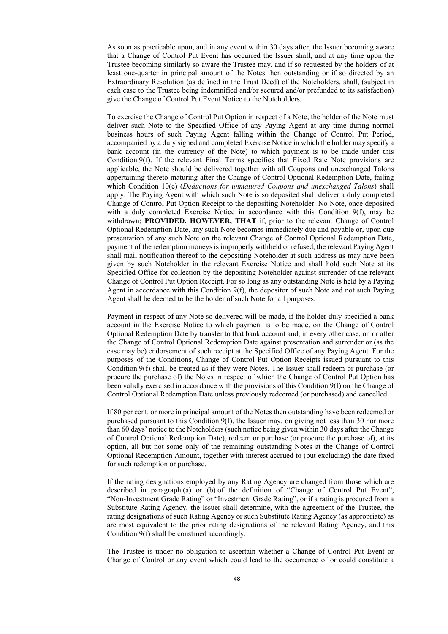As soon as practicable upon, and in any event within 30 days after, the Issuer becoming aware that a Change of Control Put Event has occurred the Issuer shall, and at any time upon the Trustee becoming similarly so aware the Trustee may, and if so requested by the holders of at least one-quarter in principal amount of the Notes then outstanding or if so directed by an Extraordinary Resolution (as defined in the Trust Deed) of the Noteholders, shall, (subject in each case to the Trustee being indemnified and/or secured and/or prefunded to its satisfaction) give the Change of Control Put Event Notice to the Noteholders.

To exercise the Change of Control Put Option in respect of a Note, the holder of the Note must deliver such Note to the Specified Office of any Paying Agent at any time during normal business hours of such Paying Agent falling within the Change of Control Put Period, accompanied by a duly signed and completed Exercise Notice in which the holder may specify a bank account (in the currency of the Note) to which payment is to be made under this Condition 9(f). If the relevant Final Terms specifies that Fixed Rate Note provisions are applicable, the Note should be delivered together with all Coupons and unexchanged Talons appertaining thereto maturing after the Change of Control Optional Redemption Date, failing which Condition 10(e) (*Deductions for unmatured Coupons and unexchanged Talons*) shall apply. The Paying Agent with which such Note is so deposited shall deliver a duly completed Change of Control Put Option Receipt to the depositing Noteholder. No Note, once deposited with a duly completed Exercise Notice in accordance with this Condition 9(f), may be withdrawn; **PROVIDED, HOWEVER, THAT** if, prior to the relevant Change of Control Optional Redemption Date, any such Note becomes immediately due and payable or, upon due presentation of any such Note on the relevant Change of Control Optional Redemption Date, payment of the redemption moneys is improperly withheld or refused, the relevant Paying Agent shall mail notification thereof to the depositing Noteholder at such address as may have been given by such Noteholder in the relevant Exercise Notice and shall hold such Note at its Specified Office for collection by the depositing Noteholder against surrender of the relevant Change of Control Put Option Receipt. For so long as any outstanding Note is held by a Paying Agent in accordance with this Condition 9(f), the depositor of such Note and not such Paying Agent shall be deemed to be the holder of such Note for all purposes.

Payment in respect of any Note so delivered will be made, if the holder duly specified a bank account in the Exercise Notice to which payment is to be made, on the Change of Control Optional Redemption Date by transfer to that bank account and, in every other case, on or after the Change of Control Optional Redemption Date against presentation and surrender or (as the case may be) endorsement of such receipt at the Specified Office of any Paying Agent. For the purposes of the Conditions, Change of Control Put Option Receipts issued pursuant to this Condition 9(f) shall be treated as if they were Notes. The Issuer shall redeem or purchase (or procure the purchase of) the Notes in respect of which the Change of Control Put Option has been validly exercised in accordance with the provisions of this Condition 9(f) on the Change of Control Optional Redemption Date unless previously redeemed (or purchased) and cancelled.

If 80 per cent. or more in principal amount of the Notes then outstanding have been redeemed or purchased pursuant to this Condition 9(f), the Issuer may, on giving not less than 30 nor more than 60 days' notice to the Noteholders (such notice being given within 30 days after the Change of Control Optional Redemption Date), redeem or purchase (or procure the purchase of), at its option, all but not some only of the remaining outstanding Notes at the Change of Control Optional Redemption Amount, together with interest accrued to (but excluding) the date fixed for such redemption or purchase.

If the rating designations employed by any Rating Agency are changed from those which are described in paragraph (a) or (b) of the definition of "Change of Control Put Event", "Non-Investment Grade Rating" or "Investment Grade Rating", or if a rating is procured from a Substitute Rating Agency, the Issuer shall determine, with the agreement of the Trustee, the rating designations of such Rating Agency or such Substitute Rating Agency (as appropriate) as are most equivalent to the prior rating designations of the relevant Rating Agency, and this Condition 9(f) shall be construed accordingly.

The Trustee is under no obligation to ascertain whether a Change of Control Put Event or Change of Control or any event which could lead to the occurrence of or could constitute a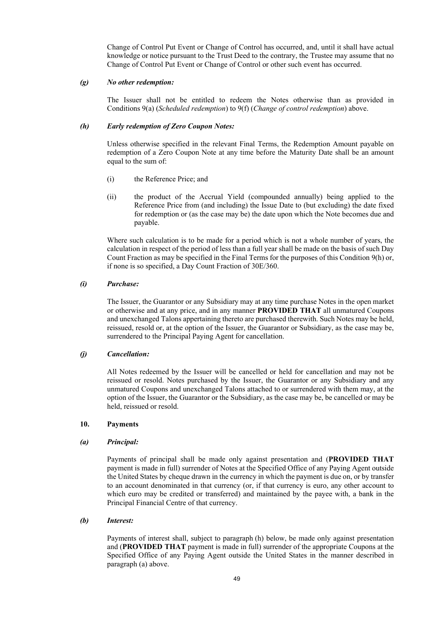Change of Control Put Event or Change of Control has occurred, and, until it shall have actual knowledge or notice pursuant to the Trust Deed to the contrary, the Trustee may assume that no Change of Control Put Event or Change of Control or other such event has occurred.

#### *(g) No other redemption:*

The Issuer shall not be entitled to redeem the Notes otherwise than as provided in Conditions 9(a) (*Scheduled redemption*) to 9(f) (*Change of control redemption*) above.

### *(h) Early redemption of Zero Coupon Notes:*

Unless otherwise specified in the relevant Final Terms, the Redemption Amount payable on redemption of a Zero Coupon Note at any time before the Maturity Date shall be an amount equal to the sum of:

- (i) the Reference Price; and
- (ii) the product of the Accrual Yield (compounded annually) being applied to the Reference Price from (and including) the Issue Date to (but excluding) the date fixed for redemption or (as the case may be) the date upon which the Note becomes due and payable.

Where such calculation is to be made for a period which is not a whole number of years, the calculation in respect of the period of less than a full year shall be made on the basis of such Day Count Fraction as may be specified in the Final Terms for the purposes of this Condition 9(h) or, if none is so specified, a Day Count Fraction of 30E/360.

## *(i) Purchase:*

The Issuer, the Guarantor or any Subsidiary may at any time purchase Notes in the open market or otherwise and at any price, and in any manner **PROVIDED THAT** all unmatured Coupons and unexchanged Talons appertaining thereto are purchased therewith. Such Notes may be held, reissued, resold or, at the option of the Issuer, the Guarantor or Subsidiary, as the case may be, surrendered to the Principal Paying Agent for cancellation.

#### *(j) Cancellation:*

All Notes redeemed by the Issuer will be cancelled or held for cancellation and may not be reissued or resold. Notes purchased by the Issuer, the Guarantor or any Subsidiary and any unmatured Coupons and unexchanged Talons attached to or surrendered with them may, at the option of the Issuer, the Guarantor or the Subsidiary, as the case may be, be cancelled or may be held, reissued or resold.

### **10. Payments**

#### *(a) Principal:*

Payments of principal shall be made only against presentation and (**PROVIDED THAT** payment is made in full) surrender of Notes at the Specified Office of any Paying Agent outside the United States by cheque drawn in the currency in which the payment is due on, or by transfer to an account denominated in that currency (or, if that currency is euro, any other account to which euro may be credited or transferred) and maintained by the payee with, a bank in the Principal Financial Centre of that currency.

### *(b) Interest:*

Payments of interest shall, subject to paragraph (h) below, be made only against presentation and (**PROVIDED THAT** payment is made in full) surrender of the appropriate Coupons at the Specified Office of any Paying Agent outside the United States in the manner described in paragraph (a) above.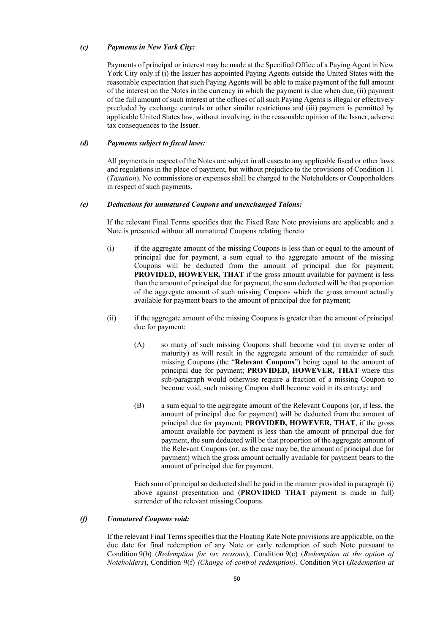### *(c) Payments in New York City:*

Payments of principal or interest may be made at the Specified Office of a Paying Agent in New York City only if (i) the Issuer has appointed Paying Agents outside the United States with the reasonable expectation that such Paying Agents will be able to make payment of the full amount of the interest on the Notes in the currency in which the payment is due when due, (ii) payment of the full amount of such interest at the offices of all such Paying Agents is illegal or effectively precluded by exchange controls or other similar restrictions and (iii) payment is permitted by applicable United States law, without involving, in the reasonable opinion of the Issuer, adverse tax consequences to the Issuer.

### *(d) Payments subject to fiscal laws:*

All payments in respect of the Notes are subject in all cases to any applicable fiscal or other laws and regulations in the place of payment, but without prejudice to the provisions of Condition 11 (*Taxation*). No commissions or expenses shall be charged to the Noteholders or Couponholders in respect of such payments.

#### *(e) Deductions for unmatured Coupons and unexchanged Talons:*

If the relevant Final Terms specifies that the Fixed Rate Note provisions are applicable and a Note is presented without all unmatured Coupons relating thereto:

- (i) if the aggregate amount of the missing Coupons is less than or equal to the amount of principal due for payment, a sum equal to the aggregate amount of the missing Coupons will be deducted from the amount of principal due for payment; **PROVIDED, HOWEVER, THAT** if the gross amount available for payment is less than the amount of principal due for payment, the sum deducted will be that proportion of the aggregate amount of such missing Coupons which the gross amount actually available for payment bears to the amount of principal due for payment;
- (ii) if the aggregate amount of the missing Coupons is greater than the amount of principal due for payment:
	- (A) so many of such missing Coupons shall become void (in inverse order of maturity) as will result in the aggregate amount of the remainder of such missing Coupons (the "**Relevant Coupons**") being equal to the amount of principal due for payment; **PROVIDED, HOWEVER, THAT** where this sub-paragraph would otherwise require a fraction of a missing Coupon to become void, such missing Coupon shall become void in its entirety; and
	- (B) a sum equal to the aggregate amount of the Relevant Coupons (or, if less, the amount of principal due for payment) will be deducted from the amount of principal due for payment; **PROVIDED, HOWEVER, THAT**, if the gross amount available for payment is less than the amount of principal due for payment, the sum deducted will be that proportion of the aggregate amount of the Relevant Coupons (or, as the case may be, the amount of principal due for payment) which the gross amount actually available for payment bears to the amount of principal due for payment.

Each sum of principal so deducted shall be paid in the manner provided in paragraph (i) above against presentation and (**PROVIDED THAT** payment is made in full) surrender of the relevant missing Coupons.

#### *(f) Unmatured Coupons void:*

If the relevant Final Terms specifies that the Floating Rate Note provisions are applicable, on the due date for final redemption of any Note or early redemption of such Note pursuant to Condition 9(b) (*Redemption for tax reasons*), Condition 9(e) (*Redemption at the option of Noteholders*), Condition 9(f) *(Change of control redemption),* Condition 9(c) (*Redemption at*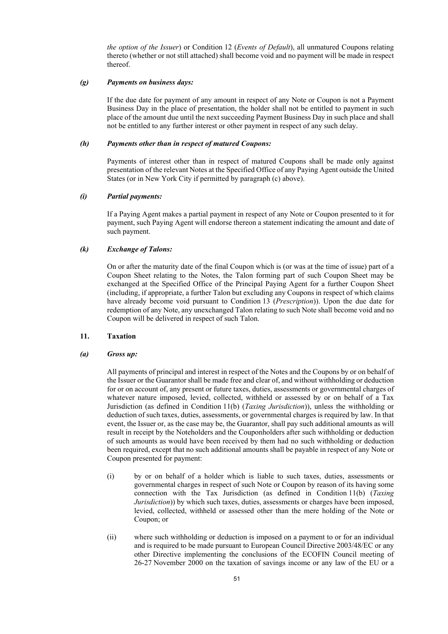*the option of the Issuer*) or Condition 12 (*Events of Default*), all unmatured Coupons relating thereto (whether or not still attached) shall become void and no payment will be made in respect thereof.

#### *(g) Payments on business days:*

If the due date for payment of any amount in respect of any Note or Coupon is not a Payment Business Day in the place of presentation, the holder shall not be entitled to payment in such place of the amount due until the next succeeding Payment Business Day in such place and shall not be entitled to any further interest or other payment in respect of any such delay.

### *(h) Payments other than in respect of matured Coupons:*

Payments of interest other than in respect of matured Coupons shall be made only against presentation of the relevant Notes at the Specified Office of any Paying Agent outside the United States (or in New York City if permitted by paragraph (c) above).

### *(i) Partial payments:*

If a Paying Agent makes a partial payment in respect of any Note or Coupon presented to it for payment, such Paying Agent will endorse thereon a statement indicating the amount and date of such payment.

### *(k) Exchange of Talons:*

On or after the maturity date of the final Coupon which is (or was at the time of issue) part of a Coupon Sheet relating to the Notes, the Talon forming part of such Coupon Sheet may be exchanged at the Specified Office of the Principal Paying Agent for a further Coupon Sheet (including, if appropriate, a further Talon but excluding any Coupons in respect of which claims have already become void pursuant to Condition 13 (*Prescription*)). Upon the due date for redemption of any Note, any unexchanged Talon relating to such Note shall become void and no Coupon will be delivered in respect of such Talon.

### **11. Taxation**

#### *(a) Gross up:*

All payments of principal and interest in respect of the Notes and the Coupons by or on behalf of the Issuer or the Guarantor shall be made free and clear of, and without withholding or deduction for or on account of, any present or future taxes, duties, assessments or governmental charges of whatever nature imposed, levied, collected, withheld or assessed by or on behalf of a Tax Jurisdiction (as defined in Condition 11(b) (*Taxing Jurisdiction*)), unless the withholding or deduction of such taxes, duties, assessments, or governmental charges is required by law. In that event, the Issuer or, as the case may be, the Guarantor, shall pay such additional amounts as will result in receipt by the Noteholders and the Couponholders after such withholding or deduction of such amounts as would have been received by them had no such withholding or deduction been required, except that no such additional amounts shall be payable in respect of any Note or Coupon presented for payment:

- (i) by or on behalf of a holder which is liable to such taxes, duties, assessments or governmental charges in respect of such Note or Coupon by reason of its having some connection with the Tax Jurisdiction (as defined in Condition 11(b) (*Taxing Jurisdiction*)) by which such taxes, duties, assessments or charges have been imposed, levied, collected, withheld or assessed other than the mere holding of the Note or Coupon; or
- (ii) where such withholding or deduction is imposed on a payment to or for an individual and is required to be made pursuant to European Council Directive 2003/48/EC or any other Directive implementing the conclusions of the ECOFIN Council meeting of 26-27 November 2000 on the taxation of savings income or any law of the EU or a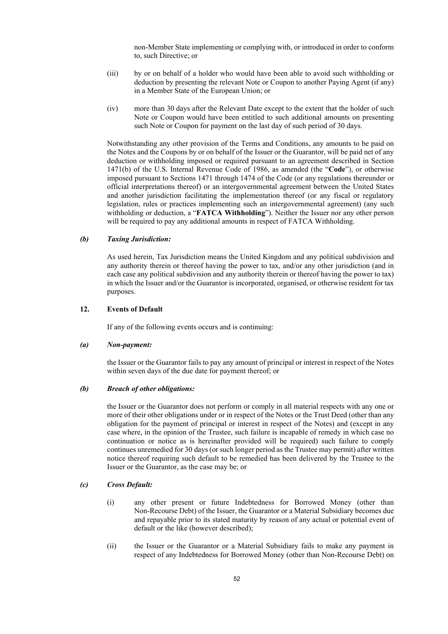non-Member State implementing or complying with, or introduced in order to conform to, such Directive; or

- (iii) by or on behalf of a holder who would have been able to avoid such withholding or deduction by presenting the relevant Note or Coupon to another Paying Agent (if any) in a Member State of the European Union; or
- (iv) more than 30 days after the Relevant Date except to the extent that the holder of such Note or Coupon would have been entitled to such additional amounts on presenting such Note or Coupon for payment on the last day of such period of 30 days.

Notwithstanding any other provision of the Terms and Conditions, any amounts to be paid on the Notes and the Coupons by or on behalf of the Issuer or the Guarantor, will be paid net of any deduction or withholding imposed or required pursuant to an agreement described in Section 1471(b) of the U.S. Internal Revenue Code of 1986, as amended (the "**Code**"), or otherwise imposed pursuant to Sections 1471 through 1474 of the Code (or any regulations thereunder or official interpretations thereof) or an intergovernmental agreement between the United States and another jurisdiction facilitating the implementation thereof (or any fiscal or regulatory legislation, rules or practices implementing such an intergovernmental agreement) (any such withholding or deduction, a "**FATCA Withholding**"). Neither the Issuer nor any other person will be required to pay any additional amounts in respect of FATCA Withholding.

#### *(b) Taxing Jurisdiction:*

As used herein, Tax Jurisdiction means the United Kingdom and any political subdivision and any authority therein or thereof having the power to tax, and/or any other jurisdiction (and in each case any political subdivision and any authority therein or thereof having the power to tax) in which the Issuer and/or the Guarantor is incorporated, organised, or otherwise resident for tax purposes.

## **12. Events of Default**

If any of the following events occurs and is continuing:

#### *(a) Non-payment:*

the Issuer or the Guarantor fails to pay any amount of principal or interest in respect of the Notes within seven days of the due date for payment thereof; or

#### *(b) Breach of other obligations:*

the Issuer or the Guarantor does not perform or comply in all material respects with any one or more of their other obligations under or in respect of the Notes or the Trust Deed (other than any obligation for the payment of principal or interest in respect of the Notes) and (except in any case where, in the opinion of the Trustee, such failure is incapable of remedy in which case no continuation or notice as is hereinafter provided will be required) such failure to comply continues unremedied for 30 days (or such longer period as the Trustee may permit) after written notice thereof requiring such default to be remedied has been delivered by the Trustee to the Issuer or the Guarantor, as the case may be; or

### *(c) Cross Default:*

- (i) any other present or future Indebtedness for Borrowed Money (other than Non-Recourse Debt) of the Issuer, the Guarantor or a Material Subsidiary becomes due and repayable prior to its stated maturity by reason of any actual or potential event of default or the like (however described);
- (ii) the Issuer or the Guarantor or a Material Subsidiary fails to make any payment in respect of any Indebtedness for Borrowed Money (other than Non-Recourse Debt) on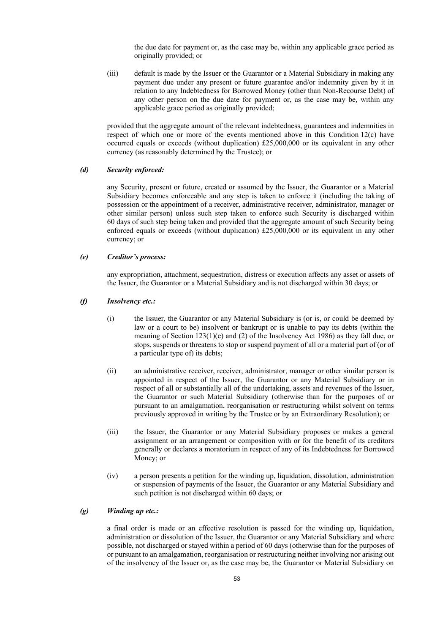the due date for payment or, as the case may be, within any applicable grace period as originally provided; or

(iii) default is made by the Issuer or the Guarantor or a Material Subsidiary in making any payment due under any present or future guarantee and/or indemnity given by it in relation to any Indebtedness for Borrowed Money (other than Non-Recourse Debt) of any other person on the due date for payment or, as the case may be, within any applicable grace period as originally provided;

provided that the aggregate amount of the relevant indebtedness, guarantees and indemnities in respect of which one or more of the events mentioned above in this Condition  $12(c)$  have occurred equals or exceeds (without duplication) £25,000,000 or its equivalent in any other currency (as reasonably determined by the Trustee); or

### *(d) Security enforced:*

any Security, present or future, created or assumed by the Issuer, the Guarantor or a Material Subsidiary becomes enforceable and any step is taken to enforce it (including the taking of possession or the appointment of a receiver, administrative receiver, administrator, manager or other similar person) unless such step taken to enforce such Security is discharged within 60 days of such step being taken and provided that the aggregate amount of such Security being enforced equals or exceeds (without duplication) £25,000,000 or its equivalent in any other currency; or

#### *(e) Creditor's process:*

any expropriation, attachment, sequestration, distress or execution affects any asset or assets of the Issuer, the Guarantor or a Material Subsidiary and is not discharged within 30 days; or

### *(f) Insolvency etc.:*

- (i) the Issuer, the Guarantor or any Material Subsidiary is (or is, or could be deemed by law or a court to be) insolvent or bankrupt or is unable to pay its debts (within the meaning of Section 123(1)(e) and (2) of the Insolvency Act 1986) as they fall due, or stops, suspends or threatens to stop or suspend payment of all or a material part of (or of a particular type of) its debts;
- (ii) an administrative receiver, receiver, administrator, manager or other similar person is appointed in respect of the Issuer, the Guarantor or any Material Subsidiary or in respect of all or substantially all of the undertaking, assets and revenues of the Issuer, the Guarantor or such Material Subsidiary (otherwise than for the purposes of or pursuant to an amalgamation, reorganisation or restructuring whilst solvent on terms previously approved in writing by the Trustee or by an Extraordinary Resolution); or
- (iii) the Issuer, the Guarantor or any Material Subsidiary proposes or makes a general assignment or an arrangement or composition with or for the benefit of its creditors generally or declares a moratorium in respect of any of its Indebtedness for Borrowed Money; or
- (iv) a person presents a petition for the winding up, liquidation, dissolution, administration or suspension of payments of the Issuer, the Guarantor or any Material Subsidiary and such petition is not discharged within 60 days; or

### *(g) Winding up etc.:*

a final order is made or an effective resolution is passed for the winding up, liquidation, administration or dissolution of the Issuer, the Guarantor or any Material Subsidiary and where possible, not discharged or stayed within a period of 60 days (otherwise than for the purposes of or pursuant to an amalgamation, reorganisation or restructuring neither involving nor arising out of the insolvency of the Issuer or, as the case may be, the Guarantor or Material Subsidiary on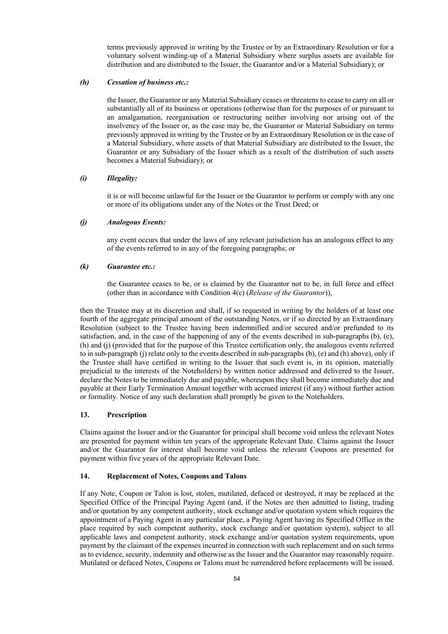terms previously approved in writing by the Trustee or by an Extraordinary Resolution or for a voluntary solvent winding-up of a Material Subsidiary where surplus assets are available for distribution and are distributed to the Issuer, the Guarantor and/or a Material Subsidiary); or

### *(h) Cessation of business etc.:*

the Issuer, the Guarantor or any Material Subsidiary ceases or threatens to cease to carry on all or substantially all of its business or operations (otherwise than for the purposes of or pursuant to an amalgamation, reorganisation or restructuring neither involving nor arising out of the insolvency of the Issuer or, as the case may be, the Guarantor or Material Subsidiary on terms previously approved in writing by the Trustee or by an Extraordinary Resolution or in the case of a Material Subsidiary, where assets of that Material Subsidiary are distributed to the Issuer, the Guarantor or any Subsidiary of the Issuer which as a result of the distribution of such assets becomes a Material Subsidiary); or

### *(i) Illegality:*

it is or will become unlawful for the Issuer or the Guarantor to perform or comply with any one or more of its obligations under any of the Notes or the Trust Deed; or

### *(j) Analogous Events:*

any event occurs that under the laws of any relevant jurisdiction has an analogous effect to any of the events referred to in any of the foregoing paragraphs; or

### *(k) Guarantee etc.:*

the Guarantee ceases to be, or is claimed by the Guarantor not to be, in full force and effect (other than in accordance with Condition 4(c) (*Release of the Guarantor*)),

then the Trustee may at its discretion and shall, if so requested in writing by the holders of at least one fourth of the aggregate principal amount of the outstanding Notes, or if so directed by an Extraordinary Resolution (subject to the Trustee having been indemnified and/or secured and/or prefunded to its satisfaction, and, in the case of the happening of any of the events described in sub-paragraphs (b), (e), (h) and (j) (provided that for the purpose of this Trustee certification only, the analogous events referred to in sub-paragraph (j) relate only to the events described in sub-paragraphs (b), (e) and (h) above), only if the Trustee shall have certified in writing to the Issuer that such event is, in its opinion, materially prejudicial to the interests of the Noteholders) by written notice addressed and delivered to the Issuer, declare the Notes to be immediately due and payable, whereupon they shall become immediately due and payable at their Early Termination Amount together with accrued interest (if any) without further action or formality. Notice of any such declaration shall promptly be given to the Noteholders.

#### **13. Prescription**

Claims against the Issuer and/or the Guarantor for principal shall become void unless the relevant Notes are presented for payment within ten years of the appropriate Relevant Date. Claims against the Issuer and/or the Guarantor for interest shall become void unless the relevant Coupons are presented for payment within five years of the appropriate Relevant Date.

### **14. Replacement of Notes, Coupons and Talons**

If any Note, Coupon or Talon is lost, stolen, mutilated, defaced or destroyed, it may be replaced at the Specified Office of the Principal Paying Agent (and, if the Notes are then admitted to listing, trading and/or quotation by any competent authority, stock exchange and/or quotation system which requires the appointment of a Paying Agent in any particular place, a Paying Agent having its Specified Office in the place required by such competent authority, stock exchange and/or quotation system), subject to all applicable laws and competent authority, stock exchange and/or quotation system requirements, upon payment by the claimant of the expenses incurred in connection with such replacement and on such terms as to evidence, security, indemnity and otherwise as the Issuer and the Guarantor may reasonably require. Mutilated or defaced Notes, Coupons or Talons must be surrendered before replacements will be issued.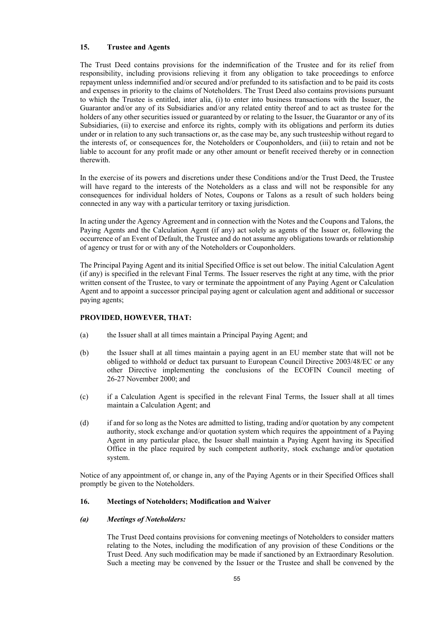### **15. Trustee and Agents**

The Trust Deed contains provisions for the indemnification of the Trustee and for its relief from responsibility, including provisions relieving it from any obligation to take proceedings to enforce repayment unless indemnified and/or secured and/or prefunded to its satisfaction and to be paid its costs and expenses in priority to the claims of Noteholders. The Trust Deed also contains provisions pursuant to which the Trustee is entitled, inter alia, (i) to enter into business transactions with the Issuer, the Guarantor and/or any of its Subsidiaries and/or any related entity thereof and to act as trustee for the holders of any other securities issued or guaranteed by or relating to the Issuer, the Guarantor or any of its Subsidiaries, (ii) to exercise and enforce its rights, comply with its obligations and perform its duties under or in relation to any such transactions or, as the case may be, any such trusteeship without regard to the interests of, or consequences for, the Noteholders or Couponholders, and (iii) to retain and not be liable to account for any profit made or any other amount or benefit received thereby or in connection therewith.

In the exercise of its powers and discretions under these Conditions and/or the Trust Deed, the Trustee will have regard to the interests of the Noteholders as a class and will not be responsible for any consequences for individual holders of Notes, Coupons or Talons as a result of such holders being connected in any way with a particular territory or taxing jurisdiction.

In acting under the Agency Agreement and in connection with the Notes and the Coupons and Talons, the Paying Agents and the Calculation Agent (if any) act solely as agents of the Issuer or, following the occurrence of an Event of Default, the Trustee and do not assume any obligations towards or relationship of agency or trust for or with any of the Noteholders or Couponholders.

The Principal Paying Agent and its initial Specified Office is set out below. The initial Calculation Agent (if any) is specified in the relevant Final Terms. The Issuer reserves the right at any time, with the prior written consent of the Trustee, to vary or terminate the appointment of any Paying Agent or Calculation Agent and to appoint a successor principal paying agent or calculation agent and additional or successor paying agents;

## **PROVIDED, HOWEVER, THAT:**

- (a) the Issuer shall at all times maintain a Principal Paying Agent; and
- (b) the Issuer shall at all times maintain a paying agent in an EU member state that will not be obliged to withhold or deduct tax pursuant to European Council Directive 2003/48/EC or any other Directive implementing the conclusions of the ECOFIN Council meeting of 26-27 November 2000; and
- (c) if a Calculation Agent is specified in the relevant Final Terms, the Issuer shall at all times maintain a Calculation Agent; and
- (d) if and for so long as the Notes are admitted to listing, trading and/or quotation by any competent authority, stock exchange and/or quotation system which requires the appointment of a Paying Agent in any particular place, the Issuer shall maintain a Paying Agent having its Specified Office in the place required by such competent authority, stock exchange and/or quotation system.

Notice of any appointment of, or change in, any of the Paying Agents or in their Specified Offices shall promptly be given to the Noteholders.

### **16. Meetings of Noteholders; Modification and Waiver**

#### *(a) Meetings of Noteholders:*

The Trust Deed contains provisions for convening meetings of Noteholders to consider matters relating to the Notes, including the modification of any provision of these Conditions or the Trust Deed. Any such modification may be made if sanctioned by an Extraordinary Resolution. Such a meeting may be convened by the Issuer or the Trustee and shall be convened by the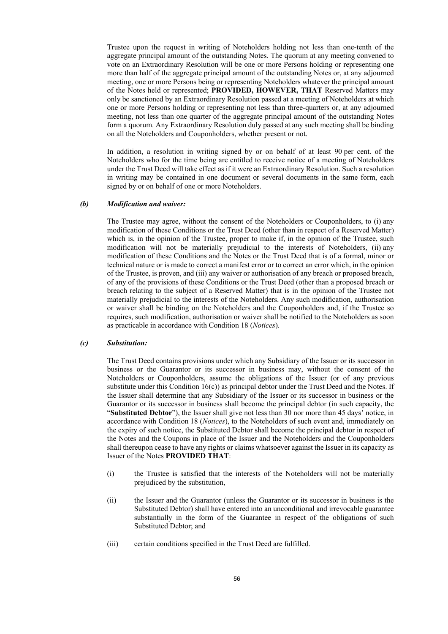Trustee upon the request in writing of Noteholders holding not less than one-tenth of the aggregate principal amount of the outstanding Notes. The quorum at any meeting convened to vote on an Extraordinary Resolution will be one or more Persons holding or representing one more than half of the aggregate principal amount of the outstanding Notes or, at any adjourned meeting, one or more Persons being or representing Noteholders whatever the principal amount of the Notes held or represented; **PROVIDED, HOWEVER, THAT** Reserved Matters may only be sanctioned by an Extraordinary Resolution passed at a meeting of Noteholders at which one or more Persons holding or representing not less than three-quarters or, at any adjourned meeting, not less than one quarter of the aggregate principal amount of the outstanding Notes form a quorum. Any Extraordinary Resolution duly passed at any such meeting shall be binding on all the Noteholders and Couponholders, whether present or not.

In addition, a resolution in writing signed by or on behalf of at least 90 per cent. of the Noteholders who for the time being are entitled to receive notice of a meeting of Noteholders under the Trust Deed will take effect as if it were an Extraordinary Resolution. Such a resolution in writing may be contained in one document or several documents in the same form, each signed by or on behalf of one or more Noteholders.

#### *(b) Modification and waiver:*

The Trustee may agree, without the consent of the Noteholders or Couponholders, to (i) any modification of these Conditions or the Trust Deed (other than in respect of a Reserved Matter) which is, in the opinion of the Trustee, proper to make if, in the opinion of the Trustee, such modification will not be materially prejudicial to the interests of Noteholders, (ii) any modification of these Conditions and the Notes or the Trust Deed that is of a formal, minor or technical nature or is made to correct a manifest error or to correct an error which, in the opinion of the Trustee, is proven, and (iii) any waiver or authorisation of any breach or proposed breach, of any of the provisions of these Conditions or the Trust Deed (other than a proposed breach or breach relating to the subject of a Reserved Matter) that is in the opinion of the Trustee not materially prejudicial to the interests of the Noteholders. Any such modification, authorisation or waiver shall be binding on the Noteholders and the Couponholders and, if the Trustee so requires, such modification, authorisation or waiver shall be notified to the Noteholders as soon as practicable in accordance with Condition 18 (*Notices*).

### *(c) Substitution:*

The Trust Deed contains provisions under which any Subsidiary of the Issuer or its successor in business or the Guarantor or its successor in business may, without the consent of the Noteholders or Couponholders, assume the obligations of the Issuer (or of any previous substitute under this Condition  $16(c)$  as principal debtor under the Trust Deed and the Notes. If the Issuer shall determine that any Subsidiary of the Issuer or its successor in business or the Guarantor or its successor in business shall become the principal debtor (in such capacity, the "**Substituted Debtor**"), the Issuer shall give not less than 30 nor more than 45 days' notice, in accordance with Condition 18 (*Notices*), to the Noteholders of such event and, immediately on the expiry of such notice, the Substituted Debtor shall become the principal debtor in respect of the Notes and the Coupons in place of the Issuer and the Noteholders and the Couponholders shall thereupon cease to have any rights or claims whatsoever against the Issuer in its capacity as Issuer of the Notes **PROVIDED THAT**:

- (i) the Trustee is satisfied that the interests of the Noteholders will not be materially prejudiced by the substitution,
- (ii) the Issuer and the Guarantor (unless the Guarantor or its successor in business is the Substituted Debtor) shall have entered into an unconditional and irrevocable guarantee substantially in the form of the Guarantee in respect of the obligations of such Substituted Debtor; and
- (iii) certain conditions specified in the Trust Deed are fulfilled.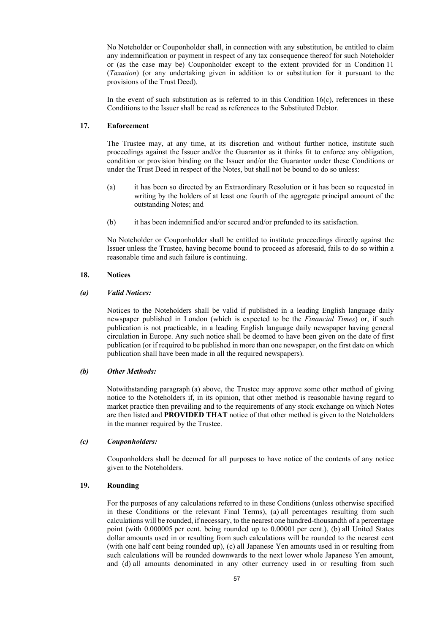No Noteholder or Couponholder shall, in connection with any substitution, be entitled to claim any indemnification or payment in respect of any tax consequence thereof for such Noteholder or (as the case may be) Couponholder except to the extent provided for in Condition 11 (*Taxation*) (or any undertaking given in addition to or substitution for it pursuant to the provisions of the Trust Deed).

In the event of such substitution as is referred to in this Condition  $16(c)$ , references in these Conditions to the Issuer shall be read as references to the Substituted Debtor.

## **17. Enforcement**

The Trustee may, at any time, at its discretion and without further notice, institute such proceedings against the Issuer and/or the Guarantor as it thinks fit to enforce any obligation, condition or provision binding on the Issuer and/or the Guarantor under these Conditions or under the Trust Deed in respect of the Notes, but shall not be bound to do so unless:

- (a) it has been so directed by an Extraordinary Resolution or it has been so requested in writing by the holders of at least one fourth of the aggregate principal amount of the outstanding Notes; and
- (b) it has been indemnified and/or secured and/or prefunded to its satisfaction.

No Noteholder or Couponholder shall be entitled to institute proceedings directly against the Issuer unless the Trustee, having become bound to proceed as aforesaid, fails to do so within a reasonable time and such failure is continuing.

### **18. Notices**

### *(a) Valid Notices:*

Notices to the Noteholders shall be valid if published in a leading English language daily newspaper published in London (which is expected to be the *Financial Times*) or, if such publication is not practicable, in a leading English language daily newspaper having general circulation in Europe. Any such notice shall be deemed to have been given on the date of first publication (or if required to be published in more than one newspaper, on the first date on which publication shall have been made in all the required newspapers).

#### *(b) Other Methods:*

Notwithstanding paragraph (a) above, the Trustee may approve some other method of giving notice to the Noteholders if, in its opinion, that other method is reasonable having regard to market practice then prevailing and to the requirements of any stock exchange on which Notes are then listed and **PROVIDED THAT** notice of that other method is given to the Noteholders in the manner required by the Trustee.

#### *(c) Couponholders:*

Couponholders shall be deemed for all purposes to have notice of the contents of any notice given to the Noteholders.

### **19. Rounding**

For the purposes of any calculations referred to in these Conditions (unless otherwise specified in these Conditions or the relevant Final Terms), (a) all percentages resulting from such calculations will be rounded, if necessary, to the nearest one hundred-thousandth of a percentage point (with 0.000005 per cent. being rounded up to 0.00001 per cent.), (b) all United States dollar amounts used in or resulting from such calculations will be rounded to the nearest cent (with one half cent being rounded up), (c) all Japanese Yen amounts used in or resulting from such calculations will be rounded downwards to the next lower whole Japanese Yen amount, and (d) all amounts denominated in any other currency used in or resulting from such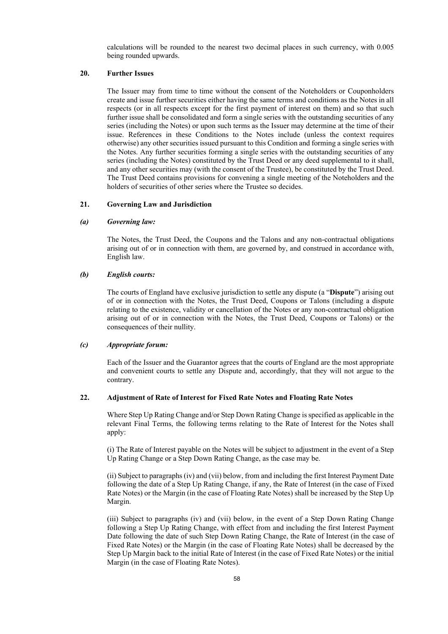calculations will be rounded to the nearest two decimal places in such currency, with 0.005 being rounded upwards.

#### **20. Further Issues**

The Issuer may from time to time without the consent of the Noteholders or Couponholders create and issue further securities either having the same terms and conditions as the Notes in all respects (or in all respects except for the first payment of interest on them) and so that such further issue shall be consolidated and form a single series with the outstanding securities of any series (including the Notes) or upon such terms as the Issuer may determine at the time of their issue. References in these Conditions to the Notes include (unless the context requires otherwise) any other securities issued pursuant to this Condition and forming a single series with the Notes. Any further securities forming a single series with the outstanding securities of any series (including the Notes) constituted by the Trust Deed or any deed supplemental to it shall, and any other securities may (with the consent of the Trustee), be constituted by the Trust Deed. The Trust Deed contains provisions for convening a single meeting of the Noteholders and the holders of securities of other series where the Trustee so decides.

### **21. Governing Law and Jurisdiction**

#### *(a) Governing law:*

The Notes, the Trust Deed, the Coupons and the Talons and any non-contractual obligations arising out of or in connection with them, are governed by, and construed in accordance with, English law.

### *(b) English courts:*

The courts of England have exclusive jurisdiction to settle any dispute (a "**Dispute**") arising out of or in connection with the Notes, the Trust Deed, Coupons or Talons (including a dispute relating to the existence, validity or cancellation of the Notes or any non-contractual obligation arising out of or in connection with the Notes, the Trust Deed, Coupons or Talons) or the consequences of their nullity.

#### *(c) Appropriate forum:*

Each of the Issuer and the Guarantor agrees that the courts of England are the most appropriate and convenient courts to settle any Dispute and, accordingly, that they will not argue to the contrary.

#### **22. Adjustment of Rate of Interest for Fixed Rate Notes and Floating Rate Notes**

Where Step Up Rating Change and/or Step Down Rating Change is specified as applicable in the relevant Final Terms, the following terms relating to the Rate of Interest for the Notes shall apply:

(i) The Rate of Interest payable on the Notes will be subject to adjustment in the event of a Step Up Rating Change or a Step Down Rating Change, as the case may be.

(ii) Subject to paragraphs (iv) and (vii) below, from and including the first Interest Payment Date following the date of a Step Up Rating Change, if any, the Rate of Interest (in the case of Fixed Rate Notes) or the Margin (in the case of Floating Rate Notes) shall be increased by the Step Up Margin.

(iii) Subject to paragraphs (iv) and (vii) below, in the event of a Step Down Rating Change following a Step Up Rating Change, with effect from and including the first Interest Payment Date following the date of such Step Down Rating Change, the Rate of Interest (in the case of Fixed Rate Notes) or the Margin (in the case of Floating Rate Notes) shall be decreased by the Step Up Margin back to the initial Rate of Interest (in the case of Fixed Rate Notes) or the initial Margin (in the case of Floating Rate Notes).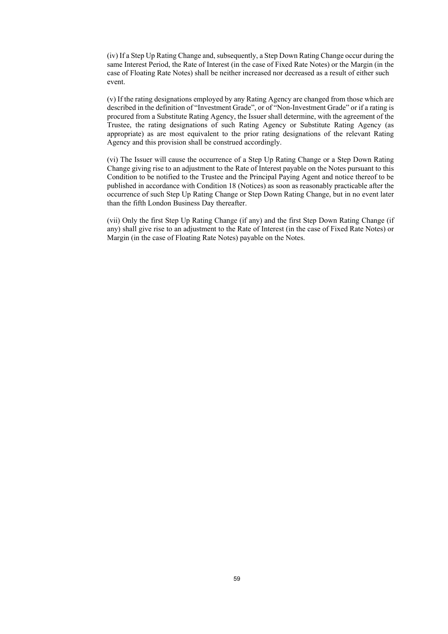(iv) If a Step Up Rating Change and, subsequently, a Step Down Rating Change occur during the same Interest Period, the Rate of Interest (in the case of Fixed Rate Notes) or the Margin (in the case of Floating Rate Notes) shall be neither increased nor decreased as a result of either such event.

(v) If the rating designations employed by any Rating Agency are changed from those which are described in the definition of "Investment Grade", or of "Non-Investment Grade" or if a rating is procured from a Substitute Rating Agency, the Issuer shall determine, with the agreement of the Trustee, the rating designations of such Rating Agency or Substitute Rating Agency (as appropriate) as are most equivalent to the prior rating designations of the relevant Rating Agency and this provision shall be construed accordingly.

(vi) The Issuer will cause the occurrence of a Step Up Rating Change or a Step Down Rating Change giving rise to an adjustment to the Rate of Interest payable on the Notes pursuant to this Condition to be notified to the Trustee and the Principal Paying Agent and notice thereof to be published in accordance with Condition 18 (Notices) as soon as reasonably practicable after the occurrence of such Step Up Rating Change or Step Down Rating Change, but in no event later than the fifth London Business Day thereafter.

(vii) Only the first Step Up Rating Change (if any) and the first Step Down Rating Change (if any) shall give rise to an adjustment to the Rate of Interest (in the case of Fixed Rate Notes) or Margin (in the case of Floating Rate Notes) payable on the Notes.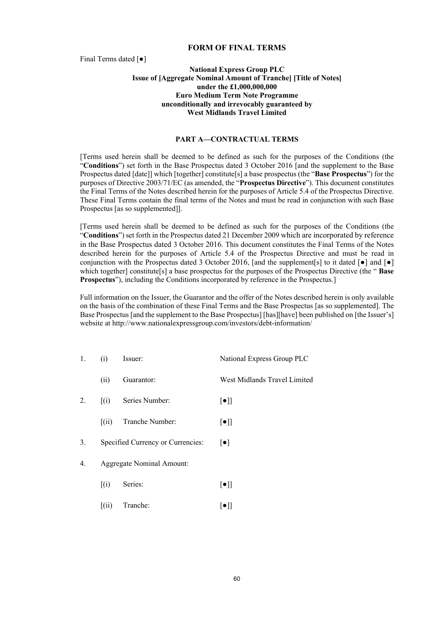## **FORM OF FINAL TERMS**

Final Terms dated [●]

## **National Express Group PLC Issue of [Aggregate Nominal Amount of Tranche] [Title of Notes] under the £1,000,000,000 Euro Medium Term Note Programme unconditionally and irrevocably guaranteed by West Midlands Travel Limited**

## **PART A—CONTRACTUAL TERMS**

[Terms used herein shall be deemed to be defined as such for the purposes of the Conditions (the "**Conditions**") set forth in the Base Prospectus dated 3 October 2016 [and the supplement to the Base Prospectus dated [date]] which [together] constitute[s] a base prospectus (the "**Base Prospectus**") for the purposes of Directive 2003/71/EC (as amended, the "**Prospectus Directive**"). This document constitutes the Final Terms of the Notes described herein for the purposes of Article 5.4 of the Prospectus Directive. These Final Terms contain the final terms of the Notes and must be read in conjunction with such Base Prospectus [as so supplemented]].

[Terms used herein shall be deemed to be defined as such for the purposes of the Conditions (the "**Conditions**") set forth in the Prospectus dated 21 December 2009 which are incorporated by reference in the Base Prospectus dated 3 October 2016. This document constitutes the Final Terms of the Notes described herein for the purposes of Article 5.4 of the Prospectus Directive and must be read in conjunction with the Prospectus dated 3 October 2016. [and the supplement[s] to it dated  $\lceil \bullet \rceil$  and  $\lceil \bullet \rceil$ which together] constitute[s] a base prospectus for the purposes of the Prospectus Directive (the "**Base Prospectus**"), including the Conditions incorporated by reference in the Prospectus.]

Full information on the Issuer, the Guarantor and the offer of the Notes described herein is only available on the basis of the combination of these Final Terms and the Base Prospectus [as so supplemented]. The Base Prospectus [and the supplement to the Base Prospectus] [has][have] been published on [the Issuer's] website at http://www.nationalexpressgroup.com/investors/debt-information/

| 1. | (i)                            | Issuer:                           | National Express Group PLC        |
|----|--------------------------------|-----------------------------------|-----------------------------------|
|    | (i)                            | Guarantor:                        | West Midlands Travel Limited      |
| 2. | $\lceil$ (i)                   | Series Number:                    | $[\bullet]$                       |
|    | $\left[ \mathrm{(ii)} \right]$ | Tranche Number:                   | $[\bullet]$                       |
| 3. |                                | Specified Currency or Currencies: | $\lceil \bullet \rceil$           |
| 4. |                                | <b>Aggregate Nominal Amount:</b>  |                                   |
|    | $\lceil$ (i)                   | Series:                           | $\lbrack \bullet \rbrack \rbrack$ |
|    | $\left[$ (ii)                  | Tranche:                          | $[\bullet]$                       |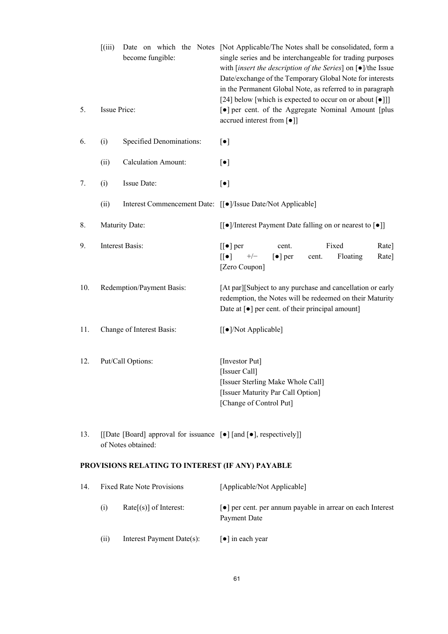|     | (iii)                                                                                                       | become fungible:                                 | Date on which the Notes [Not Applicable/The Notes shall be consolidated, form a<br>single series and be interchangeable for trading purposes<br>with [insert the description of the Series] on $[•]$ /the Issue<br>Date/exchange of the Temporary Global Note for interests<br>in the Permanent Global Note, as referred to in paragraph<br>[24] below [which is expected to occur on or about [ $\bullet$ ]]] |
|-----|-------------------------------------------------------------------------------------------------------------|--------------------------------------------------|----------------------------------------------------------------------------------------------------------------------------------------------------------------------------------------------------------------------------------------------------------------------------------------------------------------------------------------------------------------------------------------------------------------|
| 5.  | Issue Price:                                                                                                |                                                  | [ $\bullet$ ] per cent. of the Aggregate Nominal Amount [plus<br>accrued interest from [ $\bullet$ ]]                                                                                                                                                                                                                                                                                                          |
| 6.  | (i)                                                                                                         | Specified Denominations:                         | $[\bullet]$                                                                                                                                                                                                                                                                                                                                                                                                    |
|     | (ii)                                                                                                        | <b>Calculation Amount:</b>                       | $[\bullet]$                                                                                                                                                                                                                                                                                                                                                                                                    |
| 7.  | (i)                                                                                                         | Issue Date:                                      | $[\bullet]$                                                                                                                                                                                                                                                                                                                                                                                                    |
|     | (ii)                                                                                                        |                                                  | Interest Commencement Date: [[ $\bullet$ ]/Issue Date/Not Applicable]                                                                                                                                                                                                                                                                                                                                          |
| 8.  |                                                                                                             | Maturity Date:                                   | $\left[\frac{\bullet}{\text{}}\right]$ /Interest Payment Date falling on or nearest to $\left[\bullet\right]$                                                                                                                                                                                                                                                                                                  |
| 9.  | Interest Basis:                                                                                             |                                                  | Fixed<br>$[[\bullet]$ per<br>Rate]<br>cent.<br>$[[\bullet]]$<br>$+/-$<br>$\left[\bullet\right]$ per<br>Floating<br>Rate]<br>cent.<br>[Zero Coupon]                                                                                                                                                                                                                                                             |
| 10. | Redemption/Payment Basis:                                                                                   |                                                  | [At par][Subject to any purchase and cancellation or early<br>redemption, the Notes will be redeemed on their Maturity<br>Date at [ $\bullet$ ] per cent. of their principal amount]                                                                                                                                                                                                                           |
| 11. | Change of Interest Basis:                                                                                   |                                                  | [[ $\bullet$ ]/Not Applicable]                                                                                                                                                                                                                                                                                                                                                                                 |
| 12. | Put/Call Options:                                                                                           |                                                  | [Investor Put]<br>[Issuer Call]<br>[Issuer Sterling Make Whole Call]<br>[Issuer Maturity Par Call Option]<br>[Change of Control Put]                                                                                                                                                                                                                                                                           |
| 13. | [[Date [Board] approval for issuance [ $\bullet$ ] [and [ $\bullet$ ], respectively]]<br>of Notes obtained: |                                                  |                                                                                                                                                                                                                                                                                                                                                                                                                |
|     |                                                                                                             | PROVISIONS RELATING TO INTEREST (IF ANY) PAYABLE |                                                                                                                                                                                                                                                                                                                                                                                                                |
| 14. |                                                                                                             | <b>Fixed Rate Note Provisions</b>                | [Applicable/Not Applicable]                                                                                                                                                                                                                                                                                                                                                                                    |
|     | (i)                                                                                                         | $Rate[s]$ of Interest:                           | • per cent. per annum payable in arrear on each Interest<br>Payment Date                                                                                                                                                                                                                                                                                                                                       |
|     | (ii)                                                                                                        | Interest Payment Date(s):                        | $\lceil \bullet \rceil$ in each year                                                                                                                                                                                                                                                                                                                                                                           |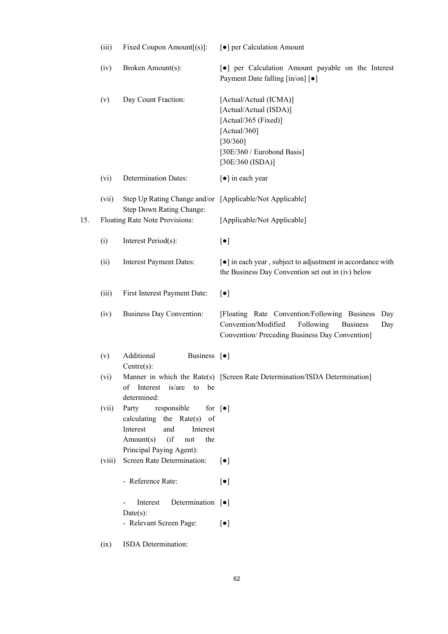|     | (iii)  | Fixed Coupon Amount $[(s)]$ :                                                                                                                                     | [ $\bullet$ ] per Calculation Amount                                                                                                                                |
|-----|--------|-------------------------------------------------------------------------------------------------------------------------------------------------------------------|---------------------------------------------------------------------------------------------------------------------------------------------------------------------|
|     | (iv)   | Broken Amount(s):                                                                                                                                                 | [•] per Calculation Amount payable on the Interest<br>Payment Date falling [in/on] [ $\bullet$ ]                                                                    |
|     | (v)    | Day Count Fraction:                                                                                                                                               | [Actual/Actual (ICMA)]<br>[Actual/Actual (ISDA)]<br>[Actual/365 (Fixed)]<br>[Actual/360]<br>[30/360]<br>[30E/360 / Eurobond Basis]<br>[30E/360 (ISDA)]              |
|     | (vi)   | <b>Determination Dates:</b>                                                                                                                                       | [ $\bullet$ ] in each year                                                                                                                                          |
|     | (vii)  | Step Up Rating Change and/or [Applicable/Not Applicable]<br>Step Down Rating Change:                                                                              |                                                                                                                                                                     |
| 15. |        | Floating Rate Note Provisions:                                                                                                                                    | [Applicable/Not Applicable]                                                                                                                                         |
|     | (i)    | Interest Period(s):                                                                                                                                               | $[\bullet]$                                                                                                                                                         |
|     | (ii)   | <b>Interest Payment Dates:</b>                                                                                                                                    | [ $\bullet$ ] in each year, subject to adjustment in accordance with<br>the Business Day Convention set out in (iv) below                                           |
|     | (iii)  | First Interest Payment Date:                                                                                                                                      | $[\bullet]$                                                                                                                                                         |
|     | (iv)   | <b>Business Day Convention:</b>                                                                                                                                   | [Floating Rate Convention/Following Business<br>Day<br>Convention/Modified<br>Following<br><b>Business</b><br>Day<br>Convention/ Preceding Business Day Convention] |
|     | (v)    | Additional<br>Business [ $\bullet$ ]<br>$Centre(s)$ :                                                                                                             |                                                                                                                                                                     |
|     | (vi)   | of Interest is/are to be<br>determined:                                                                                                                           | Manner in which the Rate(s) [Screen Rate Determination/ISDA Determination]                                                                                          |
|     | (vii)  | Party responsible for [ $\bullet$ ]<br>calculating the Rate(s) of<br>Interest<br>and<br>Interest<br>Amount(s)<br>$($ if<br>the<br>not<br>Principal Paying Agent): |                                                                                                                                                                     |
|     | (viii) | Screen Rate Determination:                                                                                                                                        | $\lceil \bullet \rceil$                                                                                                                                             |
|     |        | - Reference Rate:                                                                                                                                                 | $[\bullet]$                                                                                                                                                         |
|     |        | Interest<br>Determination $[\bullet]$<br>$Date(s)$ :                                                                                                              |                                                                                                                                                                     |
|     |        | - Relevant Screen Page:                                                                                                                                           | $[\bullet]$                                                                                                                                                         |
|     | (ix)   | ISDA Determination:                                                                                                                                               |                                                                                                                                                                     |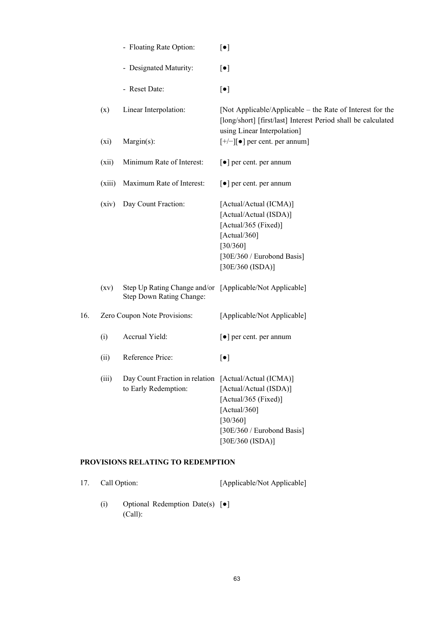|     |                    | - Floating Rate Option:                                                              | $\lbrack \bullet \rbrack$                                                                                                                                 |
|-----|--------------------|--------------------------------------------------------------------------------------|-----------------------------------------------------------------------------------------------------------------------------------------------------------|
|     |                    | - Designated Maturity:                                                               | $[\bullet]$                                                                                                                                               |
|     |                    | - Reset Date:                                                                        | $[\bullet]$                                                                                                                                               |
|     | (x)                | Linear Interpolation:                                                                | [Not Applicable/Applicable – the Rate of Interest for the<br>[long/short] [first/last] Interest Period shall be calculated<br>using Linear Interpolation] |
|     | (xi)               | Margin(s):                                                                           | $[+/+]$   per cent. per annum]                                                                                                                            |
|     | (xii)              | Minimum Rate of Interest:                                                            | $\lbrack \bullet \rbrack$ per cent. per annum                                                                                                             |
|     | (xiii)             | Maximum Rate of Interest:                                                            | [ $\bullet$ ] per cent. per annum                                                                                                                         |
|     | (xiv)              | Day Count Fraction:                                                                  | [Actual/Actual (ICMA)]<br>[Actual/Actual (ISDA)]<br>[Actual/365 (Fixed)]<br>[Actual/360]<br>[30/360]<br>[30E/360 / Eurobond Basis]<br>[30E/360 (ISDA)]    |
|     | $\left( xy\right)$ | Step Up Rating Change and/or [Applicable/Not Applicable]<br>Step Down Rating Change: |                                                                                                                                                           |
| 16. |                    | Zero Coupon Note Provisions:                                                         | [Applicable/Not Applicable]                                                                                                                               |
|     | (i)                | Accrual Yield:                                                                       | $\lceil \bullet \rceil$ per cent. per annum                                                                                                               |
|     | (ii)               | Reference Price:                                                                     | $[\bullet]$                                                                                                                                               |
|     | (iii)              | Day Count Fraction in relation [Actual/Actual (ICMA)]<br>to Early Redemption:        | [Actual/Actual (ISDA)]<br>[Actual/365 (Fixed)]<br>[Actual/360]<br>[30/360]<br>[30E/360 / Eurobond Basis]<br>[30E/360 (ISDA)]                              |

# **PROVISIONS RELATING TO REDEMPTION**

| 17. Call Option: |                                                     | [Applicable/Not Applicable] |
|------------------|-----------------------------------------------------|-----------------------------|
| (1)              | Optional Redemption Date(s) $\lceil \bullet \rceil$ |                             |

(Call):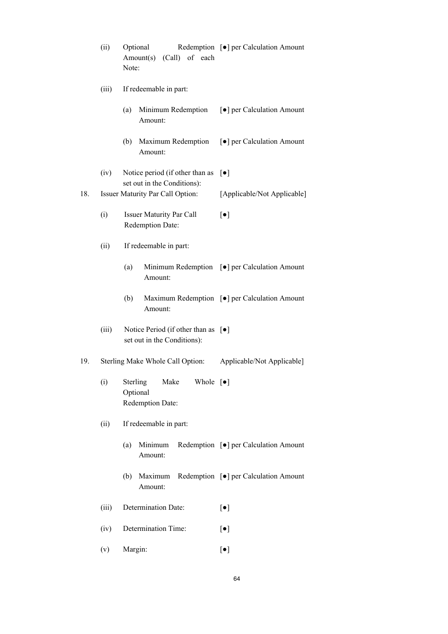|       | (ii)                                                                   | Optional<br>(Call) of each<br>Amount(s)<br>Note:                                  | Redemption [ $\bullet$ ] per Calculation Amount         |  |  |
|-------|------------------------------------------------------------------------|-----------------------------------------------------------------------------------|---------------------------------------------------------|--|--|
| (iii) |                                                                        | If redeemable in part:                                                            |                                                         |  |  |
|       |                                                                        | Minimum Redemption<br>(a)<br>Amount:                                              | [●] per Calculation Amount                              |  |  |
|       |                                                                        | (b)<br>Maximum Redemption<br>Amount:                                              | [ $\bullet$ ] per Calculation Amount                    |  |  |
|       | (iv)                                                                   | Notice period (if other than as<br>set out in the Conditions):                    | $[\bullet]$                                             |  |  |
| 18.   | <b>Issuer Maturity Par Call Option:</b><br>[Applicable/Not Applicable] |                                                                                   |                                                         |  |  |
|       | (i)                                                                    | <b>Issuer Maturity Par Call</b><br>Redemption Date:                               | $[\bullet]$                                             |  |  |
|       | (ii)                                                                   | If redeemable in part:                                                            |                                                         |  |  |
|       |                                                                        | (a)<br>Amount:                                                                    | Minimum Redemption [ $\bullet$ ] per Calculation Amount |  |  |
|       |                                                                        | (b)<br>Amount:                                                                    | Maximum Redemption [ $\bullet$ ] per Calculation Amount |  |  |
|       | (iii)                                                                  | Notice Period (if other than as $[\bullet]$<br>set out in the Conditions):        |                                                         |  |  |
| 19.   |                                                                        | Sterling Make Whole Call Option:                                                  | Applicable/Not Applicable]                              |  |  |
|       | (i)                                                                    | Sterling<br>Whole $\lceil \bullet \rceil$<br>Make<br>Optional<br>Redemption Date: |                                                         |  |  |
|       | (ii)                                                                   | If redeemable in part:                                                            |                                                         |  |  |
|       |                                                                        | (a)<br>Minimum<br>Amount:                                                         | Redemption [ $\bullet$ ] per Calculation Amount         |  |  |
|       |                                                                        | (b)<br>Maximum<br>Amount:                                                         | Redemption [ $\bullet$ ] per Calculation Amount         |  |  |
|       | (iii)                                                                  | Determination Date:                                                               | $[\bullet]$                                             |  |  |
|       | (iv)                                                                   | Determination Time:                                                               | $[\bullet]$                                             |  |  |
|       | (v)                                                                    | Margin:                                                                           | $[\bullet]$                                             |  |  |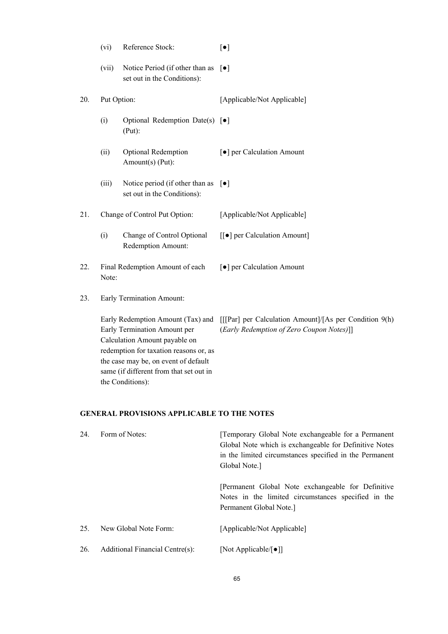|     | (vi)                                     | Reference Stock:                                                                                                                                                                                               | $[\bullet]$                                                                                                                           |
|-----|------------------------------------------|----------------------------------------------------------------------------------------------------------------------------------------------------------------------------------------------------------------|---------------------------------------------------------------------------------------------------------------------------------------|
|     | (vii)                                    | Notice Period (if other than as<br>set out in the Conditions):                                                                                                                                                 | $\lceil \bullet \rceil$                                                                                                               |
| 20. | Put Option:                              |                                                                                                                                                                                                                | [Applicable/Not Applicable]                                                                                                           |
|     | (i)                                      | Optional Redemption Date(s) [ $\bullet$ ]<br>$(Put)$ :                                                                                                                                                         |                                                                                                                                       |
|     | (ii)                                     | <b>Optional Redemption</b><br>Amount(s) (Put):                                                                                                                                                                 | [ $\bullet$ ] per Calculation Amount                                                                                                  |
|     | (iii)                                    | Notice period (if other than as<br>set out in the Conditions):                                                                                                                                                 | $\lceil \bullet \rceil$                                                                                                               |
| 21. |                                          | Change of Control Put Option:                                                                                                                                                                                  | [Applicable/Not Applicable]                                                                                                           |
|     | (i)                                      | Change of Control Optional<br>Redemption Amount:                                                                                                                                                               | [[ $\bullet$ ] per Calculation Amount]                                                                                                |
| 22. | Final Redemption Amount of each<br>Note: |                                                                                                                                                                                                                | [ $\bullet$ ] per Calculation Amount                                                                                                  |
| 23. |                                          | Early Termination Amount:                                                                                                                                                                                      |                                                                                                                                       |
|     |                                          | Early Termination Amount per<br>Calculation Amount payable on<br>redemption for taxation reasons or, as<br>the case may be, on event of default<br>same (if different from that set out in<br>the Conditions): | Early Redemption Amount (Tax) and [[[Par] per Calculation Amount]/[As per Condition 9(h)<br>(Early Redemption of Zero Coupon Notes)]] |
|     |                                          |                                                                                                                                                                                                                |                                                                                                                                       |

# **GENERAL PROVISIONS APPLICABLE TO THE NOTES**

| 24. | Form of Notes:                  | [Temporary Global Note exchangeable for a Permanent<br>Global Note which is exchangeable for Definitive Notes<br>in the limited circumstances specified in the Permanent<br>Global Note. |
|-----|---------------------------------|------------------------------------------------------------------------------------------------------------------------------------------------------------------------------------------|
|     |                                 | Permanent Global Note exchangeable for Definitive<br>Notes in the limited circumstances specified in the<br>Permanent Global Note.                                                       |
| 25. | New Global Note Form:           | [Applicable/Not Applicable]                                                                                                                                                              |
| 26. | Additional Financial Centre(s): | [Not Applicable/ $\lceil \bullet \rceil$ ]                                                                                                                                               |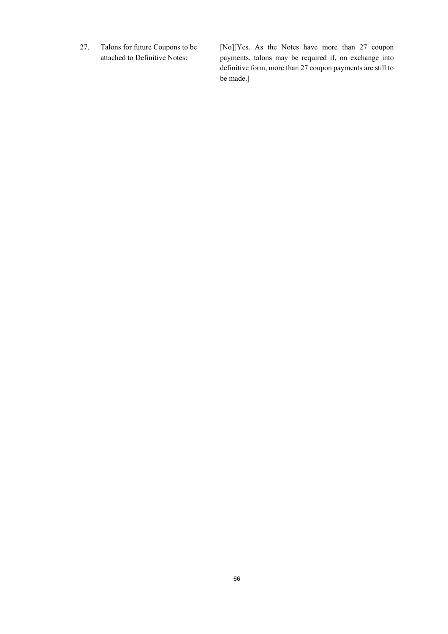27. Talons for future Coupons to be attached to Definitive Notes:

[No][Yes. As the Notes have more than 27 coupon payments, talons may be required if, on exchange into definitive form, more than 27 coupon payments are still to be made.]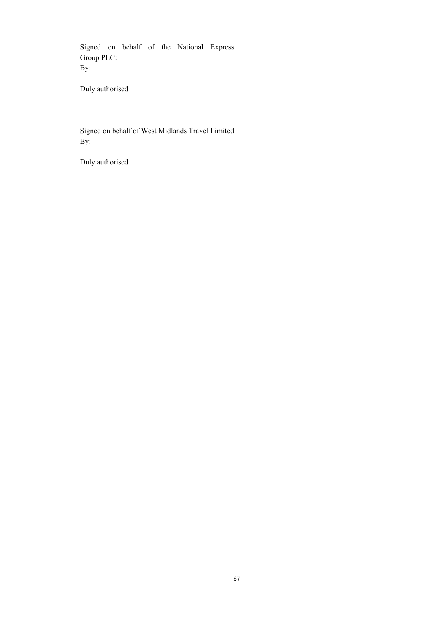Signed on behalf of the National Express Group PLC: By:

Duly authorised

Signed on behalf of West Midlands Travel Limited By:

Duly authorised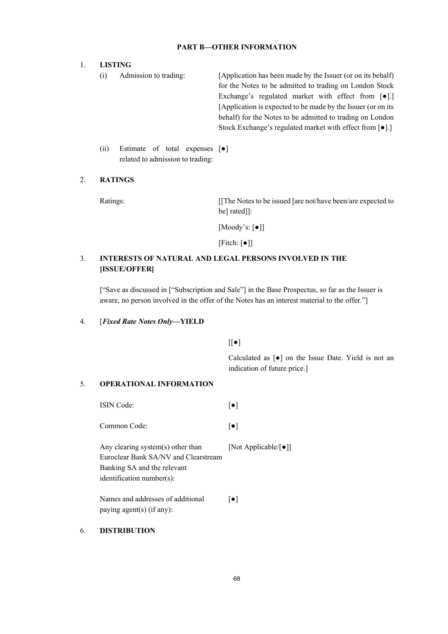### **PART B—OTHER INFORMATION**

### 1. **LISTING**

- (i) Admission to trading: [Application has been made by the Issuer (or on its behalf) for the Notes to be admitted to trading on London Stock Exchange's regulated market with effect from [●].] [Application is expected to be made by the Issuer (or on its behalf) for the Notes to be admitted to trading on London Stock Exchange's regulated market with effect from [●].]
- (ii) Estimate of total expenses [●] related to admission to trading:

### 2. **RATINGS**

Ratings: [[The Notes to be issued [are not/have been/are expected to be] rated]]:

[Moody's: [●]]

 $[Fitch: [•] ]$ 

### 3. **INTERESTS OF NATURAL AND LEGAL PERSONS INVOLVED IN THE [ISSUE/OFFER]**

["Save as discussed in ["Subscription and Sale"] in the Base Prospectus, so far as the Issuer is aware, no person involved in the offer of the Notes has an interest material to the offer."]

### 4. [*Fixed Rate Notes Only***—YIELD**

 $[[\bullet]$ 

Calculated as [●] on the Issue Date. Yield is not an indication of future price.]

### 5. **OPERATIONAL INFORMATION**

| <b>ISIN</b> Code:                                                                                                                     | [●]                                        |
|---------------------------------------------------------------------------------------------------------------------------------------|--------------------------------------------|
| Common Code:                                                                                                                          | $\lceil \bullet \rceil$                    |
| Any clearing system(s) other than<br>Euroclear Bank SA/NV and Clearstream<br>Banking SA and the relevant<br>identification number(s): | [Not Applicable/ $\lceil \bullet \rceil$ ] |
| Names and addresses of additional<br>paying agent(s) (if any):                                                                        | ●                                          |

### 6. **DISTRIBUTION**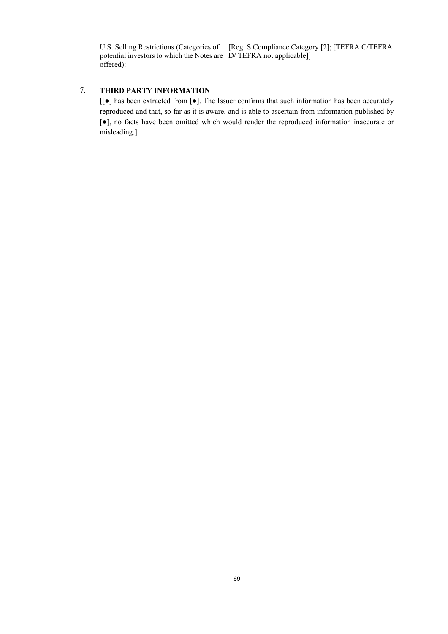U.S. Selling Restrictions (Categories of [Reg. S Compliance Category [2]; [TEFRA C/TEFRA potential investors to which the Notes are D/ TEFRA not applicable]] offered):

## 7. **THIRD PARTY INFORMATION**

[[●] has been extracted from [●]. The Issuer confirms that such information has been accurately reproduced and that, so far as it is aware, and is able to ascertain from information published by [●], no facts have been omitted which would render the reproduced information inaccurate or misleading.]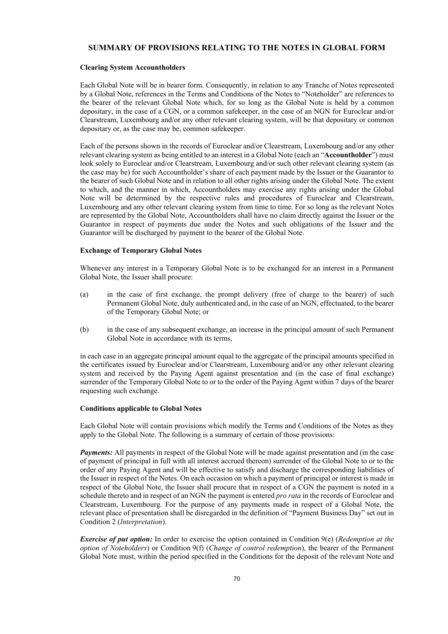### **SUMMARY OF PROVISIONS RELATING TO THE NOTES IN GLOBAL FORM**

#### **Clearing System Accountholders**

Each Global Note will be in bearer form. Consequently, in relation to any Tranche of Notes represented by a Global Note, references in the Terms and Conditions of the Notes to "Noteholder" are references to the bearer of the relevant Global Note which, for so long as the Global Note is held by a common depositary, in the case of a CGN, or a common safekeeper, in the case of an NGN for Euroclear and/or Clearstream, Luxembourg and/or any other relevant clearing system, will be that depositary or common depositary or, as the case may be, common safekeeper.

Each of the persons shown in the records of Euroclear and/or Clearstream, Luxembourg and/or any other relevant clearing system as being entitled to an interest in a Global Note (each an "**Accountholder**") must look solely to Euroclear and/or Clearstream, Luxembourg and/or such other relevant clearing system (as the case may be) for such Accountholder's share of each payment made by the Issuer or the Guarantor to the bearer of such Global Note and in relation to all other rights arising under the Global Note. The extent to which, and the manner in which, Accountholders may exercise any rights arising under the Global Note will be determined by the respective rules and procedures of Euroclear and Clearstream, Luxembourg and any other relevant clearing system from time to time. For so long as the relevant Notes are represented by the Global Note, Accountholders shall have no claim directly against the Issuer or the Guarantor in respect of payments due under the Notes and such obligations of the Issuer and the Guarantor will be discharged by payment to the bearer of the Global Note.

### **Exchange of Temporary Global Notes**

Whenever any interest in a Temporary Global Note is to be exchanged for an interest in a Permanent Global Note, the Issuer shall procure:

- (a) in the case of first exchange, the prompt delivery (free of charge to the bearer) of such Permanent Global Note, duly authenticated and, in the case of an NGN, effectuated, to the bearer of the Temporary Global Note; or
- (b) in the case of any subsequent exchange, an increase in the principal amount of such Permanent Global Note in accordance with its terms,

in each case in an aggregate principal amount equal to the aggregate of the principal amounts specified in the certificates issued by Euroclear and/or Clearstream, Luxembourg and/or any other relevant clearing system and received by the Paying Agent against presentation and (in the case of final exchange) surrender of the Temporary Global Note to or to the order of the Paying Agent within 7 days of the bearer requesting such exchange.

### **Conditions applicable to Global Notes**

Each Global Note will contain provisions which modify the Terms and Conditions of the Notes as they apply to the Global Note. The following is a summary of certain of those provisions:

*Payments:* All payments in respect of the Global Note will be made against presentation and (in the case of payment of principal in full with all interest accrued thereon) surrender of the Global Note to or to the order of any Paying Agent and will be effective to satisfy and discharge the corresponding liabilities of the Issuer in respect of the Notes. On each occasion on which a payment of principal or interest is made in respect of the Global Note, the Issuer shall procure that in respect of a CGN the payment is noted in a schedule thereto and in respect of an NGN the payment is entered *pro rata* in the records of Euroclear and Clearstream, Luxembourg. For the purpose of any payments made in respect of a Global Note, the relevant place of presentation shall be disregarded in the definition of "Payment Business Day" set out in Condition 2 (*Interpretation*).

*Exercise of put option:* In order to exercise the option contained in Condition 9(e) (*Redemption at the option of Noteholders*) or Condition 9(f) (*Change of control redemption*), the bearer of the Permanent Global Note must, within the period specified in the Conditions for the deposit of the relevant Note and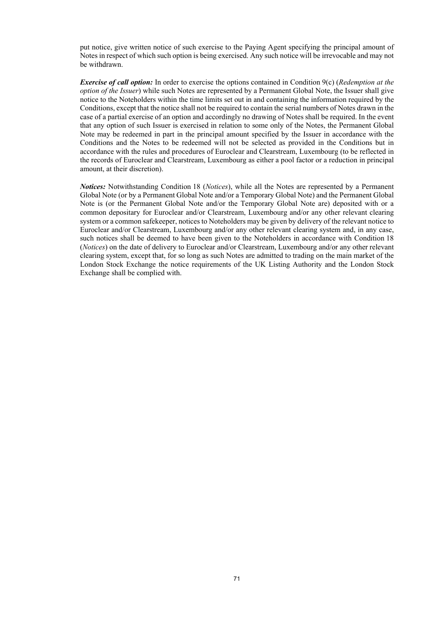put notice, give written notice of such exercise to the Paying Agent specifying the principal amount of Notes in respect of which such option is being exercised. Any such notice will be irrevocable and may not be withdrawn.

*Exercise of call option:* In order to exercise the options contained in Condition 9(c) (*Redemption at the option of the Issuer*) while such Notes are represented by a Permanent Global Note, the Issuer shall give notice to the Noteholders within the time limits set out in and containing the information required by the Conditions, except that the notice shall not be required to contain the serial numbers of Notes drawn in the case of a partial exercise of an option and accordingly no drawing of Notes shall be required. In the event that any option of such Issuer is exercised in relation to some only of the Notes, the Permanent Global Note may be redeemed in part in the principal amount specified by the Issuer in accordance with the Conditions and the Notes to be redeemed will not be selected as provided in the Conditions but in accordance with the rules and procedures of Euroclear and Clearstream, Luxembourg (to be reflected in the records of Euroclear and Clearstream, Luxembourg as either a pool factor or a reduction in principal amount, at their discretion).

*Notices:* Notwithstanding Condition 18 (*Notices*), while all the Notes are represented by a Permanent Global Note (or by a Permanent Global Note and/or a Temporary Global Note) and the Permanent Global Note is (or the Permanent Global Note and/or the Temporary Global Note are) deposited with or a common depositary for Euroclear and/or Clearstream, Luxembourg and/or any other relevant clearing system or a common safekeeper, notices to Noteholders may be given by delivery of the relevant notice to Euroclear and/or Clearstream, Luxembourg and/or any other relevant clearing system and, in any case, such notices shall be deemed to have been given to the Noteholders in accordance with Condition 18 (*Notices*) on the date of delivery to Euroclear and/or Clearstream, Luxembourg and/or any other relevant clearing system, except that, for so long as such Notes are admitted to trading on the main market of the London Stock Exchange the notice requirements of the UK Listing Authority and the London Stock Exchange shall be complied with.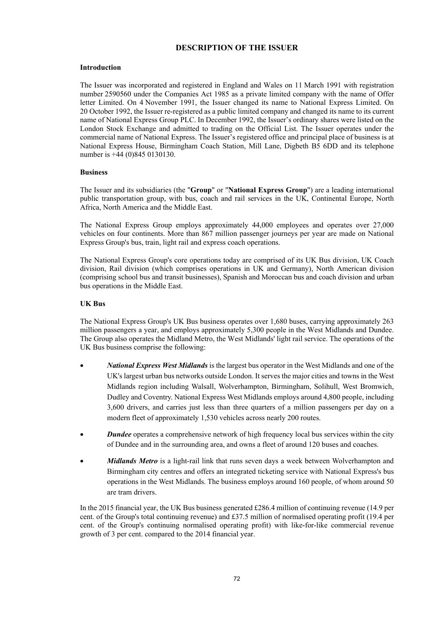### **DESCRIPTION OF THE ISSUER**

### **Introduction**

The Issuer was incorporated and registered in England and Wales on 11 March 1991 with registration number 2590560 under the Companies Act 1985 as a private limited company with the name of Offer letter Limited. On 4 November 1991, the Issuer changed its name to National Express Limited. On 20 October 1992, the Issuer re-registered as a public limited company and changed its name to its current name of National Express Group PLC. In December 1992, the Issuer's ordinary shares were listed on the London Stock Exchange and admitted to trading on the Official List. The Issuer operates under the commercial name of National Express. The Issuer's registered office and principal place of business is at National Express House, Birmingham Coach Station, Mill Lane, Digbeth B5 6DD and its telephone number is +44 (0)845 0130130.

### **Business**

The Issuer and its subsidiaries (the "**Group**" or "**National Express Group**") are a leading international public transportation group, with bus, coach and rail services in the UK, Continental Europe, North Africa, North America and the Middle East.

The National Express Group employs approximately 44,000 employees and operates over 27,000 vehicles on four continents. More than 867 million passenger journeys per year are made on National Express Group's bus, train, light rail and express coach operations.

The National Express Group's core operations today are comprised of its UK Bus division, UK Coach division, Rail division (which comprises operations in UK and Germany), North American division (comprising school bus and transit businesses), Spanish and Moroccan bus and coach division and urban bus operations in the Middle East.

### **UK Bus**

The National Express Group's UK Bus business operates over 1,680 buses, carrying approximately 263 million passengers a year, and employs approximately 5,300 people in the West Midlands and Dundee. The Group also operates the Midland Metro, the West Midlands' light rail service. The operations of the UK Bus business comprise the following:

- *National Express West Midlands* is the largest bus operator in the West Midlands and one of the UK's largest urban bus networks outside London. It serves the major cities and towns in the West Midlands region including Walsall, Wolverhampton, Birmingham, Solihull, West Bromwich, Dudley and Coventry. National Express West Midlands employs around 4,800 people, including 3,600 drivers, and carries just less than three quarters of a million passengers per day on a modern fleet of approximately 1,530 vehicles across nearly 200 routes.
- *Dundee* operates a comprehensive network of high frequency local bus services within the city of Dundee and in the surrounding area, and owns a fleet of around 120 buses and coaches.
- *Midlands Metro* is a light-rail link that runs seven days a week between Wolverhampton and Birmingham city centres and offers an integrated ticketing service with National Express's bus operations in the West Midlands. The business employs around 160 people, of whom around 50 are tram drivers.

In the 2015 financial year, the UK Bus business generated £286.4 million of continuing revenue (14.9 per cent. of the Group's total continuing revenue) and £37.5 million of normalised operating profit (19.4 per cent. of the Group's continuing normalised operating profit) with like-for-like commercial revenue growth of 3 per cent. compared to the 2014 financial year.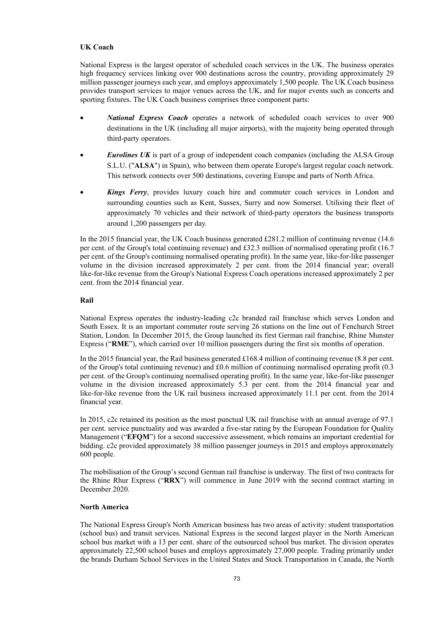### **UK Coach**

National Express is the largest operator of scheduled coach services in the UK. The business operates high frequency services linking over 900 destinations across the country, providing approximately 29 million passenger journeys each year, and employs approximately 1,500 people. The UK Coach business provides transport services to major venues across the UK, and for major events such as concerts and sporting fixtures. The UK Coach business comprises three component parts:

- *National Express Coach* operates a network of scheduled coach services to over 900 destinations in the UK (including all major airports), with the majority being operated through third-party operators.
- *Eurolines UK* is part of a group of independent coach companies (including the ALSA Group S.L.U. ("**ALSA**") in Spain), who between them operate Europe's largest regular coach network. This network connects over 500 destinations, covering Europe and parts of North Africa.
- *Kings Ferry*, provides luxury coach hire and commuter coach services in London and surrounding counties such as Kent, Sussex, Surry and now Somerset. Utilising their fleet of approximately 70 vehicles and their network of third-party operators the business transports around 1,200 passengers per day.

In the 2015 financial year, the UK Coach business generated £281.2 million of continuing revenue (14.6 per cent. of the Group's total continuing revenue) and £32.3 million of normalised operating profit (16.7 per cent. of the Group's continuing normalised operating profit). In the same year, like-for-like passenger volume in the division increased approximately 2 per cent. from the 2014 financial year; overall like-for-like revenue from the Group's National Express Coach operations increased approximately 2 per cent. from the 2014 financial year.

### **Rail**

National Express operates the industry-leading c2c branded rail franchise which serves London and South Essex. It is an important commuter route serving 26 stations on the line out of Fenchurch Street Station, London. In December 2015, the Group launched its first German rail franchise, Rhine Munster Express ("**RME**"), which carried over 10 million passengers during the first six months of operation.

In the 2015 financial year, the Rail business generated £168.4 million of continuing revenue (8.8 per cent. of the Group's total continuing revenue) and £0.6 million of continuing normalised operating profit (0.3 per cent. of the Group's continuing normalised operating profit). In the same year, like-for-like passenger volume in the division increased approximately 5.3 per cent. from the 2014 financial year and like-for-like revenue from the UK rail business increased approximately 11.1 per cent. from the 2014 financial year.

In 2015, c2c retained its position as the most punctual UK rail franchise with an annual average of 97.1 per cent. service punctuality and was awarded a five-star rating by the European Foundation for Quality Management ("**EFQM**") for a second successive assessment, which remains an important credential for bidding. c2c provided approximately 38 million passenger journeys in 2015 and employs approximately 600 people.

The mobilisation of the Group's second German rail franchise is underway. The first of two contracts for the Rhine Rhur Express ("**RRX**") will commence in June 2019 with the second contract starting in December 2020.

### **North America**

The National Express Group's North American business has two areas of activity: student transportation (school bus) and transit services. National Express is the second largest player in the North American school bus market with a 13 per cent. share of the outsourced school bus market. The division operates approximately 22,500 school buses and employs approximately 27,000 people. Trading primarily under the brands Durham School Services in the United States and Stock Transportation in Canada, the North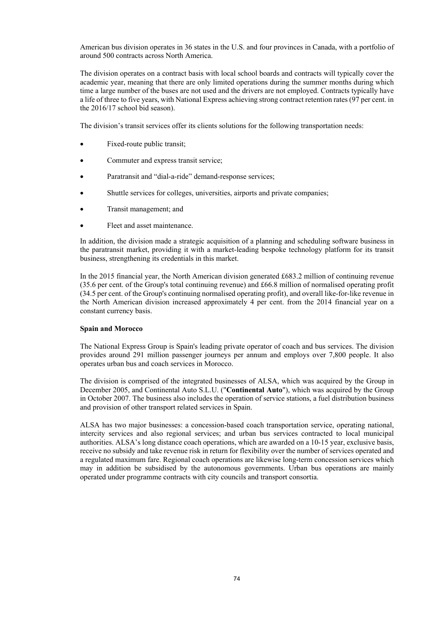American bus division operates in 36 states in the U.S. and four provinces in Canada, with a portfolio of around 500 contracts across North America.

The division operates on a contract basis with local school boards and contracts will typically cover the academic year, meaning that there are only limited operations during the summer months during which time a large number of the buses are not used and the drivers are not employed. Contracts typically have a life of three to five years, with National Express achieving strong contract retention rates (97 per cent. in the 2016/17 school bid season).

The division's transit services offer its clients solutions for the following transportation needs:

- Fixed-route public transit;
- Commuter and express transit service;
- Paratransit and "dial-a-ride" demand-response services;
- Shuttle services for colleges, universities, airports and private companies;
- Transit management; and
- Fleet and asset maintenance.

In addition, the division made a strategic acquisition of a planning and scheduling software business in the paratransit market, providing it with a market-leading bespoke technology platform for its transit business, strengthening its credentials in this market.

In the 2015 financial year, the North American division generated £683.2 million of continuing revenue (35.6 per cent. of the Group's total continuing revenue) and £66.8 million of normalised operating profit (34.5 per cent. of the Group's continuing normalised operating profit), and overall like-for-like revenue in the North American division increased approximately 4 per cent. from the 2014 financial year on a constant currency basis.

#### **Spain and Morocco**

The National Express Group is Spain's leading private operator of coach and bus services. The division provides around 291 million passenger journeys per annum and employs over 7,800 people. It also operates urban bus and coach services in Morocco.

The division is comprised of the integrated businesses of ALSA, which was acquired by the Group in December 2005, and Continental Auto S.L.U. ("**Continental Auto**"), which was acquired by the Group in October 2007. The business also includes the operation of service stations, a fuel distribution business and provision of other transport related services in Spain.

ALSA has two major businesses: a concession-based coach transportation service, operating national, intercity services and also regional services; and urban bus services contracted to local municipal authorities. ALSA's long distance coach operations, which are awarded on a 10-15 year, exclusive basis, receive no subsidy and take revenue risk in return for flexibility over the number of services operated and a regulated maximum fare. Regional coach operations are likewise long-term concession services which may in addition be subsidised by the autonomous governments. Urban bus operations are mainly operated under programme contracts with city councils and transport consortia.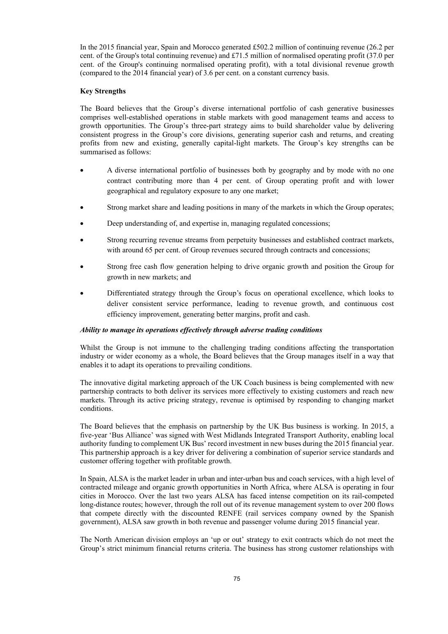In the 2015 financial year, Spain and Morocco generated £502.2 million of continuing revenue (26.2 per cent. of the Group's total continuing revenue) and £71.5 million of normalised operating profit (37.0 per cent. of the Group's continuing normalised operating profit), with a total divisional revenue growth (compared to the 2014 financial year) of 3.6 per cent. on a constant currency basis.

### **Key Strengths**

The Board believes that the Group's diverse international portfolio of cash generative businesses comprises well-established operations in stable markets with good management teams and access to growth opportunities. The Group's three-part strategy aims to build shareholder value by delivering consistent progress in the Group's core divisions, generating superior cash and returns, and creating profits from new and existing, generally capital-light markets. The Group's key strengths can be summarised as follows:

- A diverse international portfolio of businesses both by geography and by mode with no one contract contributing more than 4 per cent. of Group operating profit and with lower geographical and regulatory exposure to any one market;
- Strong market share and leading positions in many of the markets in which the Group operates;
- Deep understanding of, and expertise in, managing regulated concessions;
- Strong recurring revenue streams from perpetuity businesses and established contract markets, with around 65 per cent. of Group revenues secured through contracts and concessions;
- Strong free cash flow generation helping to drive organic growth and position the Group for growth in new markets; and
- Differentiated strategy through the Group's focus on operational excellence, which looks to deliver consistent service performance, leading to revenue growth, and continuous cost efficiency improvement, generating better margins, profit and cash.

### *Ability to manage its operations effectively through adverse trading conditions*

Whilst the Group is not immune to the challenging trading conditions affecting the transportation industry or wider economy as a whole, the Board believes that the Group manages itself in a way that enables it to adapt its operations to prevailing conditions.

The innovative digital marketing approach of the UK Coach business is being complemented with new partnership contracts to both deliver its services more effectively to existing customers and reach new markets. Through its active pricing strategy, revenue is optimised by responding to changing market conditions.

The Board believes that the emphasis on partnership by the UK Bus business is working. In 2015, a five-year 'Bus Alliance' was signed with West Midlands Integrated Transport Authority, enabling local authority funding to complement UK Bus' record investment in new buses during the 2015 financial year. This partnership approach is a key driver for delivering a combination of superior service standards and customer offering together with profitable growth.

In Spain, ALSA is the market leader in urban and inter-urban bus and coach services, with a high level of contracted mileage and organic growth opportunities in North Africa, where ALSA is operating in four cities in Morocco. Over the last two years ALSA has faced intense competition on its rail-competed long-distance routes; however, through the roll out of its revenue management system to over 200 flows that compete directly with the discounted RENFE (rail services company owned by the Spanish government), ALSA saw growth in both revenue and passenger volume during 2015 financial year.

The North American division employs an 'up or out' strategy to exit contracts which do not meet the Group's strict minimum financial returns criteria. The business has strong customer relationships with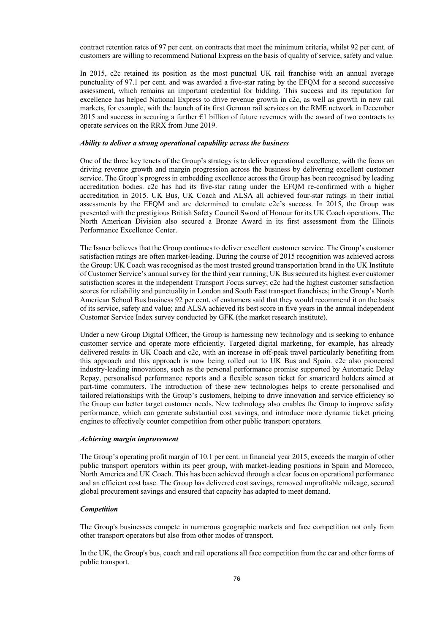contract retention rates of 97 per cent. on contracts that meet the minimum criteria, whilst 92 per cent. of customers are willing to recommend National Express on the basis of quality of service, safety and value.

In 2015, c2c retained its position as the most punctual UK rail franchise with an annual average punctuality of 97.1 per cent. and was awarded a five-star rating by the EFQM for a second successive assessment, which remains an important credential for bidding. This success and its reputation for excellence has helped National Express to drive revenue growth in c2c, as well as growth in new rail markets, for example, with the launch of its first German rail services on the RME network in December 2015 and success in securing a further €1 billion of future revenues with the award of two contracts to operate services on the RRX from June 2019.

### *Ability to deliver a strong operational capability across the business*

One of the three key tenets of the Group's strategy is to deliver operational excellence, with the focus on driving revenue growth and margin progression across the business by delivering excellent customer service. The Group's progress in embedding excellence across the Group has been recognised by leading accreditation bodies. c2c has had its five-star rating under the EFQM re-confirmed with a higher accreditation in 2015. UK Bus, UK Coach and ALSA all achieved four-star ratings in their initial assessments by the EFQM and are determined to emulate c2c's success. In 2015, the Group was presented with the prestigious British Safety Council Sword of Honour for its UK Coach operations. The North American Division also secured a Bronze Award in its first assessment from the Illinois Performance Excellence Center.

The Issuer believes that the Group continues to deliver excellent customer service. The Group's customer satisfaction ratings are often market-leading. During the course of 2015 recognition was achieved across the Group: UK Coach was recognised as the most trusted ground transportation brand in the UK Institute of Customer Service's annual survey for the third year running; UK Bus secured its highest ever customer satisfaction scores in the independent Transport Focus survey; c2c had the highest customer satisfaction scores for reliability and punctuality in London and South East transport franchises; in the Group's North American School Bus business 92 per cent. of customers said that they would recommend it on the basis of its service, safety and value; and ALSA achieved its best score in five years in the annual independent Customer Service Index survey conducted by GFK (the market research institute).

Under a new Group Digital Officer, the Group is harnessing new technology and is seeking to enhance customer service and operate more efficiently. Targeted digital marketing, for example, has already delivered results in UK Coach and c2c, with an increase in off-peak travel particularly benefiting from this approach and this approach is now being rolled out to UK Bus and Spain. c2c also pioneered industry-leading innovations, such as the personal performance promise supported by Automatic Delay Repay, personalised performance reports and a flexible season ticket for smartcard holders aimed at part-time commuters. The introduction of these new technologies helps to create personalised and tailored relationships with the Group's customers, helping to drive innovation and service efficiency so the Group can better target customer needs. New technology also enables the Group to improve safety performance, which can generate substantial cost savings, and introduce more dynamic ticket pricing engines to effectively counter competition from other public transport operators.

#### *Achieving margin improvement*

The Group's operating profit margin of 10.1 per cent. in financial year 2015, exceeds the margin of other public transport operators within its peer group, with market-leading positions in Spain and Morocco, North America and UK Coach. This has been achieved through a clear focus on operational performance and an efficient cost base. The Group has delivered cost savings, removed unprofitable mileage, secured global procurement savings and ensured that capacity has adapted to meet demand.

#### *Competition*

The Group's businesses compete in numerous geographic markets and face competition not only from other transport operators but also from other modes of transport.

In the UK, the Group's bus, coach and rail operations all face competition from the car and other forms of public transport.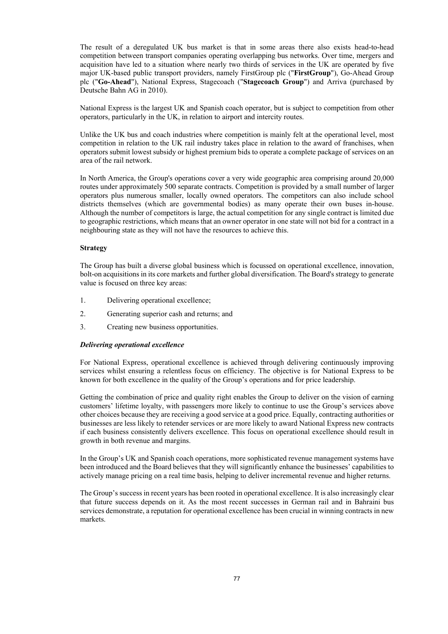The result of a deregulated UK bus market is that in some areas there also exists head-to-head competition between transport companies operating overlapping bus networks. Over time, mergers and acquisition have led to a situation where nearly two thirds of services in the UK are operated by five major UK-based public transport providers, namely FirstGroup plc ("**FirstGroup**"), Go-Ahead Group plc ("**Go-Ahead**"), National Express, Stagecoach ("**Stagecoach Group**") and Arriva (purchased by Deutsche Bahn AG in 2010).

National Express is the largest UK and Spanish coach operator, but is subject to competition from other operators, particularly in the UK, in relation to airport and intercity routes.

Unlike the UK bus and coach industries where competition is mainly felt at the operational level, most competition in relation to the UK rail industry takes place in relation to the award of franchises, when operators submit lowest subsidy or highest premium bids to operate a complete package of services on an area of the rail network.

In North America, the Group's operations cover a very wide geographic area comprising around 20,000 routes under approximately 500 separate contracts. Competition is provided by a small number of larger operators plus numerous smaller, locally owned operators. The competitors can also include school districts themselves (which are governmental bodies) as many operate their own buses in-house. Although the number of competitors is large, the actual competition for any single contract is limited due to geographic restrictions, which means that an owner operator in one state will not bid for a contract in a neighbouring state as they will not have the resources to achieve this.

### **Strategy**

The Group has built a diverse global business which is focussed on operational excellence, innovation, bolt-on acquisitions in its core markets and further global diversification. The Board's strategy to generate value is focused on three key areas:

- 1. Delivering operational excellence;
- 2. Generating superior cash and returns; and
- 3. Creating new business opportunities.

#### *Delivering operational excellence*

For National Express, operational excellence is achieved through delivering continuously improving services whilst ensuring a relentless focus on efficiency. The objective is for National Express to be known for both excellence in the quality of the Group's operations and for price leadership.

Getting the combination of price and quality right enables the Group to deliver on the vision of earning customers' lifetime loyalty, with passengers more likely to continue to use the Group's services above other choices because they are receiving a good service at a good price. Equally, contracting authorities or businesses are less likely to retender services or are more likely to award National Express new contracts if each business consistently delivers excellence. This focus on operational excellence should result in growth in both revenue and margins.

In the Group's UK and Spanish coach operations, more sophisticated revenue management systems have been introduced and the Board believes that they will significantly enhance the businesses' capabilities to actively manage pricing on a real time basis, helping to deliver incremental revenue and higher returns.

The Group's success in recent years has been rooted in operational excellence. It is also increasingly clear that future success depends on it. As the most recent successes in German rail and in Bahraini bus services demonstrate, a reputation for operational excellence has been crucial in winning contracts in new markets.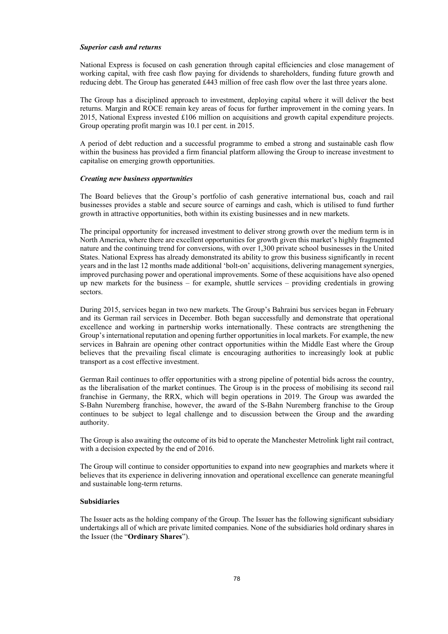#### *Superior cash and returns*

National Express is focused on cash generation through capital efficiencies and close management of working capital, with free cash flow paying for dividends to shareholders, funding future growth and reducing debt. The Group has generated £443 million of free cash flow over the last three years alone.

The Group has a disciplined approach to investment, deploying capital where it will deliver the best returns. Margin and ROCE remain key areas of focus for further improvement in the coming years. In 2015, National Express invested £106 million on acquisitions and growth capital expenditure projects. Group operating profit margin was 10.1 per cent. in 2015.

A period of debt reduction and a successful programme to embed a strong and sustainable cash flow within the business has provided a firm financial platform allowing the Group to increase investment to capitalise on emerging growth opportunities.

#### *Creating new business opportunities*

The Board believes that the Group's portfolio of cash generative international bus, coach and rail businesses provides a stable and secure source of earnings and cash, which is utilised to fund further growth in attractive opportunities, both within its existing businesses and in new markets.

The principal opportunity for increased investment to deliver strong growth over the medium term is in North America, where there are excellent opportunities for growth given this market's highly fragmented nature and the continuing trend for conversions, with over 1,300 private school businesses in the United States. National Express has already demonstrated its ability to grow this business significantly in recent years and in the last 12 months made additional 'bolt-on' acquisitions, delivering management synergies, improved purchasing power and operational improvements. Some of these acquisitions have also opened up new markets for the business – for example, shuttle services – providing credentials in growing sectors.

During 2015, services began in two new markets. The Group's Bahraini bus services began in February and its German rail services in December. Both began successfully and demonstrate that operational excellence and working in partnership works internationally. These contracts are strengthening the Group's international reputation and opening further opportunities in local markets. For example, the new services in Bahrain are opening other contract opportunities within the Middle East where the Group believes that the prevailing fiscal climate is encouraging authorities to increasingly look at public transport as a cost effective investment.

German Rail continues to offer opportunities with a strong pipeline of potential bids across the country, as the liberalisation of the market continues. The Group is in the process of mobilising its second rail franchise in Germany, the RRX, which will begin operations in 2019. The Group was awarded the S-Bahn Nuremberg franchise, however, the award of the S-Bahn Nuremberg franchise to the Group continues to be subject to legal challenge and to discussion between the Group and the awarding authority.

The Group is also awaiting the outcome of its bid to operate the Manchester Metrolink light rail contract, with a decision expected by the end of 2016.

The Group will continue to consider opportunities to expand into new geographies and markets where it believes that its experience in delivering innovation and operational excellence can generate meaningful and sustainable long-term returns.

### **Subsidiaries**

The Issuer acts as the holding company of the Group. The Issuer has the following significant subsidiary undertakings all of which are private limited companies. None of the subsidiaries hold ordinary shares in the Issuer (the "**Ordinary Shares**").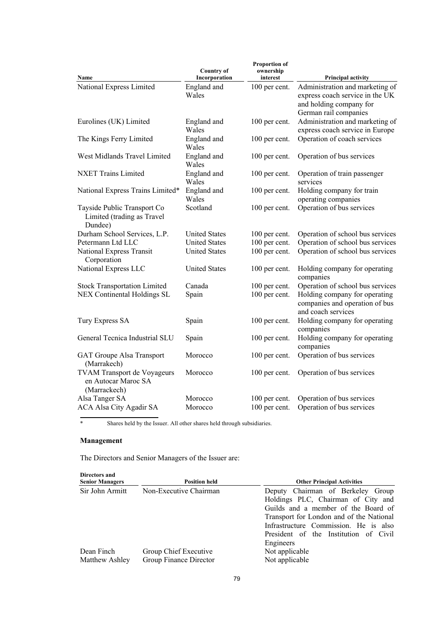| Name<br>Incorporation<br><b>Principal activity</b><br>interest<br>National Express Limited<br>England and<br>Administration and marketing of<br>100 per cent.<br>Wales<br>express coach service in the UK<br>and holding company for<br>German rail companies<br>Administration and marketing of<br>100 per cent.<br>Eurolines (UK) Limited<br>England and |  |
|------------------------------------------------------------------------------------------------------------------------------------------------------------------------------------------------------------------------------------------------------------------------------------------------------------------------------------------------------------|--|
|                                                                                                                                                                                                                                                                                                                                                            |  |
| Wales<br>express coach service in Europe                                                                                                                                                                                                                                                                                                                   |  |
| Operation of coach services<br>The Kings Ferry Limited<br>England and<br>100 per cent.<br>Wales                                                                                                                                                                                                                                                            |  |
| West Midlands Travel Limited<br>England and<br>100 per cent.<br>Operation of bus services<br>Wales                                                                                                                                                                                                                                                         |  |
| <b>NXET Trains Limited</b><br>England and<br>100 per cent.<br>Operation of train passenger<br>Wales<br>services                                                                                                                                                                                                                                            |  |
| England and<br>Holding company for train<br>National Express Trains Limited*<br>100 per cent.<br>operating companies<br>Wales                                                                                                                                                                                                                              |  |
| Operation of bus services<br>Scotland<br>100 per cent.<br>Tayside Public Transport Co<br>Limited (trading as Travel<br>Dundee)                                                                                                                                                                                                                             |  |
| Durham School Services, L.P.<br><b>United States</b><br>Operation of school bus services<br>100 per cent.                                                                                                                                                                                                                                                  |  |
| Petermann Ltd LLC<br>100 per cent.<br>Operation of school bus services<br><b>United States</b>                                                                                                                                                                                                                                                             |  |
| 100 per cent.<br>Operation of school bus services<br>National Express Transit<br><b>United States</b><br>Corporation                                                                                                                                                                                                                                       |  |
| National Express LLC<br><b>United States</b><br>100 per cent.<br>Holding company for operating<br>companies                                                                                                                                                                                                                                                |  |
| Operation of school bus services<br><b>Stock Transportation Limited</b><br>Canada<br>100 per cent.                                                                                                                                                                                                                                                         |  |
| Holding company for operating<br>NEX Continental Holdings SL<br>Spain<br>100 per cent.<br>companies and operation of bus<br>and coach services                                                                                                                                                                                                             |  |
| Holding company for operating<br>Tury Express SA<br>Spain<br>100 per cent.<br>companies                                                                                                                                                                                                                                                                    |  |
| General Tecnica Industrial SLU<br>Holding company for operating<br>100 per cent.<br>Spain<br>companies                                                                                                                                                                                                                                                     |  |
| Operation of bus services<br>GAT Groupe Alsa Transport<br>100 per cent.<br>Morocco<br>(Marrakech)                                                                                                                                                                                                                                                          |  |
| <b>TVAM Transport de Voyageurs</b><br>Operation of bus services<br>Morocco<br>100 per cent.<br>en Autocar Maroc SA<br>(Marrackech)                                                                                                                                                                                                                         |  |
| Alsa Tanger SA<br>Operation of bus services<br>Morocco<br>100 per cent.                                                                                                                                                                                                                                                                                    |  |
| ACA Alsa City Agadir SA<br>100 per cent.<br>Operation of bus services<br>Morocco                                                                                                                                                                                                                                                                           |  |

\* Shares held by the Issuer. All other shares held through subsidiaries.

# **Management**

The Directors and Senior Managers of the Issuer are:

| Directors and<br><b>Senior Managers</b> | <b>Position held</b>                            | <b>Other Principal Activities</b>                                                                                                                                                                                                                         |
|-----------------------------------------|-------------------------------------------------|-----------------------------------------------------------------------------------------------------------------------------------------------------------------------------------------------------------------------------------------------------------|
| Sir John Armitt                         | Non-Executive Chairman                          | Deputy Chairman of Berkeley Group<br>Holdings PLC, Chairman of City and<br>Guilds and a member of the Board of<br>Transport for London and of the National<br>Infrastructure Commission. He is also<br>President of the Institution of Civil<br>Engineers |
| Dean Finch<br>Matthew Ashley            | Group Chief Executive<br>Group Finance Director | Not applicable<br>Not applicable                                                                                                                                                                                                                          |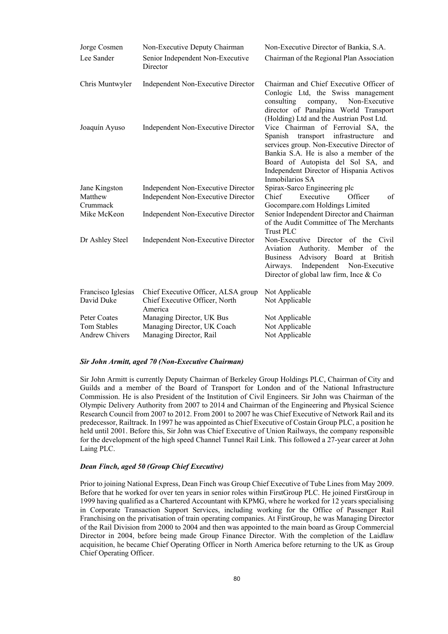| Jorge Cosmen          | Non-Executive Deputy Chairman                | Non-Executive Director of Bankia, S.A.                                                                                                                                                                                                                                          |
|-----------------------|----------------------------------------------|---------------------------------------------------------------------------------------------------------------------------------------------------------------------------------------------------------------------------------------------------------------------------------|
| Lee Sander            | Senior Independent Non-Executive<br>Director | Chairman of the Regional Plan Association                                                                                                                                                                                                                                       |
| Chris Muntwyler       | <b>Independent Non-Executive Director</b>    | Chairman and Chief Executive Officer of<br>Conlogic Ltd, the Swiss management<br>consulting<br>Non-Executive<br>company,<br>director of Panalpina World Transport<br>(Holding) Ltd and the Austrian Post Ltd.                                                                   |
| Joaquín Ayuso         | <b>Independent Non-Executive Director</b>    | Vice Chairman of Ferrovial SA, the<br>transport<br>infrastructure<br>Spanish<br>and<br>services group. Non-Executive Director of<br>Bankia S.A. He is also a member of the<br>Board of Autopista del Sol SA, and<br>Independent Director of Hispania Activos<br>Inmobilarios SA |
| Jane Kingston         | <b>Independent Non-Executive Director</b>    | Spirax-Sarco Engineering plc                                                                                                                                                                                                                                                    |
| Matthew<br>Crummack   | <b>Independent Non-Executive Director</b>    | Executive<br>Chief<br>Officer<br>of<br>Gocompare.com Holdings Limited                                                                                                                                                                                                           |
| Mike McKeon           | Independent Non-Executive Director           | Senior Independent Director and Chairman<br>of the Audit Committee of The Merchants<br><b>Trust PLC</b>                                                                                                                                                                         |
| Dr Ashley Steel       | Independent Non-Executive Director           | Non-Executive Director of the Civil<br>Aviation<br>Authority. Member<br>of<br>the<br>Advisory Board at British<br><b>Business</b><br>Independent<br>Non-Executive<br>Airways.<br>Director of global law firm, Ince & Co                                                         |
| Francisco Iglesias    | Chief Executive Officer, ALSA group          | Not Applicable                                                                                                                                                                                                                                                                  |
| David Duke            | Chief Executive Officer, North<br>America    | Not Applicable                                                                                                                                                                                                                                                                  |
| Peter Coates          | Managing Director, UK Bus                    | Not Applicable                                                                                                                                                                                                                                                                  |
| Tom Stables           | Managing Director, UK Coach                  | Not Applicable                                                                                                                                                                                                                                                                  |
| <b>Andrew Chivers</b> | Managing Director, Rail                      | Not Applicable                                                                                                                                                                                                                                                                  |

#### *Sir John Armitt, aged 70 (Non-Executive Chairman)*

Sir John Armitt is currently Deputy Chairman of Berkeley Group Holdings PLC, Chairman of City and Guilds and a member of the Board of Transport for London and of the National Infrastructure Commission. He is also President of the Institution of Civil Engineers. Sir John was Chairman of the Olympic Delivery Authority from 2007 to 2014 and Chairman of the Engineering and Physical Science Research Council from 2007 to 2012. From 2001 to 2007 he was Chief Executive of Network Rail and its predecessor, Railtrack. In 1997 he was appointed as Chief Executive of Costain Group PLC, a position he held until 2001. Before this, Sir John was Chief Executive of Union Railways, the company responsible for the development of the high speed Channel Tunnel Rail Link. This followed a 27-year career at John Laing PLC.

### *Dean Finch, aged 50 (Group Chief Executive)*

Prior to joining National Express, Dean Finch was Group Chief Executive of Tube Lines from May 2009. Before that he worked for over ten years in senior roles within FirstGroup PLC. He joined FirstGroup in 1999 having qualified as a Chartered Accountant with KPMG, where he worked for 12 years specialising in Corporate Transaction Support Services, including working for the Office of Passenger Rail Franchising on the privatisation of train operating companies. At FirstGroup, he was Managing Director of the Rail Division from 2000 to 2004 and then was appointed to the main board as Group Commercial Director in 2004, before being made Group Finance Director. With the completion of the Laidlaw acquisition, he became Chief Operating Officer in North America before returning to the UK as Group Chief Operating Officer.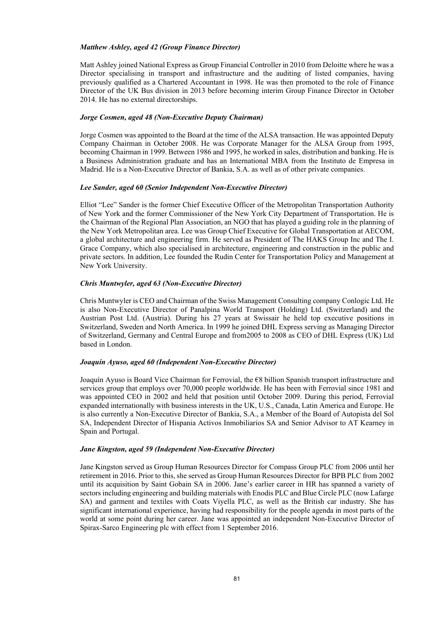### *Matthew Ashley, aged 42 (Group Finance Director)*

Matt Ashley joined National Express as Group Financial Controller in 2010 from Deloitte where he was a Director specialising in transport and infrastructure and the auditing of listed companies, having previously qualified as a Chartered Accountant in 1998. He was then promoted to the role of Finance Director of the UK Bus division in 2013 before becoming interim Group Finance Director in October 2014. He has no external directorships.

#### *Jorge Cosmen, aged 48 (Non-Executive Deputy Chairman)*

Jorge Cosmen was appointed to the Board at the time of the ALSA transaction. He was appointed Deputy Company Chairman in October 2008. He was Corporate Manager for the ALSA Group from 1995, becoming Chairman in 1999. Between 1986 and 1995, he worked in sales, distribution and banking. He is a Business Administration graduate and has an International MBA from the Instituto de Empresa in Madrid. He is a Non-Executive Director of Bankia, S.A. as well as of other private companies.

#### *Lee Sander, aged 60 (Senior Independent Non-Executive Director)*

Elliot "Lee" Sander is the former Chief Executive Officer of the Metropolitan Transportation Authority of New York and the former Commissioner of the New York City Department of Transportation. He is the Chairman of the Regional Plan Association, an NGO that has played a guiding role in the planning of the New York Metropolitan area. Lee was Group Chief Executive for Global Transportation at AECOM, a global architecture and engineering firm. He served as President of The HAKS Group Inc and The I. Grace Company, which also specialised in architecture, engineering and construction in the public and private sectors. In addition, Lee founded the Rudin Center for Transportation Policy and Management at New York University.

### *Chris Muntwyler, aged 63 (Non-Executive Director)*

Chris Muntwyler is CEO and Chairman of the Swiss Management Consulting company Conlogic Ltd. He is also Non-Executive Director of Panalpina World Transport (Holding) Ltd. (Switzerland) and the Austrian Post Ltd. (Austria). During his 27 years at Swissair he held top executive positions in Switzerland, Sweden and North America. In 1999 he joined DHL Express serving as Managing Director of Switzerland, Germany and Central Europe and from2005 to 2008 as CEO of DHL Express (UK) Ltd based in London.

### *Joaquín Ayuso, aged 60 (Independent Non-Executive Director)*

Joaquín Ayuso is Board Vice Chairman for Ferrovial, the €8 billion Spanish transport infrastructure and services group that employs over 70,000 people worldwide. He has been with Ferrovial since 1981 and was appointed CEO in 2002 and held that position until October 2009. During this period, Ferrovial expanded internationally with business interests in the UK, U.S., Canada, Latin America and Europe. He is also currently a Non-Executive Director of Bankia, S.A., a Member of the Board of Autopista del Sol SA, Independent Director of Hispania Activos Inmobiliarios SA and Senior Advisor to AT Kearney in Spain and Portugal.

#### *Jane Kingston, aged 59 (Independent Non-Executive Director)*

Jane Kingston served as Group Human Resources Director for Compass Group PLC from 2006 until her retirement in 2016. Prior to this, she served as Group Human Resources Director for BPB PLC from 2002 until its acquisition by Saint Gobain SA in 2006. Jane's earlier career in HR has spanned a variety of sectors including engineering and building materials with Enodis PLC and Blue Circle PLC (now Lafarge SA) and garment and textiles with Coats Viyella PLC, as well as the British car industry. She has significant international experience, having had responsibility for the people agenda in most parts of the world at some point during her career. Jane was appointed an independent Non-Executive Director of Spirax-Sarco Engineering plc with effect from 1 September 2016.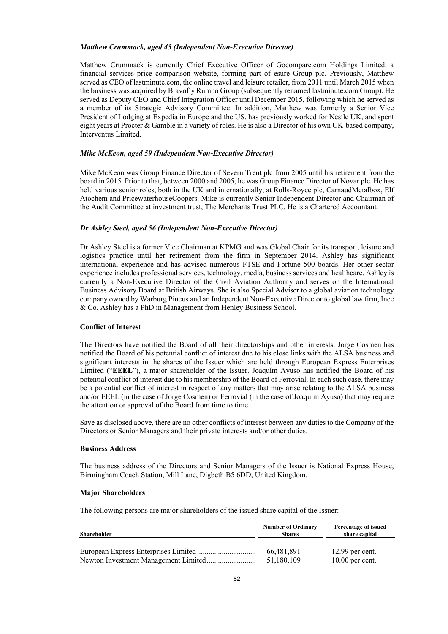#### *Matthew Crummack, aged 45 (Independent Non-Executive Director)*

Matthew Crummack is currently Chief Executive Officer of Gocompare.com Holdings Limited, a financial services price comparison website, forming part of esure Group plc. Previously, Matthew served as CEO of lastminute.com, the online travel and leisure retailer, from 2011 until March 2015 when the business was acquired by Bravofly Rumbo Group (subsequently renamed lastminute.com Group). He served as Deputy CEO and Chief Integration Officer until December 2015, following which he served as a member of its Strategic Advisory Committee. In addition, Matthew was formerly a Senior Vice President of Lodging at Expedia in Europe and the US, has previously worked for Nestle UK, and spent eight years at Procter & Gamble in a variety of roles. He is also a Director of his own UK-based company, Interventus Limited.

#### *Mike McKeon, aged 59 (Independent Non-Executive Director)*

Mike McKeon was Group Finance Director of Severn Trent plc from 2005 until his retirement from the board in 2015. Prior to that, between 2000 and 2005, he was Group Finance Director of Novar plc. He has held various senior roles, both in the UK and internationally, at Rolls-Royce plc, CarnaudMetalbox, Elf Atochem and PricewaterhouseCoopers. Mike is currently Senior Independent Director and Chairman of the Audit Committee at investment trust, The Merchants Trust PLC. He is a Chartered Accountant.

#### *Dr Ashley Steel, aged 56 (Independent Non-Executive Director)*

Dr Ashley Steel is a former Vice Chairman at KPMG and was Global Chair for its transport, leisure and logistics practice until her retirement from the firm in September 2014. Ashley has significant international experience and has advised numerous FTSE and Fortune 500 boards. Her other sector experience includes professional services, technology, media, business services and healthcare. Ashley is currently a Non-Executive Director of the Civil Aviation Authority and serves on the International Business Advisory Board at British Airways. She is also Special Adviser to a global aviation technology company owned by Warburg Pincus and an Independent Non-Executive Director to global law firm, Ince & Co. Ashley has a PhD in Management from Henley Business School.

#### **Conflict of Interest**

The Directors have notified the Board of all their directorships and other interests. Jorge Cosmen has notified the Board of his potential conflict of interest due to his close links with the ALSA business and significant interests in the shares of the Issuer which are held through European Express Enterprises Limited ("**EEEL**"), a major shareholder of the Issuer. Joaquím Ayuso has notified the Board of his potential conflict of interest due to his membership of the Board of Ferrovial. In each such case, there may be a potential conflict of interest in respect of any matters that may arise relating to the ALSA business and/or EEEL (in the case of Jorge Cosmen) or Ferrovial (in the case of Joaquím Ayuso) that may require the attention or approval of the Board from time to time.

Save as disclosed above, there are no other conflicts of interest between any duties to the Company of the Directors or Senior Managers and their private interests and/or other duties.

#### **Business Address**

The business address of the Directors and Senior Managers of the Issuer is National Express House, Birmingham Coach Station, Mill Lane, Digbeth B5 6DD, United Kingdom.

### **Major Shareholders**

The following persons are major shareholders of the issued share capital of the Issuer:

| Shareholder | <b>Number of Ordinary</b><br><b>Shares</b> | Percentage of issued<br>share capital |
|-------------|--------------------------------------------|---------------------------------------|
|             | 66,481,891                                 | $12.99$ per cent.                     |
|             | 51,180,109                                 | $10.00$ per cent.                     |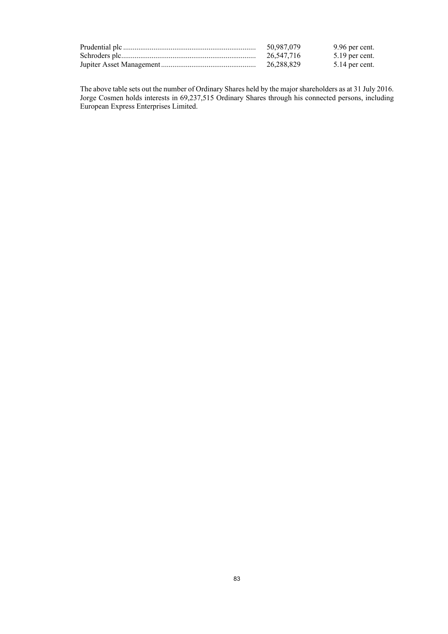| 50,987,079 | 9.96 per cent.   |
|------------|------------------|
| 26,547,716 | $5.19$ per cent. |
| 26,288,829 | 5.14 per cent.   |

The above table sets out the number of Ordinary Shares held by the major shareholders as at 31 July 2016. Jorge Cosmen holds interests in 69,237,515 Ordinary Shares through his connected persons, including European Express Enterprises Limited.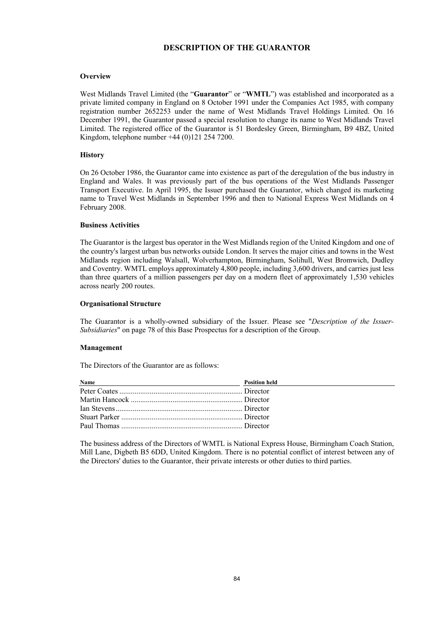### **DESCRIPTION OF THE GUARANTOR**

### **Overview**

West Midlands Travel Limited (the "**Guarantor**" or "**WMTL**") was established and incorporated as a private limited company in England on 8 October 1991 under the Companies Act 1985, with company registration number 2652253 under the name of West Midlands Travel Holdings Limited. On 16 December 1991, the Guarantor passed a special resolution to change its name to West Midlands Travel Limited. The registered office of the Guarantor is 51 Bordesley Green, Birmingham, B9 4BZ, United Kingdom, telephone number +44 (0)121 254 7200.

### **History**

On 26 October 1986, the Guarantor came into existence as part of the deregulation of the bus industry in England and Wales. It was previously part of the bus operations of the West Midlands Passenger Transport Executive. In April 1995, the Issuer purchased the Guarantor, which changed its marketing name to Travel West Midlands in September 1996 and then to National Express West Midlands on 4 February 2008.

#### **Business Activities**

The Guarantor is the largest bus operator in the West Midlands region of the United Kingdom and one of the country's largest urban bus networks outside London. It serves the major cities and towns in the West Midlands region including Walsall, Wolverhampton, Birmingham, Solihull, West Bromwich, Dudley and Coventry. WMTL employs approximately 4,800 people, including 3,600 drivers, and carries just less than three quarters of a million passengers per day on a modern fleet of approximately 1,530 vehicles across nearly 200 routes.

#### **Organisational Structure**

The Guarantor is a wholly-owned subsidiary of the Issuer. Please see "*Description of the Issuer-Subsidiaries*" on page 78 of this Base Prospectus for a description of the Group.

#### **Management**

The Directors of the Guarantor are as follows:

| Name<br><u> 1990 - John Harry Barn, mars and de la partie de la partie de la partie de la partie de la partie de la part</u> | <b>Position held</b> |
|------------------------------------------------------------------------------------------------------------------------------|----------------------|
|                                                                                                                              |                      |
|                                                                                                                              |                      |
|                                                                                                                              |                      |
|                                                                                                                              |                      |
|                                                                                                                              |                      |

The business address of the Directors of WMTL is National Express House, Birmingham Coach Station, Mill Lane, Digbeth B5 6DD, United Kingdom. There is no potential conflict of interest between any of the Directors' duties to the Guarantor, their private interests or other duties to third parties.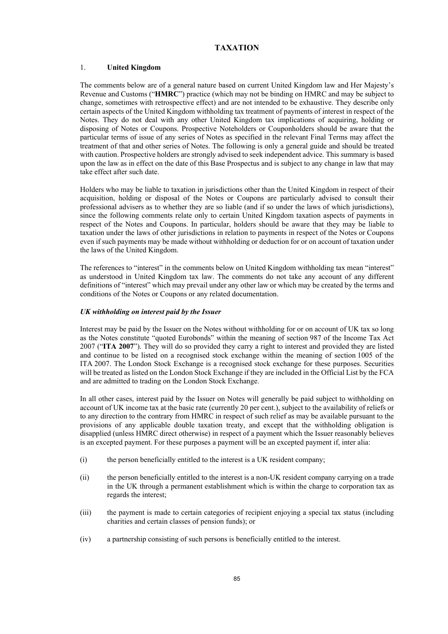### **TAXATION**

### 1. **United Kingdom**

The comments below are of a general nature based on current United Kingdom law and Her Majesty's Revenue and Customs ("**HMRC**") practice (which may not be binding on HMRC and may be subject to change, sometimes with retrospective effect) and are not intended to be exhaustive. They describe only certain aspects of the United Kingdom withholding tax treatment of payments of interest in respect of the Notes. They do not deal with any other United Kingdom tax implications of acquiring, holding or disposing of Notes or Coupons. Prospective Noteholders or Couponholders should be aware that the particular terms of issue of any series of Notes as specified in the relevant Final Terms may affect the treatment of that and other series of Notes. The following is only a general guide and should be treated with caution. Prospective holders are strongly advised to seek independent advice. This summary is based upon the law as in effect on the date of this Base Prospectus and is subject to any change in law that may take effect after such date.

Holders who may be liable to taxation in jurisdictions other than the United Kingdom in respect of their acquisition, holding or disposal of the Notes or Coupons are particularly advised to consult their professional advisers as to whether they are so liable (and if so under the laws of which jurisdictions), since the following comments relate only to certain United Kingdom taxation aspects of payments in respect of the Notes and Coupons. In particular, holders should be aware that they may be liable to taxation under the laws of other jurisdictions in relation to payments in respect of the Notes or Coupons even if such payments may be made without withholding or deduction for or on account of taxation under the laws of the United Kingdom.

The references to "interest" in the comments below on United Kingdom withholding tax mean "interest" as understood in United Kingdom tax law. The comments do not take any account of any different definitions of "interest" which may prevail under any other law or which may be created by the terms and conditions of the Notes or Coupons or any related documentation.

### *UK withholding on interest paid by the Issuer*

Interest may be paid by the Issuer on the Notes without withholding for or on account of UK tax so long as the Notes constitute "quoted Eurobonds" within the meaning of section 987 of the Income Tax Act 2007 ("**ITA 2007**"). They will do so provided they carry a right to interest and provided they are listed and continue to be listed on a recognised stock exchange within the meaning of section 1005 of the ITA 2007. The London Stock Exchange is a recognised stock exchange for these purposes. Securities will be treated as listed on the London Stock Exchange if they are included in the Official List by the FCA and are admitted to trading on the London Stock Exchange.

In all other cases, interest paid by the Issuer on Notes will generally be paid subject to withholding on account of UK income tax at the basic rate (currently 20 per cent.), subject to the availability of reliefs or to any direction to the contrary from HMRC in respect of such relief as may be available pursuant to the provisions of any applicable double taxation treaty, and except that the withholding obligation is disapplied (unless HMRC direct otherwise) in respect of a payment which the Issuer reasonably believes is an excepted payment. For these purposes a payment will be an excepted payment if, inter alia:

- (i) the person beneficially entitled to the interest is a UK resident company;
- (ii) the person beneficially entitled to the interest is a non-UK resident company carrying on a trade in the UK through a permanent establishment which is within the charge to corporation tax as regards the interest;
- (iii) the payment is made to certain categories of recipient enjoying a special tax status (including charities and certain classes of pension funds); or
- (iv) a partnership consisting of such persons is beneficially entitled to the interest.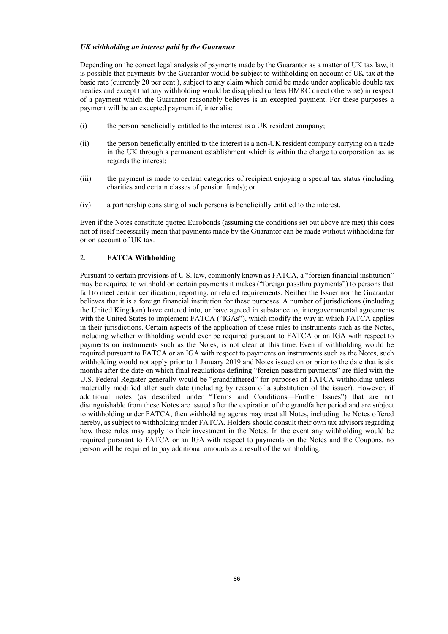### *UK withholding on interest paid by the Guarantor*

Depending on the correct legal analysis of payments made by the Guarantor as a matter of UK tax law, it is possible that payments by the Guarantor would be subject to withholding on account of UK tax at the basic rate (currently 20 per cent.), subject to any claim which could be made under applicable double tax treaties and except that any withholding would be disapplied (unless HMRC direct otherwise) in respect of a payment which the Guarantor reasonably believes is an excepted payment. For these purposes a payment will be an excepted payment if, inter alia:

- (i) the person beneficially entitled to the interest is a UK resident company;
- (ii) the person beneficially entitled to the interest is a non-UK resident company carrying on a trade in the UK through a permanent establishment which is within the charge to corporation tax as regards the interest;
- (iii) the payment is made to certain categories of recipient enjoying a special tax status (including charities and certain classes of pension funds); or
- (iv) a partnership consisting of such persons is beneficially entitled to the interest.

Even if the Notes constitute quoted Eurobonds (assuming the conditions set out above are met) this does not of itself necessarily mean that payments made by the Guarantor can be made without withholding for or on account of UK tax.

### 2. **FATCA Withholding**

Pursuant to certain provisions of U.S. law, commonly known as FATCA, a "foreign financial institution" may be required to withhold on certain payments it makes ("foreign passthru payments") to persons that fail to meet certain certification, reporting, or related requirements. Neither the Issuer nor the Guarantor believes that it is a foreign financial institution for these purposes. A number of jurisdictions (including the United Kingdom) have entered into, or have agreed in substance to, intergovernmental agreements with the United States to implement FATCA ("IGAs"), which modify the way in which FATCA applies in their jurisdictions. Certain aspects of the application of these rules to instruments such as the Notes, including whether withholding would ever be required pursuant to FATCA or an IGA with respect to payments on instruments such as the Notes, is not clear at this time. Even if withholding would be required pursuant to FATCA or an IGA with respect to payments on instruments such as the Notes, such withholding would not apply prior to 1 January 2019 and Notes issued on or prior to the date that is six months after the date on which final regulations defining "foreign passthru payments" are filed with the U.S. Federal Register generally would be "grandfathered" for purposes of FATCA withholding unless materially modified after such date (including by reason of a substitution of the issuer). However, if additional notes (as described under "Terms and Conditions—Further Issues") that are not distinguishable from these Notes are issued after the expiration of the grandfather period and are subject to withholding under FATCA, then withholding agents may treat all Notes, including the Notes offered hereby, as subject to withholding under FATCA. Holders should consult their own tax advisors regarding how these rules may apply to their investment in the Notes. In the event any withholding would be required pursuant to FATCA or an IGA with respect to payments on the Notes and the Coupons, no person will be required to pay additional amounts as a result of the withholding.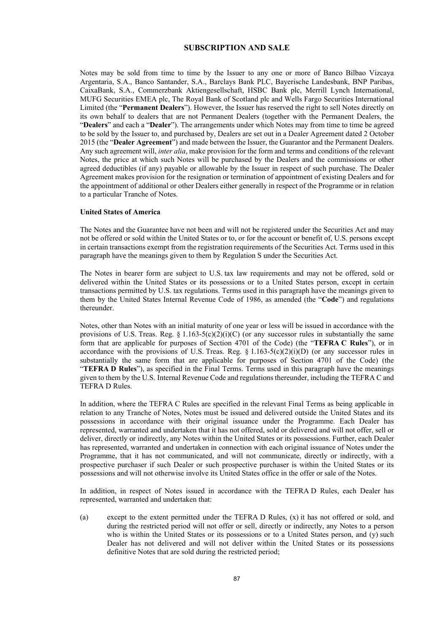### **SUBSCRIPTION AND SALE**

Notes may be sold from time to time by the Issuer to any one or more of Banco Bilbao Vizcaya Argentaria, S.A., Banco Santander, S.A., Barclays Bank PLC, Bayerische Landesbank, BNP Paribas, CaixaBank, S.A., Commerzbank Aktiengesellschaft, HSBC Bank plc, Merrill Lynch International, MUFG Securities EMEA plc, The Royal Bank of Scotland plc and Wells Fargo Securities International Limited (the "**Permanent Dealers**"). However, the Issuer has reserved the right to sell Notes directly on its own behalf to dealers that are not Permanent Dealers (together with the Permanent Dealers, the "**Dealers**" and each a "**Dealer**"). The arrangements under which Notes may from time to time be agreed to be sold by the Issuer to, and purchased by, Dealers are set out in a Dealer Agreement dated 2 October 2015 (the "**Dealer Agreement**") and made between the Issuer, the Guarantor and the Permanent Dealers. Any such agreement will, *inter alia*, make provision for the form and terms and conditions of the relevant Notes, the price at which such Notes will be purchased by the Dealers and the commissions or other agreed deductibles (if any) payable or allowable by the Issuer in respect of such purchase. The Dealer Agreement makes provision for the resignation or termination of appointment of existing Dealers and for the appointment of additional or other Dealers either generally in respect of the Programme or in relation to a particular Tranche of Notes.

#### **United States of America**

The Notes and the Guarantee have not been and will not be registered under the Securities Act and may not be offered or sold within the United States or to, or for the account or benefit of, U.S. persons except in certain transactions exempt from the registration requirements of the Securities Act. Terms used in this paragraph have the meanings given to them by Regulation S under the Securities Act.

The Notes in bearer form are subject to U.S. tax law requirements and may not be offered, sold or delivered within the United States or its possessions or to a United States person, except in certain transactions permitted by U.S. tax regulations. Terms used in this paragraph have the meanings given to them by the United States Internal Revenue Code of 1986, as amended (the "**Code**") and regulations thereunder.

Notes, other than Notes with an initial maturity of one year or less will be issued in accordance with the provisions of U.S. Treas. Reg. § 1.163-5(c)(2)(i)(C) (or any successor rules in substantially the same form that are applicable for purposes of Section 4701 of the Code) (the "**TEFRA C Rules**"), or in accordance with the provisions of U.S. Treas. Reg.  $\S 1.163-5(c)(2)(i)(D)$  (or any successor rules in substantially the same form that are applicable for purposes of Section 4701 of the Code) (the "**TEFRA D Rules**"), as specified in the Final Terms. Terms used in this paragraph have the meanings given to them by the U.S. Internal Revenue Code and regulations thereunder, including the TEFRA C and TEFRA D Rules.

In addition, where the TEFRA C Rules are specified in the relevant Final Terms as being applicable in relation to any Tranche of Notes, Notes must be issued and delivered outside the United States and its possessions in accordance with their original issuance under the Programme. Each Dealer has represented, warranted and undertaken that it has not offered, sold or delivered and will not offer, sell or deliver, directly or indirectly, any Notes within the United States or its possessions. Further, each Dealer has represented, warranted and undertaken in connection with each original issuance of Notes under the Programme, that it has not communicated, and will not communicate, directly or indirectly, with a prospective purchaser if such Dealer or such prospective purchaser is within the United States or its possessions and will not otherwise involve its United States office in the offer or sale of the Notes.

In addition, in respect of Notes issued in accordance with the TEFRA D Rules, each Dealer has represented, warranted and undertaken that:

(a) except to the extent permitted under the TEFRA D Rules, (x) it has not offered or sold, and during the restricted period will not offer or sell, directly or indirectly, any Notes to a person who is within the United States or its possessions or to a United States person, and (y) such Dealer has not delivered and will not deliver within the United States or its possessions definitive Notes that are sold during the restricted period;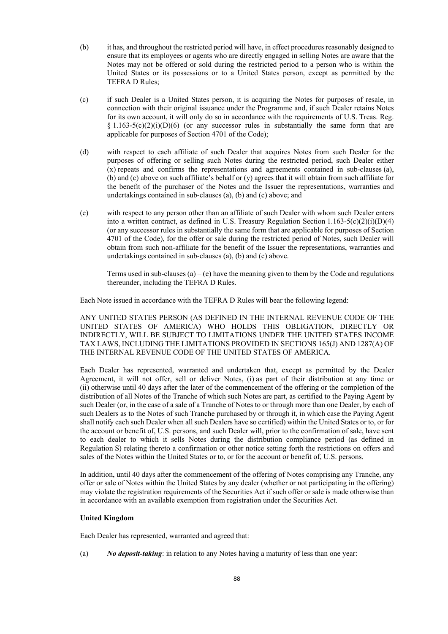- (b) it has, and throughout the restricted period will have, in effect procedures reasonably designed to ensure that its employees or agents who are directly engaged in selling Notes are aware that the Notes may not be offered or sold during the restricted period to a person who is within the United States or its possessions or to a United States person, except as permitted by the TEFRA D Rules;
- (c) if such Dealer is a United States person, it is acquiring the Notes for purposes of resale, in connection with their original issuance under the Programme and, if such Dealer retains Notes for its own account, it will only do so in accordance with the requirements of U.S. Treas. Reg. § 1.163-5(c)(2)(i)(D)(6) (or any successor rules in substantially the same form that are applicable for purposes of Section 4701 of the Code);
- (d) with respect to each affiliate of such Dealer that acquires Notes from such Dealer for the purposes of offering or selling such Notes during the restricted period, such Dealer either (x) repeats and confirms the representations and agreements contained in sub-clauses (a), (b) and (c) above on such affiliate's behalf or (y) agrees that it will obtain from such affiliate for the benefit of the purchaser of the Notes and the Issuer the representations, warranties and undertakings contained in sub-clauses (a), (b) and (c) above; and
- (e) with respect to any person other than an affiliate of such Dealer with whom such Dealer enters into a written contract, as defined in U.S. Treasury Regulation Section  $1.163-5(c)(2)(i)(D)(4)$ (or any successor rules in substantially the same form that are applicable for purposes of Section 4701 of the Code), for the offer or sale during the restricted period of Notes, such Dealer will obtain from such non-affiliate for the benefit of the Issuer the representations, warranties and undertakings contained in sub-clauses (a), (b) and (c) above.

Terms used in sub-clauses (a) – (e) have the meaning given to them by the Code and regulations thereunder, including the TEFRA D Rules.

Each Note issued in accordance with the TEFRA D Rules will bear the following legend:

ANY UNITED STATES PERSON (AS DEFINED IN THE INTERNAL REVENUE CODE OF THE UNITED STATES OF AMERICA) WHO HOLDS THIS OBLIGATION, DIRECTLY OR INDIRECTLY, WILL BE SUBJECT TO LIMITATIONS UNDER THE UNITED STATES INCOME TAX LAWS, INCLUDING THE LIMITATIONS PROVIDED IN SECTIONS 165(J) AND 1287(A) OF THE INTERNAL REVENUE CODE OF THE UNITED STATES OF AMERICA.

Each Dealer has represented, warranted and undertaken that, except as permitted by the Dealer Agreement, it will not offer, sell or deliver Notes, (i) as part of their distribution at any time or (ii) otherwise until 40 days after the later of the commencement of the offering or the completion of the distribution of all Notes of the Tranche of which such Notes are part, as certified to the Paying Agent by such Dealer (or, in the case of a sale of a Tranche of Notes to or through more than one Dealer, by each of such Dealers as to the Notes of such Tranche purchased by or through it, in which case the Paying Agent shall notify each such Dealer when all such Dealers have so certified) within the United States or to, or for the account or benefit of, U.S. persons, and such Dealer will, prior to the confirmation of sale, have sent to each dealer to which it sells Notes during the distribution compliance period (as defined in Regulation S) relating thereto a confirmation or other notice setting forth the restrictions on offers and sales of the Notes within the United States or to, or for the account or benefit of, U.S. persons.

In addition, until 40 days after the commencement of the offering of Notes comprising any Tranche, any offer or sale of Notes within the United States by any dealer (whether or not participating in the offering) may violate the registration requirements of the Securities Act if such offer or sale is made otherwise than in accordance with an available exemption from registration under the Securities Act.

### **United Kingdom**

Each Dealer has represented, warranted and agreed that:

(a) *No deposit-taking*: in relation to any Notes having a maturity of less than one year: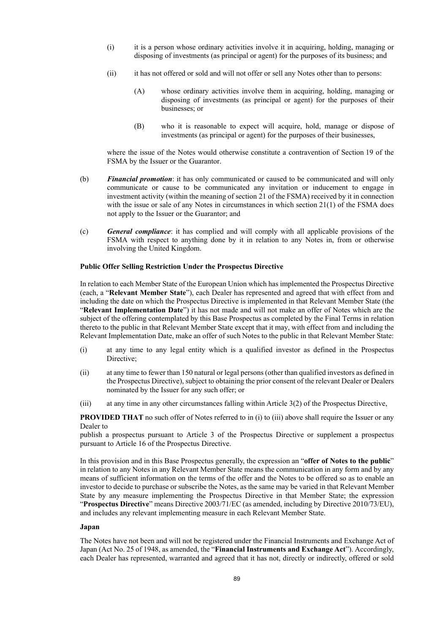- (i) it is a person whose ordinary activities involve it in acquiring, holding, managing or disposing of investments (as principal or agent) for the purposes of its business; and
- (ii) it has not offered or sold and will not offer or sell any Notes other than to persons:
	- (A) whose ordinary activities involve them in acquiring, holding, managing or disposing of investments (as principal or agent) for the purposes of their businesses; or
	- (B) who it is reasonable to expect will acquire, hold, manage or dispose of investments (as principal or agent) for the purposes of their businesses,

where the issue of the Notes would otherwise constitute a contravention of Section 19 of the FSMA by the Issuer or the Guarantor.

- (b) *Financial promotion*: it has only communicated or caused to be communicated and will only communicate or cause to be communicated any invitation or inducement to engage in investment activity (within the meaning of section 21 of the FSMA) received by it in connection with the issue or sale of any Notes in circumstances in which section 21(1) of the FSMA does not apply to the Issuer or the Guarantor; and
- (c) *General compliance*: it has complied and will comply with all applicable provisions of the FSMA with respect to anything done by it in relation to any Notes in, from or otherwise involving the United Kingdom.

#### **Public Offer Selling Restriction Under the Prospectus Directive**

In relation to each Member State of the European Union which has implemented the Prospectus Directive (each, a "**Relevant Member State**"), each Dealer has represented and agreed that with effect from and including the date on which the Prospectus Directive is implemented in that Relevant Member State (the "**Relevant Implementation Date**") it has not made and will not make an offer of Notes which are the subject of the offering contemplated by this Base Prospectus as completed by the Final Terms in relation thereto to the public in that Relevant Member State except that it may, with effect from and including the Relevant Implementation Date, make an offer of such Notes to the public in that Relevant Member State:

- (i) at any time to any legal entity which is a qualified investor as defined in the Prospectus Directive:
- (ii) at any time to fewer than 150 natural or legal persons (other than qualified investors as defined in the Prospectus Directive), subject to obtaining the prior consent of the relevant Dealer or Dealers nominated by the Issuer for any such offer; or
- (iii) at any time in any other circumstances falling within Article 3(2) of the Prospectus Directive,

**PROVIDED THAT** no such offer of Notes referred to in (i) to (iii) above shall require the Issuer or any Dealer to

publish a prospectus pursuant to Article 3 of the Prospectus Directive or supplement a prospectus pursuant to Article 16 of the Prospectus Directive.

In this provision and in this Base Prospectus generally, the expression an "**offer of Notes to the public**" in relation to any Notes in any Relevant Member State means the communication in any form and by any means of sufficient information on the terms of the offer and the Notes to be offered so as to enable an investor to decide to purchase or subscribe the Notes, as the same may be varied in that Relevant Member State by any measure implementing the Prospectus Directive in that Member State; the expression "**Prospectus Directive**" means Directive 2003/71/EC (as amended, including by Directive 2010/73/EU), and includes any relevant implementing measure in each Relevant Member State.

### **Japan**

The Notes have not been and will not be registered under the Financial Instruments and Exchange Act of Japan (Act No. 25 of 1948, as amended, the "**Financial Instruments and Exchange Act**"). Accordingly, each Dealer has represented, warranted and agreed that it has not, directly or indirectly, offered or sold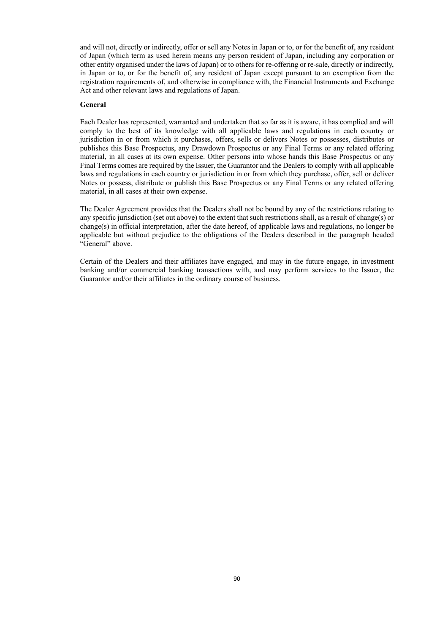and will not, directly or indirectly, offer or sell any Notes in Japan or to, or for the benefit of, any resident of Japan (which term as used herein means any person resident of Japan, including any corporation or other entity organised under the laws of Japan) or to others for re-offering or re-sale, directly or indirectly, in Japan or to, or for the benefit of, any resident of Japan except pursuant to an exemption from the registration requirements of, and otherwise in compliance with, the Financial Instruments and Exchange Act and other relevant laws and regulations of Japan.

#### **General**

Each Dealer has represented, warranted and undertaken that so far as it is aware, it has complied and will comply to the best of its knowledge with all applicable laws and regulations in each country or jurisdiction in or from which it purchases, offers, sells or delivers Notes or possesses, distributes or publishes this Base Prospectus, any Drawdown Prospectus or any Final Terms or any related offering material, in all cases at its own expense. Other persons into whose hands this Base Prospectus or any Final Terms comes are required by the Issuer, the Guarantor and the Dealers to comply with all applicable laws and regulations in each country or jurisdiction in or from which they purchase, offer, sell or deliver Notes or possess, distribute or publish this Base Prospectus or any Final Terms or any related offering material, in all cases at their own expense.

The Dealer Agreement provides that the Dealers shall not be bound by any of the restrictions relating to any specific jurisdiction (set out above) to the extent that such restrictions shall, as a result of change(s) or change(s) in official interpretation, after the date hereof, of applicable laws and regulations, no longer be applicable but without prejudice to the obligations of the Dealers described in the paragraph headed "General" above.

Certain of the Dealers and their affiliates have engaged, and may in the future engage, in investment banking and/or commercial banking transactions with, and may perform services to the Issuer, the Guarantor and/or their affiliates in the ordinary course of business.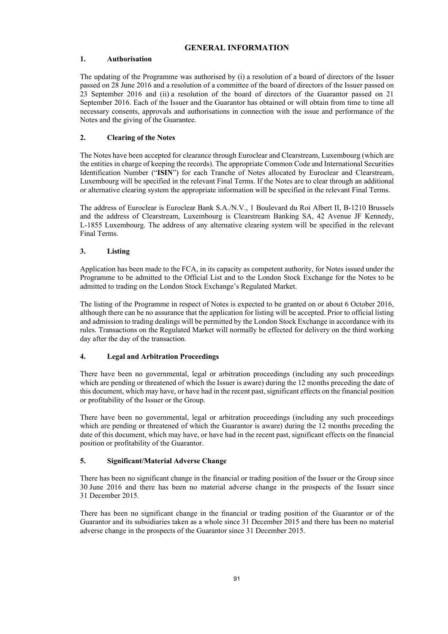### **GENERAL INFORMATION**

### **1. Authorisation**

The updating of the Programme was authorised by (i) a resolution of a board of directors of the Issuer passed on 28 June 2016 and a resolution of a committee of the board of directors of the Issuer passed on 23 September 2016 and (ii) a resolution of the board of directors of the Guarantor passed on 21 September 2016. Each of the Issuer and the Guarantor has obtained or will obtain from time to time all necessary consents, approvals and authorisations in connection with the issue and performance of the Notes and the giving of the Guarantee.

### **2. Clearing of the Notes**

The Notes have been accepted for clearance through Euroclear and Clearstream, Luxembourg (which are the entities in charge of keeping the records). The appropriate Common Code and International Securities Identification Number ("**ISIN**") for each Tranche of Notes allocated by Euroclear and Clearstream, Luxembourg will be specified in the relevant Final Terms. If the Notes are to clear through an additional or alternative clearing system the appropriate information will be specified in the relevant Final Terms.

The address of Euroclear is Euroclear Bank S.A./N.V., 1 Boulevard du Roi Albert II, B-1210 Brussels and the address of Clearstream, Luxembourg is Clearstream Banking SA, 42 Avenue JF Kennedy, L-1855 Luxembourg. The address of any alternative clearing system will be specified in the relevant Final Terms.

### **3. Listing**

Application has been made to the FCA, in its capacity as competent authority, for Notes issued under the Programme to be admitted to the Official List and to the London Stock Exchange for the Notes to be admitted to trading on the London Stock Exchange's Regulated Market.

The listing of the Programme in respect of Notes is expected to be granted on or about 6 October 2016, although there can be no assurance that the application for listing will be accepted. Prior to official listing and admission to trading dealings will be permitted by the London Stock Exchange in accordance with its rules. Transactions on the Regulated Market will normally be effected for delivery on the third working day after the day of the transaction.

### **4. Legal and Arbitration Proceedings**

There have been no governmental, legal or arbitration proceedings (including any such proceedings which are pending or threatened of which the Issuer is aware) during the 12 months preceding the date of this document, which may have, or have had in the recent past, significant effects on the financial position or profitability of the Issuer or the Group.

There have been no governmental, legal or arbitration proceedings (including any such proceedings which are pending or threatened of which the Guarantor is aware) during the 12 months preceding the date of this document, which may have, or have had in the recent past, significant effects on the financial position or profitability of the Guarantor.

### **5. Significant/Material Adverse Change**

There has been no significant change in the financial or trading position of the Issuer or the Group since 30 June 2016 and there has been no material adverse change in the prospects of the Issuer since 31 December 2015.

There has been no significant change in the financial or trading position of the Guarantor or of the Guarantor and its subsidiaries taken as a whole since 31 December 2015 and there has been no material adverse change in the prospects of the Guarantor since 31 December 2015.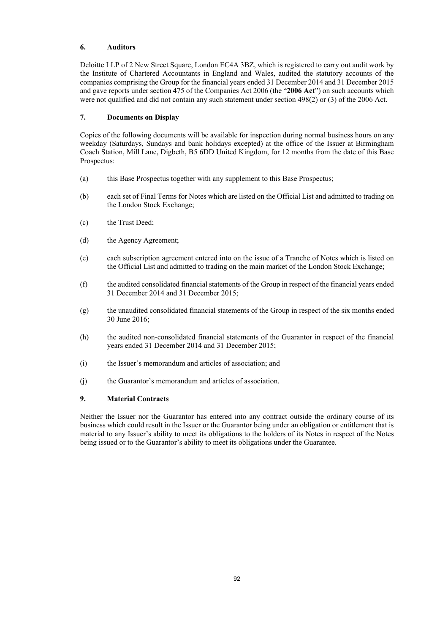### **6. Auditors**

Deloitte LLP of 2 New Street Square, London EC4A 3BZ, which is registered to carry out audit work by the Institute of Chartered Accountants in England and Wales, audited the statutory accounts of the companies comprising the Group for the financial years ended 31 December 2014 and 31 December 2015 and gave reports under section 475 of the Companies Act 2006 (the "**2006 Act**") on such accounts which were not qualified and did not contain any such statement under section 498(2) or (3) of the 2006 Act.

### **7. Documents on Display**

Copies of the following documents will be available for inspection during normal business hours on any weekday (Saturdays, Sundays and bank holidays excepted) at the office of the Issuer at Birmingham Coach Station, Mill Lane, Digbeth, B5 6DD United Kingdom, for 12 months from the date of this Base Prospectus:

- (a) this Base Prospectus together with any supplement to this Base Prospectus;
- (b) each set of Final Terms for Notes which are listed on the Official List and admitted to trading on the London Stock Exchange;
- (c) the Trust Deed;
- (d) the Agency Agreement;
- (e) each subscription agreement entered into on the issue of a Tranche of Notes which is listed on the Official List and admitted to trading on the main market of the London Stock Exchange;
- (f) the audited consolidated financial statements of the Group in respect of the financial years ended 31 December 2014 and 31 December 2015;
- (g) the unaudited consolidated financial statements of the Group in respect of the six months ended 30 June 2016;
- (h) the audited non-consolidated financial statements of the Guarantor in respect of the financial years ended 31 December 2014 and 31 December 2015;
- (i) the Issuer's memorandum and articles of association; and
- (j) the Guarantor's memorandum and articles of association.

### **9. Material Contracts**

Neither the Issuer nor the Guarantor has entered into any contract outside the ordinary course of its business which could result in the Issuer or the Guarantor being under an obligation or entitlement that is material to any Issuer's ability to meet its obligations to the holders of its Notes in respect of the Notes being issued or to the Guarantor's ability to meet its obligations under the Guarantee.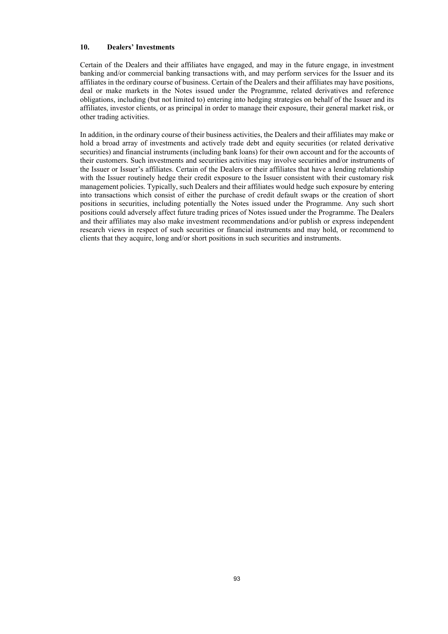### **10. Dealers' Investments**

Certain of the Dealers and their affiliates have engaged, and may in the future engage, in investment banking and/or commercial banking transactions with, and may perform services for the Issuer and its affiliates in the ordinary course of business. Certain of the Dealers and their affiliates may have positions, deal or make markets in the Notes issued under the Programme, related derivatives and reference obligations, including (but not limited to) entering into hedging strategies on behalf of the Issuer and its affiliates, investor clients, or as principal in order to manage their exposure, their general market risk, or other trading activities.

In addition, in the ordinary course of their business activities, the Dealers and their affiliates may make or hold a broad array of investments and actively trade debt and equity securities (or related derivative securities) and financial instruments (including bank loans) for their own account and for the accounts of their customers. Such investments and securities activities may involve securities and/or instruments of the Issuer or Issuer's affiliates. Certain of the Dealers or their affiliates that have a lending relationship with the Issuer routinely hedge their credit exposure to the Issuer consistent with their customary risk management policies. Typically, such Dealers and their affiliates would hedge such exposure by entering into transactions which consist of either the purchase of credit default swaps or the creation of short positions in securities, including potentially the Notes issued under the Programme. Any such short positions could adversely affect future trading prices of Notes issued under the Programme. The Dealers and their affiliates may also make investment recommendations and/or publish or express independent research views in respect of such securities or financial instruments and may hold, or recommend to clients that they acquire, long and/or short positions in such securities and instruments.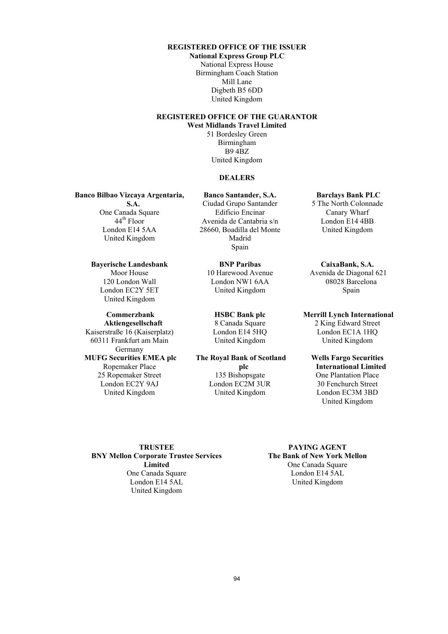### **REGISTERED OFFICE OF THE ISSUER**

**National Express Group PLC** National Express House Birmingham Coach Station Mill Lane Digbeth B5 6DD United Kingdom

# **REGISTERED OFFICE OF THE GUARANTOR**

**West Midlands Travel Limited**

51 Bordesley Green Birmingham B9 4BZ United Kingdom

### **DEALERS**

**Banco Bilbao Vizcaya Argentaria,** 

**S.A.** One Canada Square  $44^{\text{th}}$  Floor London E14 5AA United Kingdom

# **Bayerische Landesbank**

Moor House 120 London Wall London EC2Y 5ET United Kingdom

#### **Commerzbank**

**Aktiengesellschaft** Kaiserstraße 16 (Kaiserplatz) 60311 Frankfurt am Main Germany **MUFG Securities EMEA plc** Ropemaker Place 25 Ropemaker Street London EC2Y 9AJ United Kingdom

**Banco Santander, S.A.** Ciudad Grupo Santander Edificio Encinar Avenida de Cantabria s/n 28660, Boadilla del Monte Madrid Spain

> **BNP Paribas** 10 Harewood Avenue London NW1 6AA United Kingdom

**HSBC Bank plc** 8 Canada Square London E14 5HQ United Kingdom

### **The Royal Bank of Scotland**

**plc** 135 Bishopsgate London EC2M 3UR United Kingdom

**Barclays Bank PLC**

5 The North Colonnade Canary Wharf London E14 4BB United Kingdom

**CaixaBank, S.A.** Avenida de Diagonal 621 08028 Barcelona Spain

#### **Merrill Lynch International**

2 King Edward Street London EC1A 1HQ United Kingdom

### **Wells Fargo Securities International Limited** One Plantation Place 30 Fenchurch Street

London EC3M 3BD United Kingdom

**TRUSTEE BNY Mellon Corporate Trustee Services Limited** One Canada Square London E14 5AL United Kingdom

### **PAYING AGENT The Bank of New York Mellon** One Canada Square London E14 5AL United Kingdom